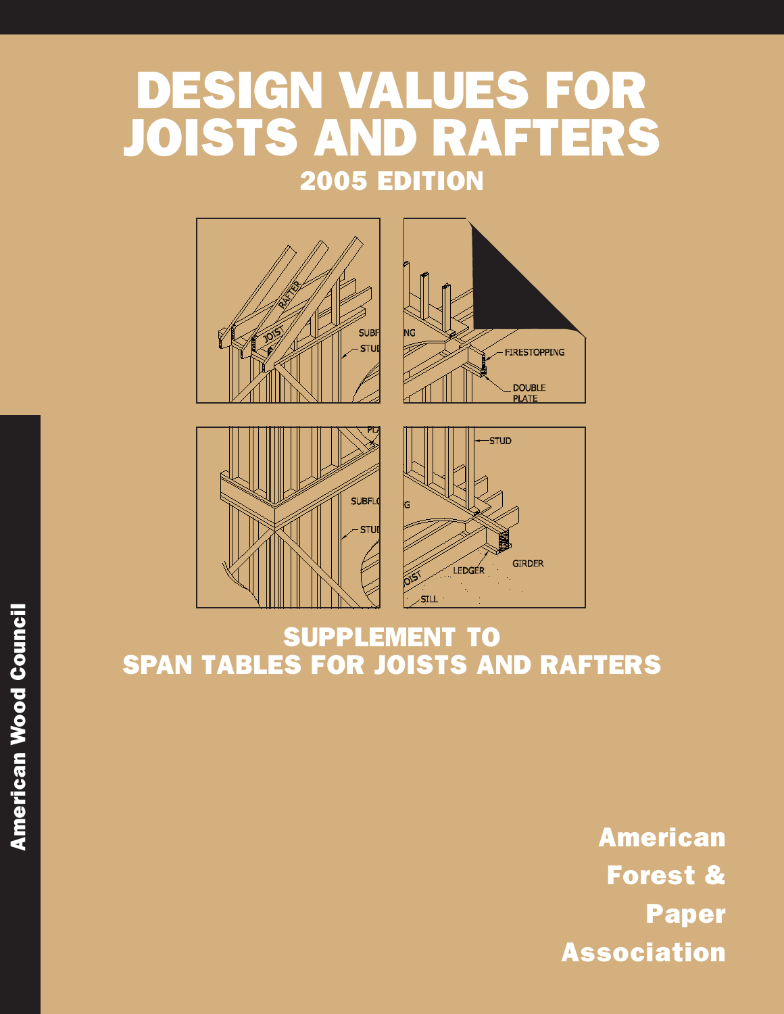## DESIGN VALUES FOR JOISTS AND RAFTERS 2005 EDITION



### SUPPLEMENT TO SPAN TABLES FOR JOISTS AND RAFTERS

American Forest & Paper Association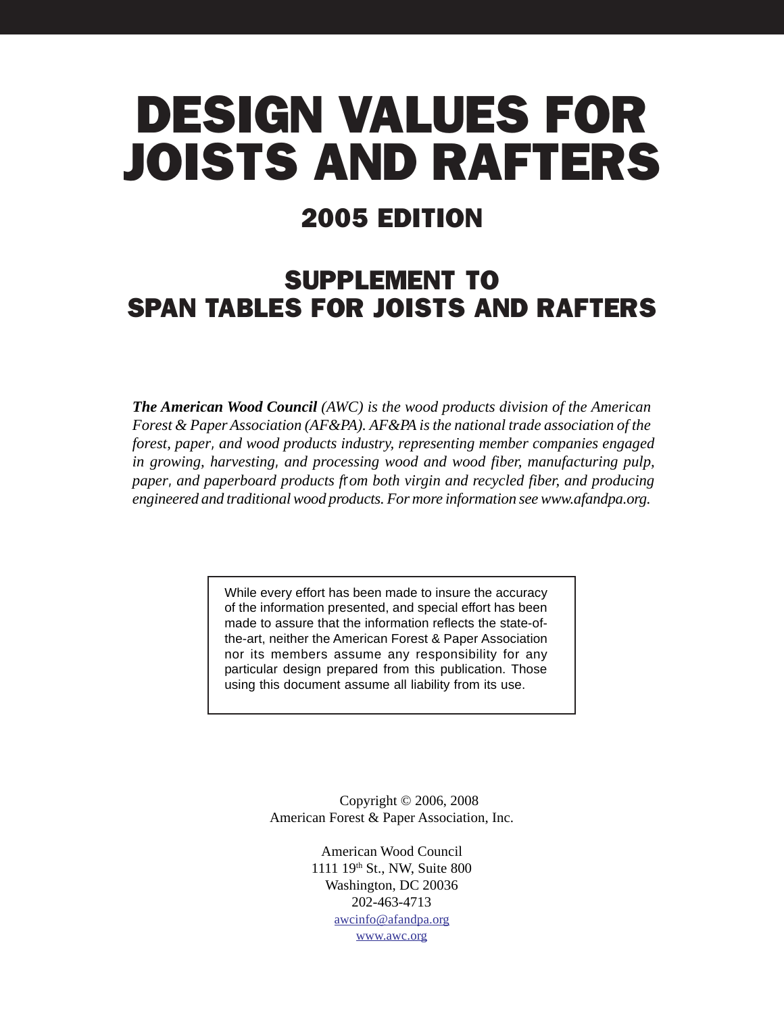# DESIGN VALUES FOR JOISTS AND RAFTERS

### 2005 EDITION

### SUPPLEMENT TO SPAN TABLES FOR JOISTS AND RAFTERS

*The American Wood Council (AWC) is the wood products division of the American Forest & Paper Association (AF&PA). AF&PA is the national trade association of the forest, paper, and wood products industry, representing member companies engaged in growing, harvesting, and processing wood and wood fiber, manufacturing pulp, paper, and paperboard products from both virgin and recycled fiber, and producing engineered and traditional wood products. For more information see www.afandpa.org.*

> While every effort has been made to insure the accuracy of the information presented, and special effort has been made to assure that the information reflects the state-ofthe-art, neither the American Forest & Paper Association nor its members assume any responsibility for any particular design prepared from this publication. Those using this document assume all liability from its use.

> > Copyright © 2006, 2008 American Forest & Paper Association, Inc.

> > > American Wood Council 1111 19th St., NW, Suite 800 Washington, DC 20036 202-463-4713 [awcinfo@afandpa.org](mailto:awcinfo@afandpa.org) [www.awc.org](http://www.awc.org)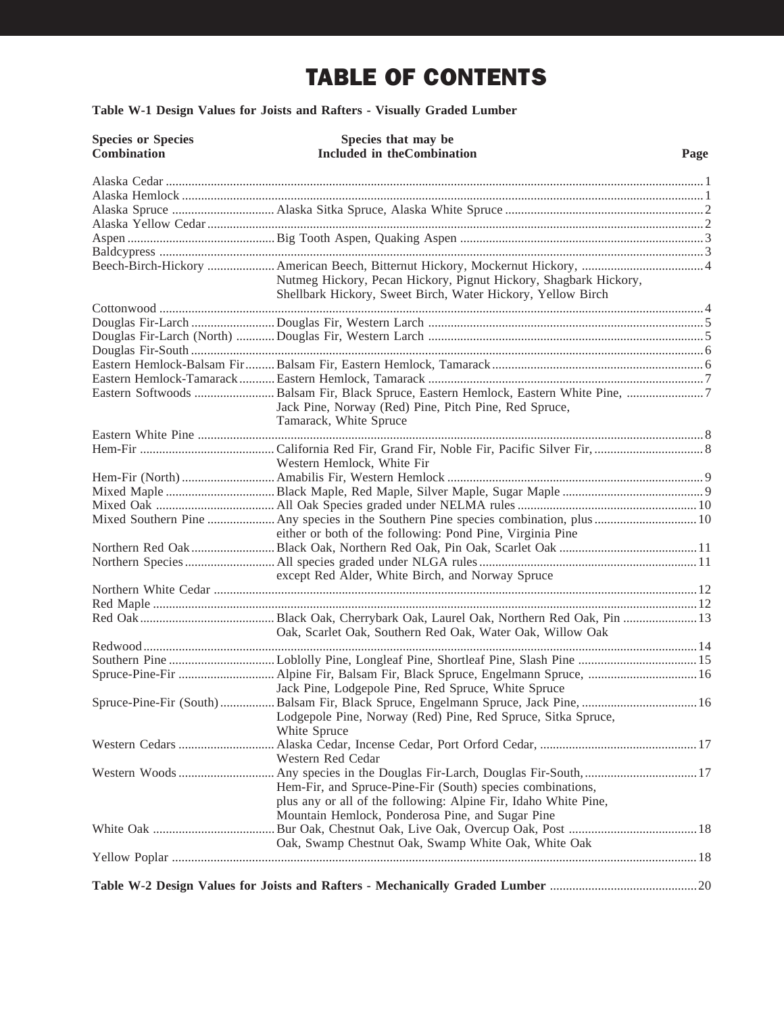### TABLE OF CONTENTS

**[Table W-1 Design Values for Joists and Rafters - Visually Graded Lumber](#page-3-0)**

| <b>Species or Species</b><br><b>Combination</b> | Species that may be<br><b>Included in theCombination</b>                                                                                                                          | Page |
|-------------------------------------------------|-----------------------------------------------------------------------------------------------------------------------------------------------------------------------------------|------|
|                                                 |                                                                                                                                                                                   |      |
|                                                 |                                                                                                                                                                                   |      |
|                                                 |                                                                                                                                                                                   |      |
|                                                 |                                                                                                                                                                                   |      |
|                                                 |                                                                                                                                                                                   |      |
|                                                 |                                                                                                                                                                                   |      |
|                                                 | Nutmeg Hickory, Pecan Hickory, Pignut Hickory, Shagbark Hickory,                                                                                                                  |      |
|                                                 | Shellbark Hickory, Sweet Birch, Water Hickory, Yellow Birch                                                                                                                       |      |
|                                                 |                                                                                                                                                                                   |      |
|                                                 |                                                                                                                                                                                   |      |
|                                                 |                                                                                                                                                                                   |      |
|                                                 |                                                                                                                                                                                   |      |
|                                                 |                                                                                                                                                                                   |      |
|                                                 |                                                                                                                                                                                   |      |
|                                                 | Jack Pine, Norway (Red) Pine, Pitch Pine, Red Spruce,<br>Tamarack, White Spruce                                                                                                   |      |
|                                                 |                                                                                                                                                                                   |      |
|                                                 | Western Hemlock, White Fir                                                                                                                                                        |      |
|                                                 |                                                                                                                                                                                   |      |
|                                                 |                                                                                                                                                                                   |      |
|                                                 |                                                                                                                                                                                   |      |
|                                                 | either or both of the following: Pond Pine, Virginia Pine                                                                                                                         |      |
|                                                 |                                                                                                                                                                                   |      |
|                                                 | except Red Alder, White Birch, and Norway Spruce                                                                                                                                  |      |
|                                                 |                                                                                                                                                                                   |      |
|                                                 |                                                                                                                                                                                   |      |
|                                                 | Oak, Scarlet Oak, Southern Red Oak, Water Oak, Willow Oak                                                                                                                         |      |
|                                                 |                                                                                                                                                                                   |      |
|                                                 | Southern Pine Loblolly Pine, Longleaf Pine, Shortleaf Pine, Slash Pine  15                                                                                                        |      |
|                                                 | Jack Pine, Lodgepole Pine, Red Spruce, White Spruce                                                                                                                               |      |
|                                                 | Spruce-Pine-Fir (South)  Balsam Fir, Black Spruce, Engelmann Spruce, Jack Pine,  16<br>Lodgepole Pine, Norway (Red) Pine, Red Spruce, Sitka Spruce,<br>White Spruce               |      |
|                                                 | Western Red Cedar                                                                                                                                                                 |      |
|                                                 | Hem-Fir, and Spruce-Pine-Fir (South) species combinations,<br>plus any or all of the following: Alpine Fir, Idaho White Pine,<br>Mountain Hemlock, Ponderosa Pine, and Sugar Pine |      |
|                                                 | Oak, Swamp Chestnut Oak, Swamp White Oak, White Oak                                                                                                                               |      |
|                                                 |                                                                                                                                                                                   |      |
|                                                 |                                                                                                                                                                                   |      |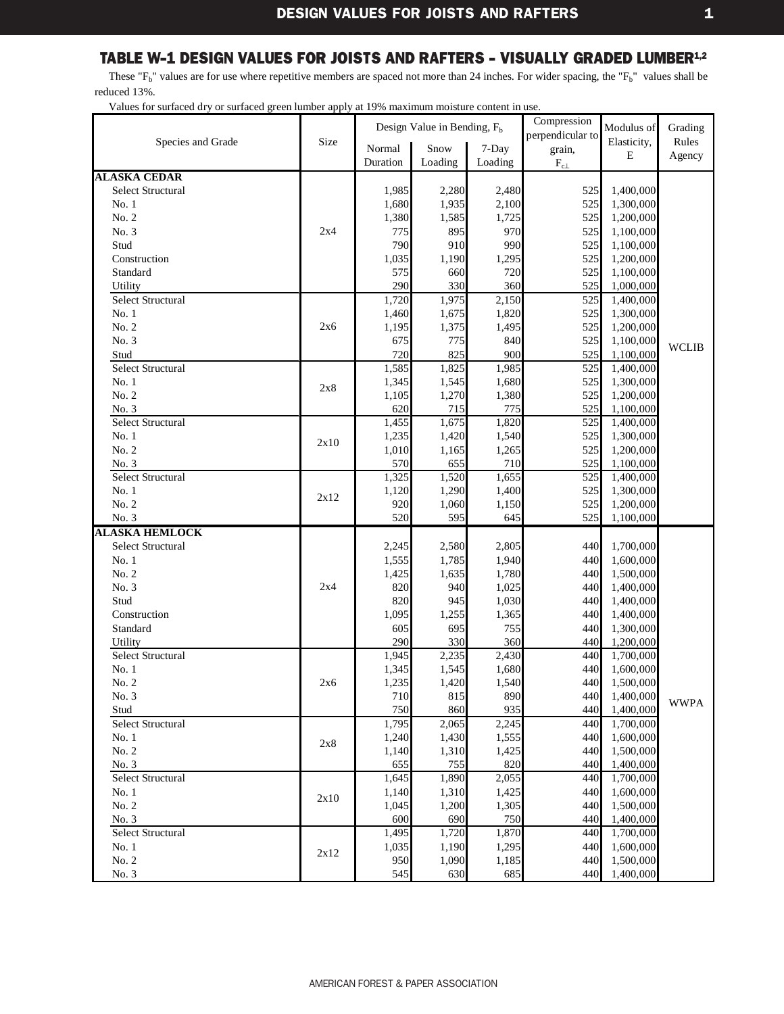<span id="page-3-0"></span>These " $F_b$ " values are for use where repetitive members are spaced not more than 24 inches. For wider spacing, the " $F_b$ " values shall be reduced 13%.

|                          |      |              | Design Value in Bending, F <sub>b</sub> |              | Compression      | Modulus of             | Grading      |
|--------------------------|------|--------------|-----------------------------------------|--------------|------------------|------------------------|--------------|
| Species and Grade        | Size |              |                                         |              | perpendicular to | Elasticity,            | Rules        |
|                          |      | Normal       | Snow                                    | 7-Day        | grain,           | E                      | Agency       |
|                          |      | Duration     | Loading                                 | Loading      | $\rm F_{c\perp}$ |                        |              |
| <b>ALASKA CEDAR</b>      |      |              |                                         |              |                  |                        |              |
| <b>Select Structural</b> |      | 1,985        | 2,280                                   | 2,480        | 525              | 1,400,000              |              |
| No.1                     |      | 1,680        | 1,935                                   | 2,100        | 525              | 1,300,000              |              |
| No. 2                    |      | 1,380        | 1,585                                   | 1,725        | 525              | 1,200,000              |              |
| No. 3                    | 2x4  | 775          | 895                                     | 970          | 525              | 1,100,000              |              |
| Stud<br>Construction     |      | 790          | 910                                     | 990          | 525              | 1,100,000              |              |
| Standard                 |      | 1,035<br>575 | 1,190<br>660                            | 1,295<br>720 | 525<br>525       | 1,200,000<br>1,100,000 |              |
| Utility                  |      | 290          | 330                                     | 360          | 525              | 1,000,000              |              |
| <b>Select Structural</b> |      | 1,720        | 1,975                                   | 2,150        | 525              | 1,400,000              |              |
| No.1                     |      | 1,460        | 1,675                                   | 1,820        | 525              | 1,300,000              |              |
| No. 2                    | 2x6  | 1,195        | 1,375                                   | 1,495        | 525              | 1,200,000              |              |
| No. 3                    |      | 675          | 775                                     | 840          | 525              | 1,100,000              |              |
| Stud                     |      | 720          | 825                                     | 900          | 525              | 1,100,000              | <b>WCLIB</b> |
| <b>Select Structural</b> |      | 1,585        | 1,825                                   | 1,985        | 525              | 1,400,000              |              |
| No.1                     |      | 1,345        | 1,545                                   | 1,680        | 525              | 1,300,000              |              |
| No. 2                    | 2x8  | 1,105        | 1,270                                   | 1,380        | 525              | 1,200,000              |              |
| No. 3                    |      | 620          | 715                                     | 775          | 525              | 1,100,000              |              |
| Select Structural        |      | 1,455        | 1,675                                   | 1,820        | 525              | 1,400,000              |              |
| No.1                     |      | 1,235        | 1,420                                   | 1,540        | 525              | 1,300,000              |              |
| No. 2                    | 2x10 | 1,010        | 1,165                                   | 1,265        | 525              | 1,200,000              |              |
| No. 3                    |      | 570          | 655                                     | 710          | 525              | 1,100,000              |              |
| <b>Select Structural</b> |      | 1,325        | 1,520                                   | 1,655        | 525              | 1,400,000              |              |
| No.1                     |      | 1,120        | 1,290                                   | 1,400        | 525              | 1,300,000              |              |
| No. 2                    | 2x12 | 920          | 1,060                                   | 1,150        | 525              | 1,200,000              |              |
| No. 3                    |      | 520          | 595                                     | 645          | 525              | 1,100,000              |              |
| <b>ALASKA HEMLOCK</b>    |      |              |                                         |              |                  |                        |              |
| <b>Select Structural</b> |      | 2,245        | 2,580                                   | 2,805        | 440              | 1,700,000              |              |
| No.1                     |      | 1,555        | 1,785                                   | 1,940        | 440              | 1,600,000              |              |
| No. 2                    |      | 1,425        | 1,635                                   | 1,780        | 440              | 1,500,000              |              |
| No. 3                    | 2x4  | 820          | 940                                     | 1,025        | 440              | 1,400,000              |              |
| Stud                     |      | 820          | 945                                     | 1,030        | 440              | 1,400,000              |              |
| Construction             |      | 1,095        | 1,255                                   | 1,365        | 440              | 1,400,000              |              |
| Standard                 |      | 605          | 695                                     | 755          | 440              | 1,300,000              |              |
| Utility                  |      | 290          | 330                                     | 360          | 440              | 1,200,000              |              |
| Select Structural        |      | 1,945        | 2,235                                   | 2,430        | 440              | 1,700,000              |              |
| No.1                     |      | 1,345        | 1,545                                   | 1,680        | 440              | 1,600,000              |              |
| No. 2                    | 2x6  | 1,235        | 1,420                                   | 1,540        | 440              | 1,500,000              |              |
| No. 3                    |      | 710          | 815                                     | 890          | 440              | 1,400,000              | <b>WWPA</b>  |
| Stud                     |      | 750          | 860                                     | 935          | 440              | 1,400,000              |              |
| Select Structural        |      | 1,795        | 2,065                                   | 2,245        | 440              | 1,700,000              |              |
| No.1                     | 2x8  | 1,240        | 1,430                                   | 1,555        | 440              | 1,600,000              |              |
| No. 2                    |      | 1,140        | 1,310                                   | 1,425        | 440              | 1,500,000              |              |
| No. 3                    |      | 655          | 755                                     | 820          | 440              | 1,400,000              |              |
| Select Structural        |      | 1,645        | 1,890                                   | 2,055        | 440              | 1,700,000              |              |
| No.1                     | 2x10 | 1,140        | 1,310                                   | 1,425        | 440              | 1,600,000              |              |
| No. 2                    |      | 1,045        | 1,200                                   | 1,305        | 440              | 1,500,000              |              |
| No. 3                    |      | 600          | 690                                     | 750          | 440<br>440       | 1,400,000              |              |
| Select Structural        |      | 1,495        | 1,720                                   | 1,870        | 440              | 1,700,000              |              |
| No. 1<br>No. 2           | 2x12 | 1,035<br>950 | 1,190<br>1,090                          | 1,295        | 440              | 1,600,000<br>1,500,000 |              |
| No. 3                    |      | 545          | 630                                     | 1,185<br>685 | 440              | 1,400,000              |              |
|                          |      |              |                                         |              |                  |                        |              |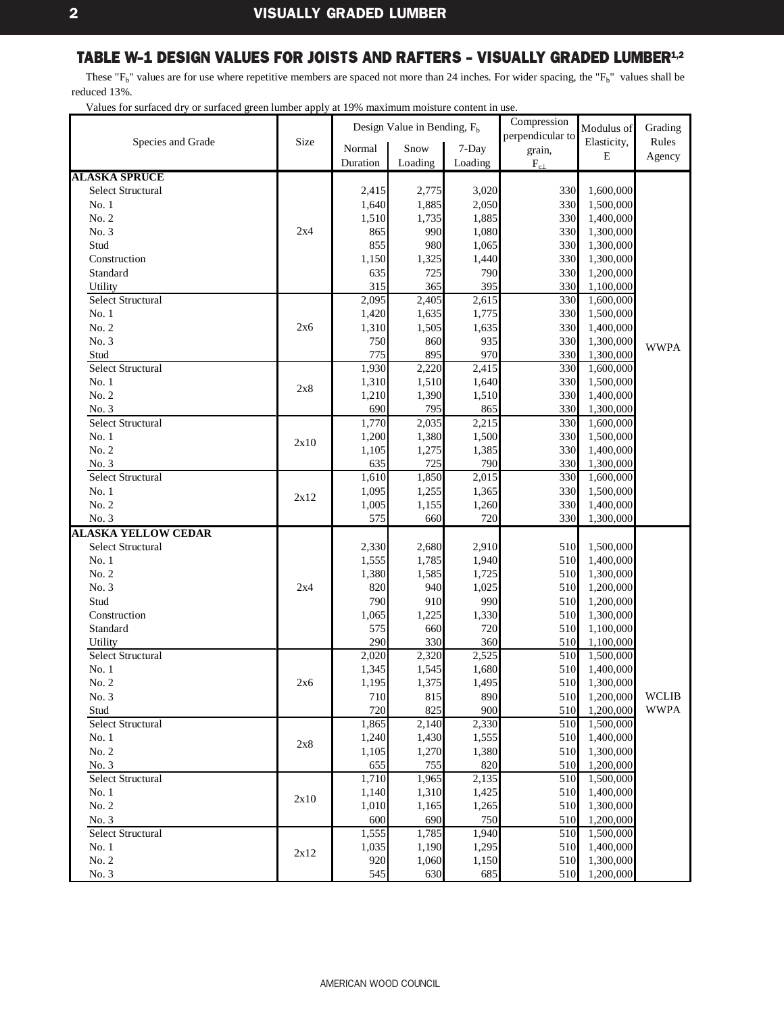<span id="page-4-0"></span>These " $F_b$ " values are for use where repetitive members are spaced not more than 24 inches. For wider spacing, the " $F_b$ " values shall be reduced 13%.

|                              |      |            | Design Value in Bending, $F_h$ |            | Compression      | Modulus of             | Grading      |
|------------------------------|------|------------|--------------------------------|------------|------------------|------------------------|--------------|
| Species and Grade            | Size |            |                                |            | perpendicular to | Elasticity,            | Rules        |
|                              |      | Normal     | Snow                           | 7-Day      | grain,           | $\bf E$                | Agency       |
|                              |      | Duration   | Loading                        | Loading    | $\rm F_{c\perp}$ |                        |              |
| <b>ALASKA SPRUCE</b>         |      |            |                                |            |                  |                        |              |
| Select Structural            |      | 2,415      | 2,775                          | 3,020      | 330              | 1,600,000              |              |
| No.1                         |      | 1,640      | 1,885                          | 2,050      | 330              | 1,500,000              |              |
| No. 2                        |      | 1,510      | 1,735                          | 1,885      | 330              | 1,400,000              |              |
| No. 3                        | 2x4  | 865        | 990                            | 1,080      | 330              | 1,300,000              |              |
| Stud                         |      | 855        | 980                            | 1,065      | 330              | 1,300,000              |              |
| Construction                 |      | 1,150      | 1,325                          | 1,440      | 330              | 1,300,000              |              |
| Standard                     |      | 635<br>315 | 725<br>365                     | 790<br>395 | 330<br>330       | 1,200,000              |              |
| Utility<br>Select Structural |      | 2,095      | 2,405                          | 2,615      | 330              | 1,100,000<br>1,600,000 |              |
| No.1                         |      | 1,420      | 1,635                          | 1,775      | 330              |                        |              |
| No. 2                        | 2x6  | 1,310      | 1,505                          | 1,635      | 330              | 1,500,000<br>1,400,000 |              |
| No. 3                        |      | 750        | 860                            | 935        | 330              | 1,300,000              |              |
| Stud                         |      | 775        | 895                            | 970        | 330              | 1,300,000              | <b>WWPA</b>  |
| <b>Select Structural</b>     |      | 1,930      | 2,220                          | 2,415      | 330              | 1,600,000              |              |
| No.1                         |      | 1,310      | 1,510                          | 1,640      | 330              | 1,500,000              |              |
| No. 2                        | 2x8  | 1,210      | 1,390                          | 1,510      | 330              | 1,400,000              |              |
| No. 3                        |      | 690        | 795                            | 865        | 330              | 1,300,000              |              |
| Select Structural            |      | 1,770      | 2,035                          | 2,215      | 330              | 1,600,000              |              |
| No.1                         |      | 1,200      | 1,380                          | 1,500      | 330              | 1,500,000              |              |
| No. 2                        | 2x10 | 1,105      | 1,275                          | 1,385      | 330              | 1,400,000              |              |
| No. 3                        |      | 635        | 725                            | 790        | 330              | 1,300,000              |              |
| Select Structural            |      | 1,610      | 1,850                          | 2,015      | 330              | 1,600,000              |              |
| No.1                         |      | 1,095      | 1,255                          | 1,365      | 330              | 1,500,000              |              |
| No. 2                        | 2x12 | 1,005      | 1,155                          | 1,260      | 330              | 1,400,000              |              |
| No. 3                        |      | 575        | 660                            | 720        | 330              | 1,300,000              |              |
| <b>ALASKA YELLOW CEDAR</b>   |      |            |                                |            |                  |                        |              |
| <b>Select Structural</b>     |      | 2,330      | 2,680                          | 2,910      | 510              | 1,500,000              |              |
| No.1                         |      | 1,555      | 1,785                          | 1,940      | 510              | 1,400,000              |              |
| No. 2                        |      | 1,380      | 1,585                          | 1,725      | 510              | 1,300,000              |              |
| No. 3                        | 2x4  | 820        | 940                            | 1,025      | 510              | 1,200,000              |              |
| Stud                         |      | 790        | 910                            | 990        | 510              | 1,200,000              |              |
| Construction                 |      | 1,065      | 1,225                          | 1,330      | 510              | 1,300,000              |              |
| Standard                     |      | 575        | 660                            | 720        | 510              | 1,100,000              |              |
| Utility                      |      | 290        | 330                            | 360        | 510              | 1,100,000              |              |
| <b>Select Structural</b>     |      | 2,020      | 2,320                          | 2,525      | 510              | 1,500,000              |              |
| No. 1                        |      | 1,345      | 1,545                          | 1,680      | 510              | 1,400,000              |              |
| No. 2                        | 2x6  | 1,195      | 1,375                          | 1,495      | 510              | 1,300,000              |              |
| No. 3                        |      | 710        | 815                            | 890        | 510              | 1,200,000              | <b>WCLIB</b> |
| Stud                         |      | 720        | 825                            | 900        | 510              | 1,200,000              | <b>WWPA</b>  |
| Select Structural            |      | 1,865      | $\overline{2,}140$             | 2,330      | 510              | 1,500,000              |              |
| No. 1                        | 2x8  | 1,240      | 1,430                          | 1,555      | 510              | 1,400,000              |              |
| No. 2                        |      | 1,105      | 1,270                          | 1,380      | 510              | 1,300,000              |              |
| No. 3                        |      | 655        | 755                            | 820        | 510              | 1,200,000              |              |
| Select Structural            |      | 1,710      | 1,965                          | 2,135      | 510              | 1,500,000              |              |
| No. 1                        | 2x10 | 1,140      | 1,310                          | 1,425      | 510              | 1,400,000              |              |
| No. 2                        |      | 1,010      | 1,165                          | 1,265      | 510              | 1,300,000              |              |
| No. 3                        |      | 600        | 690                            | 750        | 510              | 1,200,000              |              |
| Select Structural            |      | 1,555      | 1,785                          | 1,940      | 510              | 1,500,000              |              |
| No. 1                        | 2x12 | 1,035      | 1,190                          | 1,295      | 510              | 1,400,000              |              |
| No. 2                        |      | 920        | 1,060                          | 1,150      | 510              | 1,300,000              |              |
| No. 3                        |      | 545        | 630                            | 685        | 510              | 1,200,000              |              |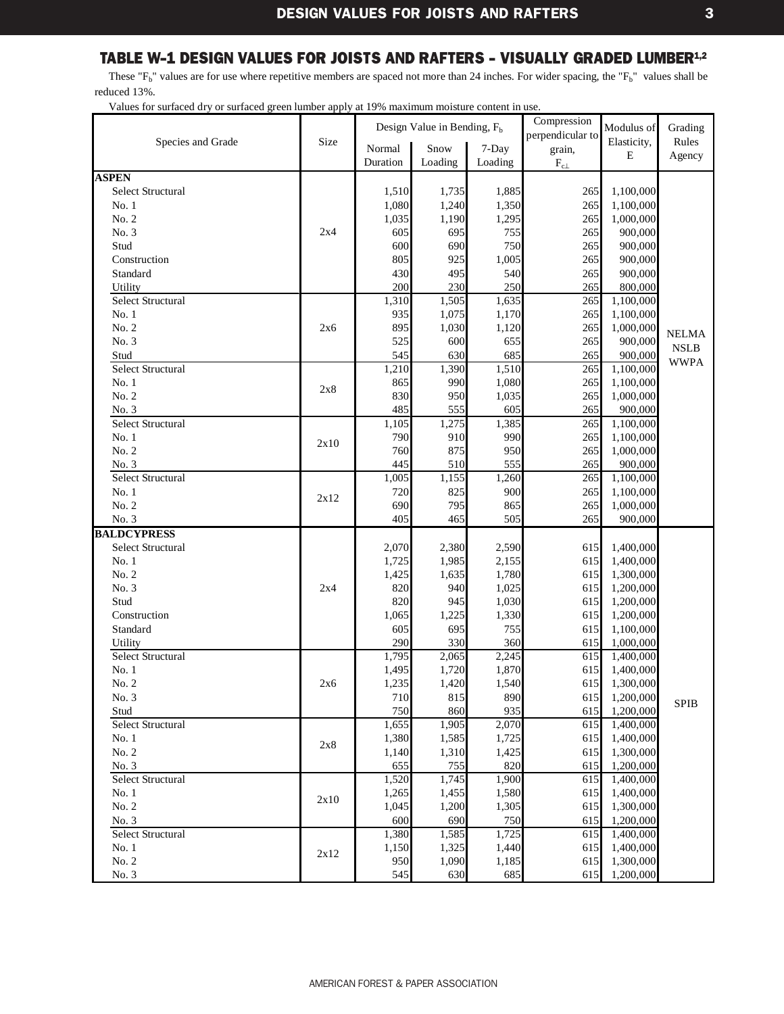<span id="page-5-0"></span>These " $F_b$ " values are for use where repetitive members are spaced not more than 24 inches. For wider spacing, the " $F_b$ " values shall be reduced 13%.

|                              |      |                | Design Value in Bending, $F_h$ |                | Compression      | Modulus of             | Grading      |
|------------------------------|------|----------------|--------------------------------|----------------|------------------|------------------------|--------------|
| Species and Grade            | Size |                |                                |                | perpendicular to | Elasticity,            | Rules        |
|                              |      | Normal         | Snow                           | 7-Day          | grain,           | E                      | Agency       |
|                              |      | Duration       | Loading                        | Loading        | $F_{c\perp}$     |                        |              |
| <b>ASPEN</b>                 |      |                |                                |                |                  |                        |              |
| <b>Select Structural</b>     |      | 1,510          | 1,735                          | 1,885          | 265              | 1,100,000              |              |
| No.1                         |      | 1,080          | 1,240                          | 1,350          | 265              | 1,100,000              |              |
| No. 2                        |      | 1,035          | 1,190                          | 1,295          | 265              | 1,000,000              |              |
| No. 3                        | 2x4  | 605            | 695                            | 755            | 265              | 900,000                |              |
| Stud                         |      | 600            | 690                            | 750            | 265              | 900,000                |              |
| Construction                 |      | 805            | 925                            | 1,005          | 265              | 900,000                |              |
| Standard                     |      | 430            | 495                            | 540            | 265<br>265       | 900,000                |              |
| Utility<br>Select Structural |      | 200<br>1,310   | 230<br>1,505                   | 250<br>1,635   | 265              | 800,000<br>1,100,000   |              |
| No.1                         |      | 935            | 1,075                          | 1,170          | 265              |                        |              |
| No. 2                        |      | 895            | 1,030                          | 1,120          | 265              | 1,100,000<br>1,000,000 |              |
| No. 3                        | 2x6  | 525            | 600                            | 655            | 265              | 900,000                | <b>NELMA</b> |
| Stud                         |      | 545            | 630                            | 685            | 265              | 900,000                | <b>NSLB</b>  |
| <b>Select Structural</b>     |      | 1,210          | 1,390                          | 1,510          | 265              | 1,100,000              | <b>WWPA</b>  |
| No.1                         |      | 865            | 990                            | 1,080          | 265              | 1,100,000              |              |
| No. 2                        | 2x8  | 830            | 950                            | 1,035          | 265              | 1,000,000              |              |
| No. 3                        |      | 485            | 555                            | 605            | 265              | 900,000                |              |
| <b>Select Structural</b>     |      | 1,105          | 1,275                          | 1,385          | 265              | 1,100,000              |              |
| No.1                         |      | 790            | 910                            | 990            | 265              | 1,100,000              |              |
| No. 2                        | 2x10 | 760            | 875                            | 950            | 265              | 1,000,000              |              |
| No. 3                        |      | 445            | 510                            | 555            | 265              | 900,000                |              |
| <b>Select Structural</b>     |      | 1,005          | 1,155                          | 1,260          | 265              | 1,100,000              |              |
| No.1                         |      | 720            | 825                            | 900            | 265              | 1,100,000              |              |
| No. 2                        | 2x12 | 690            | 795                            | 865            | 265              | 1,000,000              |              |
| No. 3                        |      | 405            | 465                            | 505            | 265              | 900,000                |              |
| <b>BALDCYPRESS</b>           |      |                |                                |                |                  |                        |              |
| <b>Select Structural</b>     |      | 2,070          | 2,380                          | 2,590          | 615              | 1,400,000              |              |
| No.1                         |      | 1,725          | 1,985                          | 2,155          | 615              | 1,400,000              |              |
| No. 2                        |      | 1,425          | 1,635                          | 1,780          | 615              | 1,300,000              |              |
| No. 3                        | 2x4  | 820            | 940                            | 1,025          | 615              | 1,200,000              |              |
| Stud                         |      | 820            | 945                            | 1,030          | 615              | 1,200,000              |              |
| Construction                 |      | 1,065          | 1,225                          | 1,330          | 615              | 1,200,000              |              |
| Standard                     |      | 605            | 695                            | 755            | 615              | 1,100,000              |              |
| Utility                      |      | 290            | 330                            | 360            | 615              | 1,000,000              |              |
| <b>Select Structural</b>     |      | 1,795          | 2,065                          | 2,245          | 615              | 1,400,000              |              |
| No.1                         |      | 1,495          | 1,720                          | 1,870          | 615              | 1,400,000              |              |
| No. 2                        | 2x6  | 1,235          | 1,420                          | 1,540          | 615              | 1,300,000              |              |
| No. 3                        |      | 710            | 815                            | 890            | 615              | 1,200,000              | <b>SPIB</b>  |
| Stud                         |      | 750            | 860                            | 935            | 615              | 1,200,000              |              |
| Select Structural            |      | 1,655          | 1,905                          | 2,070          | 615              | 1,400,000              |              |
| No. 1                        | 2x8  | 1,380          | 1,585                          | 1,725          | 615              | 1,400,000              |              |
| No. 2                        |      | 1,140          | 1,310                          | 1,425          | 615              | 1,300,000              |              |
| No. 3<br>Select Structural   |      | 655            | 755                            | 820            | 615              | 1,200,000<br>1,400,000 |              |
| No.1                         |      | 1,520<br>1,265 | 1,745<br>1,455                 | 1,900<br>1,580 | 615<br>615       | 1,400,000              |              |
| No. 2                        | 2x10 | 1,045          | 1,200                          | 1,305          | 615              | 1,300,000              |              |
| No. 3                        |      | 600            | 690                            | 750            | 615              | 1,200,000              |              |
| Select Structural            |      | 1,380          | 1,585                          | 1,725          | 615              | 1,400,000              |              |
| No. 1                        |      | 1,150          | 1,325                          | 1,440          | 615              | 1,400,000              |              |
| No. 2                        | 2x12 | 950            | 1,090                          | 1,185          | 615              | 1,300,000              |              |
| No. 3                        |      | 545            | 630                            | 685            | 615              | 1,200,000              |              |
|                              |      |                |                                |                |                  |                        |              |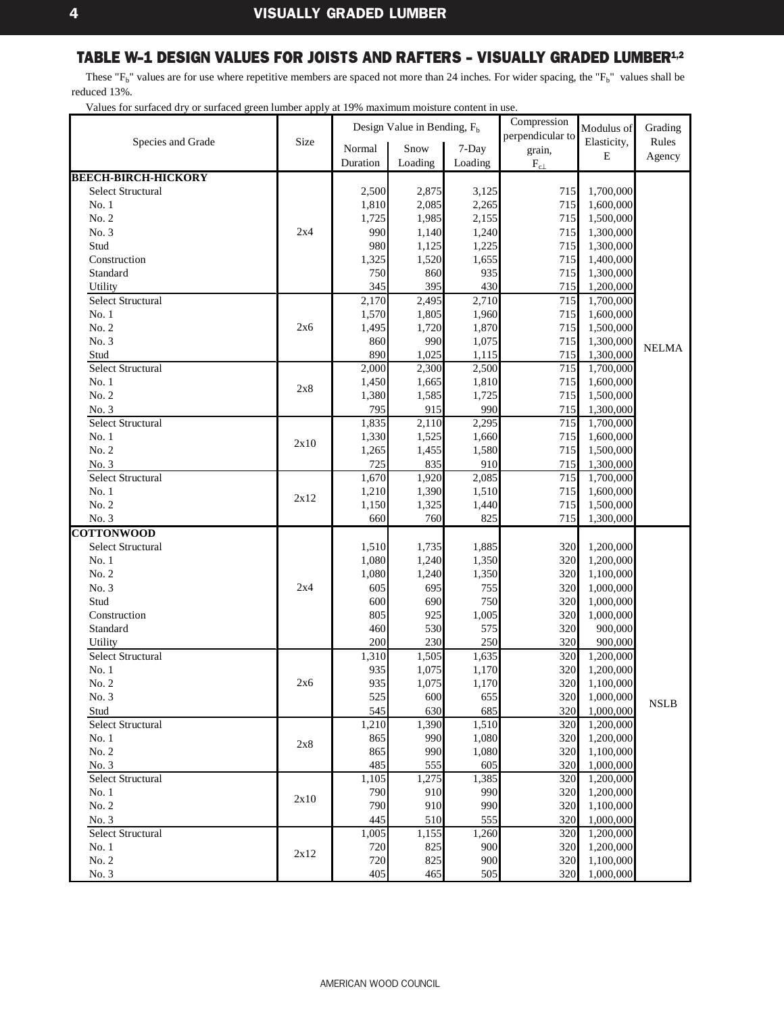<span id="page-6-0"></span>These " $F_b$ " values are for use where repetitive members are spaced not more than 24 inches. For wider spacing, the " $F_b$ " values shall be reduced 13%.

|                            |      |                | Design Value in Bending, $F_b$ |                | Compression      | Modulus of             | Grading     |
|----------------------------|------|----------------|--------------------------------|----------------|------------------|------------------------|-------------|
| Species and Grade          | Size |                |                                |                | perpendicular to | Elasticity,            | Rules       |
|                            |      | Normal         | Snow                           | 7-Day          | grain,           | Ε                      | Agency      |
|                            |      | Duration       | Loading                        | Loading        | $\rm F_{c\perp}$ |                        |             |
| <b>BEECH-BIRCH-HICKORY</b> |      |                |                                |                |                  |                        |             |
| <b>Select Structural</b>   |      | 2,500          | 2,875                          | 3,125          | 715              | 1,700,000              |             |
| No.1                       |      | 1,810          | 2,085                          | 2,265          | 715              | 1,600,000              |             |
| No. 2                      |      | 1,725          | 1,985                          | 2,155          | 715              | 1,500,000              |             |
| No. 3                      | 2x4  | 990            | 1,140                          | 1,240          | 715              | 1,300,000              |             |
| Stud                       |      | 980            | 1,125                          | 1,225          | 715              | 1,300,000              |             |
| Construction               |      | 1,325          | 1,520                          | 1,655          | 715              | 1,400,000              |             |
| Standard                   |      | 750            | 860                            | 935            | 715<br>715       | 1,300,000              |             |
| Utility                    |      | 345            | 395<br>2,495                   | 430            | 715              | 1,200,000              |             |
| Select Structural<br>No.1  |      | 2,170<br>1,570 | 1,805                          | 2,710<br>1,960 | 715              | 1,700,000<br>1,600,000 |             |
| No. 2                      | 2x6  | 1,495          | 1,720                          | 1,870          | 715              | 1,500,000              |             |
| No. 3                      |      | 860            | 990                            | 1,075          | 715              | 1,300,000              |             |
| Stud                       |      | 890            | 1,025                          | 1,115          | 715              | 1,300,000              | NELMA       |
| <b>Select Structural</b>   |      | 2,000          | 2,300                          | 2,500          | 715              | 1,700,000              |             |
| No.1                       |      | 1,450          | 1,665                          | 1,810          | 715              | 1,600,000              |             |
| No. 2                      | 2x8  | 1,380          | 1,585                          | 1,725          | 715              | 1,500,000              |             |
| No. 3                      |      | 795            | 915                            | 990            | 715              | 1,300,000              |             |
| <b>Select Structural</b>   |      | 1,835          | 2,110                          | 2,295          | 715              | 1,700,000              |             |
| No.1                       |      | 1,330          | 1,525                          | 1.660          | 715              | 1,600,000              |             |
| No. 2                      | 2x10 | 1,265          | 1,455                          | 1,580          | 715              | 1,500,000              |             |
| No. 3                      |      | 725            | 835                            | 910            | 715              | 1,300,000              |             |
| <b>Select Structural</b>   |      | 1,670          | 1,920                          | 2,085          | 715              | 1,700,000              |             |
| No. 1                      |      | 1,210          | 1,390                          | 1,510          | 715              | 1,600,000              |             |
| No. 2                      | 2x12 | 1,150          | 1,325                          | 1,440          | 715              | 1,500,000              |             |
| No. 3                      |      | 660            | 760                            | 825            | 715              | 1,300,000              |             |
| <b>COTTONWOOD</b>          |      |                |                                |                |                  |                        |             |
| Select Structural          |      | 1,510          | 1,735                          | 1,885          | 320              | 1,200,000              |             |
| No. 1                      |      | 1,080          | 1,240                          | 1,350          | 320              | 1,200,000              |             |
| No. 2                      |      | 1,080          | 1,240                          | 1,350          | 320              | 1,100,000              |             |
| No. 3                      | 2x4  | 605            | 695                            | 755            | 320              | 1,000,000              |             |
| Stud                       |      | 600            | 690                            | 750            | 320              | 1,000,000              |             |
| Construction               |      | 805            | 925                            | 1,005          | 320              | 1,000,000              |             |
| Standard                   |      | 460            | 530                            | 575            | 320              | 900,000                |             |
| Utility                    |      | 200            | 230                            | 250            | 320              | 900,000                |             |
| <b>Select Structural</b>   |      | 1,310          | 1,505                          | 1,635          | 320              | 1,200,000              |             |
| No. 1                      |      | 935            | 1,075                          | 1,170          | 320              | 1,200,000              |             |
| No. 2                      | 2x6  | 935            | 1,075                          | 1,170          | 320              | 1,100,000              |             |
| No. 3                      |      | 525            | 600                            | 655            | 320              | 1,000,000              | <b>NSLB</b> |
| Stud                       |      | 545            | 630                            | 685            | 320              | 1,000,000              |             |
| Select Structural          |      | 1,210          | 1,390                          | 1,510          | 320              | 1,200,000              |             |
| No. 1                      | 2x8  | 865            | 990                            | 1,080          | 320              | 1,200,000              |             |
| No. 2                      |      | 865            | 990                            | 1,080          | 320              | 1,100,000              |             |
| No. 3                      |      | 485            | 555                            | 605            | 320              | 1,000,000              |             |
| Select Structural          |      | 1,105          | 1,275                          | 1,385          | 320              | 1,200,000              |             |
| No.1                       | 2x10 | 790            | 910                            | 990            | 320              | 1,200,000              |             |
| No. 2                      |      | 790            | 910                            | 990            | 320              | 1,100,000              |             |
| No. 3                      |      | 445            | 510                            | 555            | 320              | 1,000,000              |             |
| Select Structural          |      | 1,005          | 1,155                          | 1,260          | 320              | 1,200,000              |             |
| No.1                       | 2x12 | 720            | 825                            | 900            | 320              | 1,200,000              |             |
| No. 2                      |      | 720            | 825                            | 900            | 320              | 1,100,000              |             |
| No. 3                      |      | 405            | 465                            | 505            | 320              | 1,000,000              |             |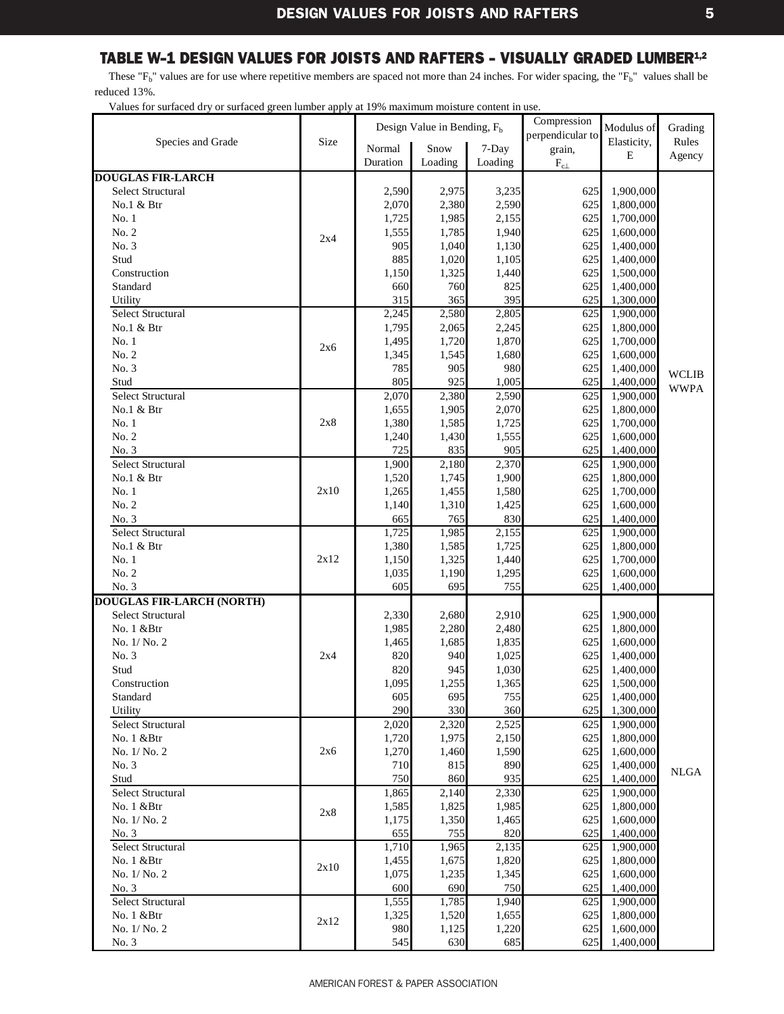<span id="page-7-0"></span>These " $F_b$ " values are for use where repetitive members are spaced not more than 24 inches. For wider spacing, the " $F_b$ " values shall be reduced 13%.

|                                   |      | Compression<br>Design Value in Bending, F <sub>b</sub> |                    |         |                  | Modulus of             | Grading      |
|-----------------------------------|------|--------------------------------------------------------|--------------------|---------|------------------|------------------------|--------------|
| Species and Grade                 | Size |                                                        |                    |         | perpendicular to | Elasticity,            | Rules        |
|                                   |      | Normal                                                 | Snow               | 7-Day   | grain,           | E                      | Agency       |
|                                   |      | Duration                                               | Loading            | Loading | $\rm F_{c\perp}$ |                        |              |
| <b>DOUGLAS FIR-LARCH</b>          |      |                                                        |                    |         |                  |                        |              |
| <b>Select Structural</b>          |      | 2,590                                                  | 2,975              | 3,235   | 625              | 1,900,000              |              |
| No.1 & Btr                        |      | 2,070                                                  | 2,380              | 2,590   | 625              | 1,800,000              |              |
| No.1                              |      | 1,725                                                  | 1,985              | 2,155   | 625              | 1,700,000              |              |
| No. 2                             | 2x4  | 1,555                                                  | 1,785              | 1,940   | 625              | 1,600,000              |              |
| No. 3                             |      | 905                                                    | 1,040              | 1,130   | 625              | 1,400,000              |              |
| Stud                              |      | 885                                                    | 1,020              | 1,105   | 625              | 1,400,000              |              |
| Construction                      |      | 1,150                                                  | 1,325              | 1,440   | 625              | 1,500,000              |              |
| Standard                          |      | 660                                                    | 760                | 825     | 625              | 1,400,000              |              |
| Utility                           |      | 315                                                    | 365                | 395     | 625              | 1,300,000              |              |
| Select Structural                 |      | 2,245                                                  | 2,580              | 2,805   | 625              | 1,900,000              |              |
| No.1 & Btr                        |      | 1,795                                                  | 2,065              | 2,245   | 625              | 1,800,000              |              |
| No.1                              |      | 1,495                                                  | 1,720              | 1,870   | 625              | 1,700,000              |              |
| No. 2                             | 2x6  | 1,345                                                  | 1,545              | 1,680   | 625              | 1,600,000              |              |
| No. 3                             |      | 785                                                    | 905                | 980     | 625              | 1,400,000              |              |
| Stud                              |      | 805                                                    | 925                | 1,005   | 625              | 1,400,000              | <b>WCLIB</b> |
| Select Structural                 |      | 2,070                                                  | 2,380              | 2,590   | 625              | 1,900,000              | <b>WWPA</b>  |
| No.1 & Btr                        |      | 1,655                                                  | 1,905              | 2,070   | 625              | 1,800,000              |              |
| No.1                              | 2x8  | 1,380                                                  | 1,585              | 1,725   | 625              | 1,700,000              |              |
| No. 2                             |      | 1,240                                                  | 1,430              | 1,555   | 625              | 1,600,000              |              |
| No. 3                             |      | 725                                                    | 835                | 905     | 625              | 1,400,000              |              |
| <b>Select Structural</b>          |      | 1,900                                                  | 2,180              | 2,370   | 625              | 1,900,000              |              |
| No.1 & Btr                        |      | 1,520                                                  | 1,745              | 1,900   | 625              | 1,800,000              |              |
| No.1                              | 2x10 | 1,265                                                  | 1,455              | 1,580   | 625              | 1,700,000              |              |
| No. 2                             |      | 1,140                                                  | 1,310              | 1,425   | 625              | 1,600,000              |              |
|                                   |      | 665                                                    | 765                | 830     | 625              |                        |              |
| No. 3<br><b>Select Structural</b> |      | 1,725                                                  | 1,985              | 2,155   | 625              | 1,400,000<br>1,900,000 |              |
| No.1 & Btr                        |      |                                                        |                    |         |                  |                        |              |
|                                   |      | 1,380                                                  | 1,585              | 1,725   | 625              | 1,800,000              |              |
| No.1                              | 2x12 | 1,150                                                  | 1,325              | 1,440   | 625              | 1,700,000              |              |
| No. 2                             |      | 1,035                                                  | 1,190              | 1,295   | 625              | 1,600,000              |              |
| No. 3                             |      | 605                                                    | 695                | 755     | 625              | 1,400,000              |              |
| <b>DOUGLAS FIR-LARCH (NORTH)</b>  |      |                                                        |                    |         |                  |                        |              |
| <b>Select Structural</b>          |      | 2,330                                                  | 2,680              | 2,910   | 625              | 1,900,000              |              |
| No. 1 &Btr                        |      | 1,985                                                  | 2,280              | 2,480   | 625              | 1,800,000              |              |
| No. 1/ No. 2                      |      | 1,465                                                  | 1,685              | 1,835   | 625              | 1,600,000              |              |
| No. 3                             | 2x4  | 820                                                    | 940                | 1,025   | 625              | 1,400,000              |              |
| Stud                              |      | 820                                                    | 945                | 1,030   | 625              | 1,400,000              |              |
| Construction                      |      | 1,095                                                  | 1,255              | 1,365   | 625              | 1,500,000              |              |
| Standard                          |      | 605                                                    | 695                | 755     | 625              | 1,400,000              |              |
| Utility                           |      | 290                                                    | 330                | 360     | 625              | 1,300,000              |              |
| Select Structural                 |      | 2,020                                                  | $\overline{2,320}$ | 2,525   | 625              | 1,900,000              |              |
| No. 1 &Btr                        |      | 1,720                                                  | 1,975              | 2,150   | 625              | 1,800,000              |              |
| No. 1/No. 2                       | 2x6  | 1,270                                                  | 1,460              | 1,590   | 625              | 1,600,000              |              |
| No. 3                             |      | 710                                                    | 815                | 890     | 625              | 1,400,000              | <b>NLGA</b>  |
| Stud                              |      | 750                                                    | 860                | 935     | 625              | 1,400,000              |              |
| Select Structural                 |      | 1,865                                                  | 2,140              | 2,330   | 625              | 1,900,000              |              |
| No. 1 & Btr                       |      | 1,585                                                  | 1,825              | 1,985   | 625              | 1,800,000              |              |
| No. 1/ No. 2                      | 2x8  | 1,175                                                  | 1,350              | 1,465   | 625              | 1,600,000              |              |
| No. 3                             |      | 655                                                    | 755                | 820     | 625              | 1,400,000              |              |
| Select Structural                 |      | 1,710                                                  | 1,965              | 2,135   | 625              | 1,900,000              |              |
| No. 1 &Btr                        |      | 1,455                                                  | 1,675              | 1,820   | 625              | 1,800,000              |              |
| No. 1/ No. 2                      | 2x10 | 1,075                                                  | 1,235              | 1,345   | 625              | 1,600,000              |              |
| No. 3                             |      | 600                                                    | 690                | 750     | 625              | 1,400,000              |              |
| Select Structural                 |      | 1,555                                                  | 1,785              | 1,940   | 625              | 1,900,000              |              |
| No. 1 & Btr                       |      | 1,325                                                  | 1,520              | 1,655   | 625              | 1,800,000              |              |
| No. 1/ No. 2                      | 2x12 | 980                                                    | 1,125              | 1,220   | 625              | 1,600,000              |              |
|                                   |      | 545                                                    | 630                | 685     | 625              |                        |              |
| No. 3                             |      |                                                        |                    |         |                  | 1,400,000              |              |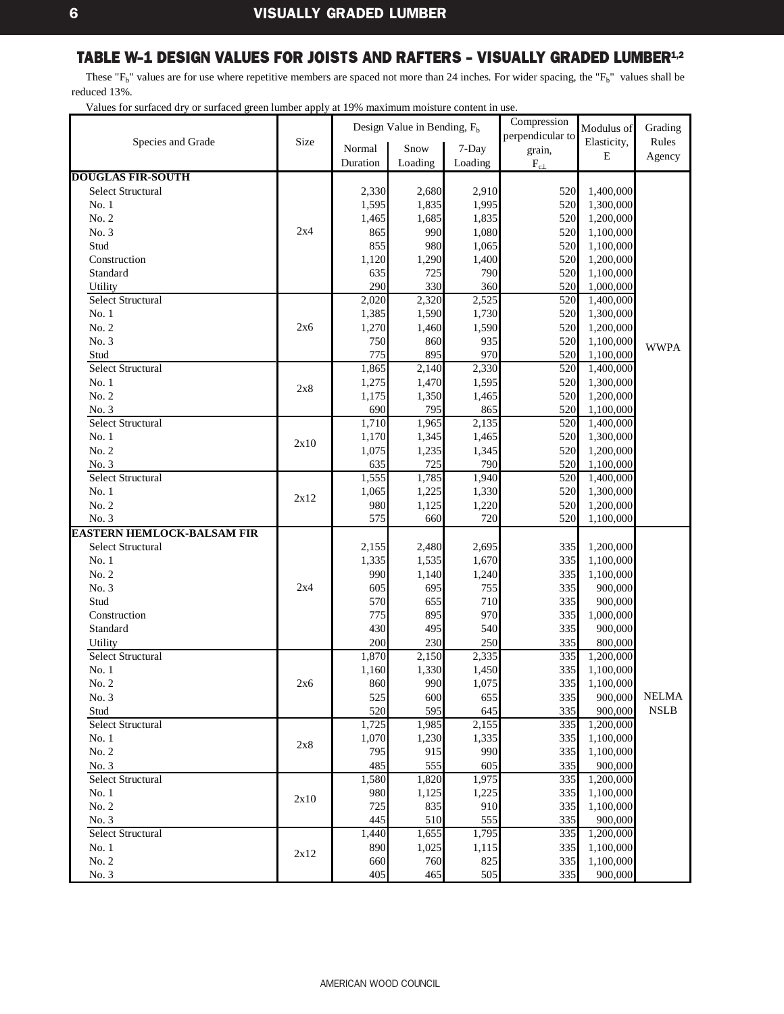<span id="page-8-0"></span>These " $F_b$ " values are for use where repetitive members are spaced not more than 24 inches. For wider spacing, the " $F_b$ " values shall be reduced 13%.

|                                   |      |                | Design Value in Bending, $F_b$ |                | Compression      | Modulus of             | Grading                      |
|-----------------------------------|------|----------------|--------------------------------|----------------|------------------|------------------------|------------------------------|
| Species and Grade                 | Size |                |                                |                | perpendicular to | Elasticity,            | Rules                        |
|                                   |      | Normal         | Snow                           | 7-Day          | grain,           | Ε                      | Agency                       |
|                                   |      | Duration       | Loading                        | Loading        | $\rm F_{c\perp}$ |                        |                              |
| <b>DOUGLAS FIR-SOUTH</b>          |      |                |                                |                |                  |                        |                              |
| <b>Select Structural</b>          |      | 2,330          | 2,680                          | 2,910          | 520              | 1,400,000              |                              |
| No. 1                             |      | 1,595          | 1,835                          | 1,995          | 520              | 1,300,000              |                              |
| No. 2                             |      | 1,465          | 1,685                          | 1,835          | 520              | 1,200,000              |                              |
| No. 3                             | 2x4  | 865            | 990                            | 1,080          | 520              | 1,100,000              |                              |
| Stud                              |      | 855            | 980                            | 1,065          | 520              | 1,100,000              |                              |
| Construction                      |      | 1,120          | 1,290                          | 1,400          | 520              | 1,200,000              |                              |
| Standard                          |      | 635            | 725                            | 790            | 520              | 1,100,000              |                              |
| Utility                           |      | 290            | 330                            | 360            | 520              | 1,000,000              |                              |
| <b>Select Structural</b><br>No. 1 |      | 2,020          | 2,320                          | 2,525          | 520              | 1,400,000              |                              |
| No. 2                             |      | 1,385<br>1,270 | 1,590<br>1,460                 | 1,730<br>1,590 | 520<br>520       | 1,300,000<br>1,200,000 |                              |
| No. 3                             | 2x6  | 750            | 860                            | 935            | 520              | 1,100,000              |                              |
| Stud                              |      | 775            | 895                            | 970            | 520              | 1,100,000              | <b>WWPA</b>                  |
| <b>Select Structural</b>          |      | 1,865          | 2,140                          | 2,330          | 520              | 1,400,000              |                              |
| No.1                              |      | 1,275          | 1,470                          | 1,595          | 520              | 1,300,000              |                              |
| No. 2                             | 2x8  | 1,175          | 1,350                          | 1,465          | 520              | 1,200,000              |                              |
| No. 3                             |      | 690            | 795                            | 865            | 520              | 1,100,000              |                              |
| <b>Select Structural</b>          |      | 1,710          | 1,965                          | 2,135          | 520              | 1,400,000              |                              |
| No. 1                             |      | 1,170          | 1,345                          | 1,465          | 520              | 1,300,000              |                              |
| No. 2                             | 2x10 | 1,075          | 1,235                          | 1,345          | 520              | 1,200,000              |                              |
| No. 3                             |      | 635            | 725                            | 790            | 520              | 1,100,000              |                              |
| Select Structural                 |      | 1,555          | 1,785                          | 1,940          | 520              | 1,400,000              |                              |
| No. 1                             |      | 1,065          | 1,225                          | 1,330          | 520              | 1,300,000              |                              |
| No. 2                             | 2x12 | 980            | 1,125                          | 1,220          | 520              | 1,200,000              |                              |
| No. 3                             |      | 575            | 660                            | 720            | 520              | 1,100,000              |                              |
| <b>EASTERN HEMLOCK-BALSAM FIR</b> |      |                |                                |                |                  |                        |                              |
| Select Structural                 |      | 2,155          | 2,480                          | 2,695          | 335              | 1,200,000              |                              |
| No. 1                             |      | 1,335          | 1,535                          | 1,670          | 335              | 1,100,000              |                              |
| No. 2                             |      | 990            | 1,140                          | 1,240          | 335              | 1,100,000              |                              |
| No. 3                             | 2x4  | 605            | 695                            | 755            | 335              | 900,000                |                              |
| Stud                              |      | 570            | 655                            | 710            | 335              | 900,000                |                              |
| Construction                      |      | 775            | 895                            | 970            | 335              | 1,000,000              |                              |
| Standard                          |      | 430            | 495                            | 540            | 335              | 900,000                |                              |
| Utility                           |      | 200            | 230                            | 250            | 335              | 800,000                |                              |
| Select Structural                 |      | 1,870          | 2,150                          | 2,335          | 335              | 1,200,000              |                              |
| No. 1                             |      | 1,160          | 1,330                          | 1,450          | 335              | 1,100,000              |                              |
| No. 2                             | 2x6  | 860            | 990                            | 1,075          | 335              | 1,100,000              |                              |
| No. 3                             |      | 525            | 600                            | 655            | 335              | 900,000                | <b>NELMA</b>                 |
| Stud                              |      | 520            | 595                            | 645            | 335              | 900,000                | $\ensuremath{\mathsf{NSLB}}$ |
| Select Structural                 |      | 1,725          | 1,985                          | 2,155          | 335              | 1,200,000              |                              |
| No. 1                             | 2x8  | 1,070          | 1,230                          | 1,335          | 335              | 1,100,000              |                              |
| No. 2                             |      | 795            | 915                            | 990            | 335              | 1,100,000              |                              |
| No. 3                             |      | 485            | 555                            | 605            | 335              | 900,000                |                              |
| Select Structural                 |      | 1,580          | 1,820                          | 1,975          | 335              | 1,200,000              |                              |
| No. 1                             | 2x10 | 980            | 1,125                          | 1,225          | 335              | 1,100,000              |                              |
| No. 2                             |      | 725            | 835                            | 910            | 335              | 1,100,000              |                              |
| No. 3                             |      | 445            | 510                            | 555            | 335              | 900,000                |                              |
| Select Structural                 |      | 1,440          | 1,655                          | 1,795          | 335              | 1,200,000              |                              |
| No.1                              | 2x12 | 890            | 1,025                          | 1,115          | 335              | 1,100,000              |                              |
| No. 2                             |      | 660            | 760                            | 825            | 335              | 1,100,000              |                              |
| No. 3                             |      | 405            | 465                            | 505            | 335              | 900,000                |                              |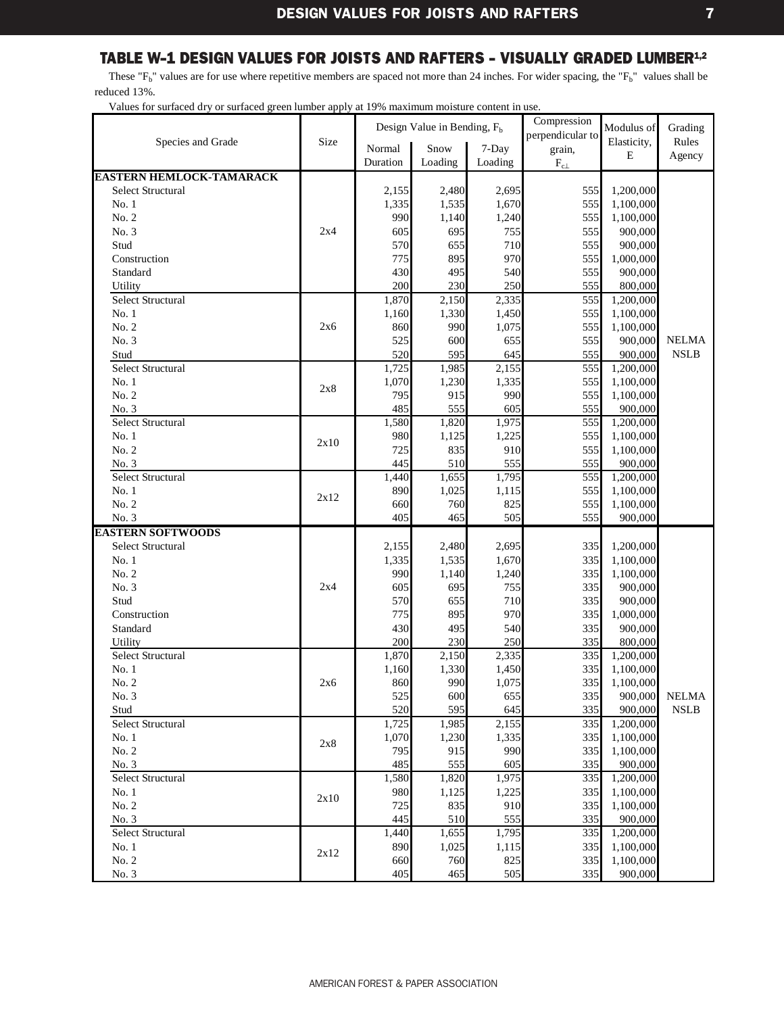<span id="page-9-0"></span>These " $F_b$ " values are for use where repetitive members are spaced not more than 24 inches. For wider spacing, the " $F_b$ " values shall be reduced 13%.

| Size<br>Elasticity,<br>Rules<br>Species and Grade<br>Snow<br>Normal<br>7-Day<br>grain,<br>E<br>Agency<br>Duration<br>Loading<br>Loading<br>$\rm F_{c\perp}$<br><b>EASTERN HEMLOCK-TAMARACK</b><br><b>Select Structural</b><br>2,695<br>1,200,000<br>2,155<br>2,480<br>555<br>1,670<br>555<br>1,335<br>1,535<br>1,100,000<br>No.1<br>990<br>No. 2<br>1,240<br>555<br>1,140<br>1,100,000<br>No. 3<br>2x4<br>605<br>695<br>755<br>555<br>900,000<br>570<br>555<br>Stud<br>655<br>710<br>900,000<br>895<br>970<br>555<br>Construction<br>775<br>1,000,000<br>430<br>495<br>555<br>Standard<br>540<br>900,000<br>200<br>230<br>250<br>555<br>Utility<br>800,000<br>1,870<br>Select Structural<br>2,150<br>2,335<br>555<br>1,200,000<br>No.1<br>1,160<br>1,330<br>1,450<br>555<br>1,100,000<br>990<br>1,075<br>555<br>No. 2<br>2x6<br>860<br>1,100,000<br>525<br>No. 3<br>600<br>655<br>555<br>900,000<br><b>NELMA</b><br>520<br>595<br><b>NSLB</b><br>Stud<br>645<br>555<br>900,000<br>Select Structural<br>1,725<br>555<br>1,985<br>2,155<br>1,200,000<br>No.1<br>1,070<br>1,230<br>1,335<br>555<br>1,100,000<br>2x8<br>795<br>915<br>990<br>555<br>No. 2<br>1,100,000<br>485<br>No. 3<br>555<br>605<br>555<br>900,000<br>Select Structural<br>1,580<br>1,820<br>1,975<br>555<br>1,200,000<br>No.1<br>980<br>1,125<br>1,225<br>555<br>1,100,000<br>2x10<br>725<br>835<br>910<br>555<br>No. 2<br>1,100,000<br>445<br>No. 3<br>510<br>555<br>555<br>900,000<br>Select Structural<br>1,795<br>555<br>1,440<br>1,655<br>1,200,000<br>890<br>No.1<br>1,025<br>555<br>1,115<br>1,100,000<br>2x12<br>660<br>760<br>825<br>555<br>No. 2<br>1,100,000<br>No. 3<br>405<br>555<br>465<br>505<br>900,000<br><b>EASTERN SOFTWOODS</b><br><b>Select Structural</b><br>335<br>1,200,000<br>2,155<br>2,480<br>2,695<br>1,670<br>335<br>No.1<br>1,335<br>1,535<br>1,100,000<br>No. 2<br>990<br>1,140<br>1,240<br>335<br>1,100,000<br>695<br>No. 3<br>2x4<br>605<br>755<br>335<br>900,000<br>Stud<br>570<br>655<br>335<br>900,000<br>710<br>775<br>895<br>Construction<br>970<br>335<br>1,000,000<br>430<br>335<br>495<br>540<br>900,000<br>Standard<br>335<br>200<br>230<br>250<br>800,000<br>Utility<br><b>Select Structural</b><br>1,870<br>2,335<br>335<br>2,150<br>1,200,000<br>No.1<br>335<br>1,160<br>1,330<br>1,450<br>1,100,000<br>1,075<br>335<br>No. 2<br>860<br>990<br>1,100,000<br>2x6<br>600<br>335<br>900,000<br><b>NELMA</b><br>525<br>655<br>No. 3<br>$\ensuremath{\mathsf{NSLB}}$<br>520<br>595<br>335<br>900,000<br>Stud<br>645<br>335<br>Select Structural<br>1,725<br>1,985<br>2,155<br>1,200,000<br>No. 1<br>1,070<br>1,230<br>1,335<br>335<br>1,100,000<br>2x8<br>No. 2<br>795<br>990<br>335<br>915<br>1,100,000<br>335<br>485<br>555<br>605<br>900,000<br>No. 3<br>Select Structural<br>1,580<br>1,820<br>1,975<br>335<br>1,200,000<br>No.1<br>980<br>1,125<br>1,225<br>335<br>1,100,000<br>2x10<br>No. 2<br>725<br>835<br>335<br>910<br>1,100,000<br>335<br>445<br>510<br>555<br>900,000<br>No. 3<br>Select Structural<br>1,440<br>1,655<br>1,795<br>335<br>1,200,000<br>890<br>1,025<br>335<br>1,100,000<br>No. 1<br>1,115<br>2x12<br>No. 2<br>335<br>1,100,000<br>660<br>760<br>825<br>405<br>335<br>900,000<br>No. 3<br>465<br>505 |  | Design Value in Bending, $Fb$ | Compression      | Modulus of | Grading |
|------------------------------------------------------------------------------------------------------------------------------------------------------------------------------------------------------------------------------------------------------------------------------------------------------------------------------------------------------------------------------------------------------------------------------------------------------------------------------------------------------------------------------------------------------------------------------------------------------------------------------------------------------------------------------------------------------------------------------------------------------------------------------------------------------------------------------------------------------------------------------------------------------------------------------------------------------------------------------------------------------------------------------------------------------------------------------------------------------------------------------------------------------------------------------------------------------------------------------------------------------------------------------------------------------------------------------------------------------------------------------------------------------------------------------------------------------------------------------------------------------------------------------------------------------------------------------------------------------------------------------------------------------------------------------------------------------------------------------------------------------------------------------------------------------------------------------------------------------------------------------------------------------------------------------------------------------------------------------------------------------------------------------------------------------------------------------------------------------------------------------------------------------------------------------------------------------------------------------------------------------------------------------------------------------------------------------------------------------------------------------------------------------------------------------------------------------------------------------------------------------------------------------------------------------------------------------------------------------------------------------------------------------------------------------------------------------------------------------------------------------------------------------------------------------------------------------------------------------------------------------------------------------------------------------------------------------------------------------------------------------------------------------------------------------------------------------------------------------------------------------------------------------------------------------------------------------------------------------------------|--|-------------------------------|------------------|------------|---------|
|                                                                                                                                                                                                                                                                                                                                                                                                                                                                                                                                                                                                                                                                                                                                                                                                                                                                                                                                                                                                                                                                                                                                                                                                                                                                                                                                                                                                                                                                                                                                                                                                                                                                                                                                                                                                                                                                                                                                                                                                                                                                                                                                                                                                                                                                                                                                                                                                                                                                                                                                                                                                                                                                                                                                                                                                                                                                                                                                                                                                                                                                                                                                                                                                                                          |  |                               | perpendicular to |            |         |
|                                                                                                                                                                                                                                                                                                                                                                                                                                                                                                                                                                                                                                                                                                                                                                                                                                                                                                                                                                                                                                                                                                                                                                                                                                                                                                                                                                                                                                                                                                                                                                                                                                                                                                                                                                                                                                                                                                                                                                                                                                                                                                                                                                                                                                                                                                                                                                                                                                                                                                                                                                                                                                                                                                                                                                                                                                                                                                                                                                                                                                                                                                                                                                                                                                          |  |                               |                  |            |         |
|                                                                                                                                                                                                                                                                                                                                                                                                                                                                                                                                                                                                                                                                                                                                                                                                                                                                                                                                                                                                                                                                                                                                                                                                                                                                                                                                                                                                                                                                                                                                                                                                                                                                                                                                                                                                                                                                                                                                                                                                                                                                                                                                                                                                                                                                                                                                                                                                                                                                                                                                                                                                                                                                                                                                                                                                                                                                                                                                                                                                                                                                                                                                                                                                                                          |  |                               |                  |            |         |
|                                                                                                                                                                                                                                                                                                                                                                                                                                                                                                                                                                                                                                                                                                                                                                                                                                                                                                                                                                                                                                                                                                                                                                                                                                                                                                                                                                                                                                                                                                                                                                                                                                                                                                                                                                                                                                                                                                                                                                                                                                                                                                                                                                                                                                                                                                                                                                                                                                                                                                                                                                                                                                                                                                                                                                                                                                                                                                                                                                                                                                                                                                                                                                                                                                          |  |                               |                  |            |         |
|                                                                                                                                                                                                                                                                                                                                                                                                                                                                                                                                                                                                                                                                                                                                                                                                                                                                                                                                                                                                                                                                                                                                                                                                                                                                                                                                                                                                                                                                                                                                                                                                                                                                                                                                                                                                                                                                                                                                                                                                                                                                                                                                                                                                                                                                                                                                                                                                                                                                                                                                                                                                                                                                                                                                                                                                                                                                                                                                                                                                                                                                                                                                                                                                                                          |  |                               |                  |            |         |
|                                                                                                                                                                                                                                                                                                                                                                                                                                                                                                                                                                                                                                                                                                                                                                                                                                                                                                                                                                                                                                                                                                                                                                                                                                                                                                                                                                                                                                                                                                                                                                                                                                                                                                                                                                                                                                                                                                                                                                                                                                                                                                                                                                                                                                                                                                                                                                                                                                                                                                                                                                                                                                                                                                                                                                                                                                                                                                                                                                                                                                                                                                                                                                                                                                          |  |                               |                  |            |         |
|                                                                                                                                                                                                                                                                                                                                                                                                                                                                                                                                                                                                                                                                                                                                                                                                                                                                                                                                                                                                                                                                                                                                                                                                                                                                                                                                                                                                                                                                                                                                                                                                                                                                                                                                                                                                                                                                                                                                                                                                                                                                                                                                                                                                                                                                                                                                                                                                                                                                                                                                                                                                                                                                                                                                                                                                                                                                                                                                                                                                                                                                                                                                                                                                                                          |  |                               |                  |            |         |
|                                                                                                                                                                                                                                                                                                                                                                                                                                                                                                                                                                                                                                                                                                                                                                                                                                                                                                                                                                                                                                                                                                                                                                                                                                                                                                                                                                                                                                                                                                                                                                                                                                                                                                                                                                                                                                                                                                                                                                                                                                                                                                                                                                                                                                                                                                                                                                                                                                                                                                                                                                                                                                                                                                                                                                                                                                                                                                                                                                                                                                                                                                                                                                                                                                          |  |                               |                  |            |         |
|                                                                                                                                                                                                                                                                                                                                                                                                                                                                                                                                                                                                                                                                                                                                                                                                                                                                                                                                                                                                                                                                                                                                                                                                                                                                                                                                                                                                                                                                                                                                                                                                                                                                                                                                                                                                                                                                                                                                                                                                                                                                                                                                                                                                                                                                                                                                                                                                                                                                                                                                                                                                                                                                                                                                                                                                                                                                                                                                                                                                                                                                                                                                                                                                                                          |  |                               |                  |            |         |
|                                                                                                                                                                                                                                                                                                                                                                                                                                                                                                                                                                                                                                                                                                                                                                                                                                                                                                                                                                                                                                                                                                                                                                                                                                                                                                                                                                                                                                                                                                                                                                                                                                                                                                                                                                                                                                                                                                                                                                                                                                                                                                                                                                                                                                                                                                                                                                                                                                                                                                                                                                                                                                                                                                                                                                                                                                                                                                                                                                                                                                                                                                                                                                                                                                          |  |                               |                  |            |         |
|                                                                                                                                                                                                                                                                                                                                                                                                                                                                                                                                                                                                                                                                                                                                                                                                                                                                                                                                                                                                                                                                                                                                                                                                                                                                                                                                                                                                                                                                                                                                                                                                                                                                                                                                                                                                                                                                                                                                                                                                                                                                                                                                                                                                                                                                                                                                                                                                                                                                                                                                                                                                                                                                                                                                                                                                                                                                                                                                                                                                                                                                                                                                                                                                                                          |  |                               |                  |            |         |
|                                                                                                                                                                                                                                                                                                                                                                                                                                                                                                                                                                                                                                                                                                                                                                                                                                                                                                                                                                                                                                                                                                                                                                                                                                                                                                                                                                                                                                                                                                                                                                                                                                                                                                                                                                                                                                                                                                                                                                                                                                                                                                                                                                                                                                                                                                                                                                                                                                                                                                                                                                                                                                                                                                                                                                                                                                                                                                                                                                                                                                                                                                                                                                                                                                          |  |                               |                  |            |         |
|                                                                                                                                                                                                                                                                                                                                                                                                                                                                                                                                                                                                                                                                                                                                                                                                                                                                                                                                                                                                                                                                                                                                                                                                                                                                                                                                                                                                                                                                                                                                                                                                                                                                                                                                                                                                                                                                                                                                                                                                                                                                                                                                                                                                                                                                                                                                                                                                                                                                                                                                                                                                                                                                                                                                                                                                                                                                                                                                                                                                                                                                                                                                                                                                                                          |  |                               |                  |            |         |
|                                                                                                                                                                                                                                                                                                                                                                                                                                                                                                                                                                                                                                                                                                                                                                                                                                                                                                                                                                                                                                                                                                                                                                                                                                                                                                                                                                                                                                                                                                                                                                                                                                                                                                                                                                                                                                                                                                                                                                                                                                                                                                                                                                                                                                                                                                                                                                                                                                                                                                                                                                                                                                                                                                                                                                                                                                                                                                                                                                                                                                                                                                                                                                                                                                          |  |                               |                  |            |         |
|                                                                                                                                                                                                                                                                                                                                                                                                                                                                                                                                                                                                                                                                                                                                                                                                                                                                                                                                                                                                                                                                                                                                                                                                                                                                                                                                                                                                                                                                                                                                                                                                                                                                                                                                                                                                                                                                                                                                                                                                                                                                                                                                                                                                                                                                                                                                                                                                                                                                                                                                                                                                                                                                                                                                                                                                                                                                                                                                                                                                                                                                                                                                                                                                                                          |  |                               |                  |            |         |
|                                                                                                                                                                                                                                                                                                                                                                                                                                                                                                                                                                                                                                                                                                                                                                                                                                                                                                                                                                                                                                                                                                                                                                                                                                                                                                                                                                                                                                                                                                                                                                                                                                                                                                                                                                                                                                                                                                                                                                                                                                                                                                                                                                                                                                                                                                                                                                                                                                                                                                                                                                                                                                                                                                                                                                                                                                                                                                                                                                                                                                                                                                                                                                                                                                          |  |                               |                  |            |         |
|                                                                                                                                                                                                                                                                                                                                                                                                                                                                                                                                                                                                                                                                                                                                                                                                                                                                                                                                                                                                                                                                                                                                                                                                                                                                                                                                                                                                                                                                                                                                                                                                                                                                                                                                                                                                                                                                                                                                                                                                                                                                                                                                                                                                                                                                                                                                                                                                                                                                                                                                                                                                                                                                                                                                                                                                                                                                                                                                                                                                                                                                                                                                                                                                                                          |  |                               |                  |            |         |
|                                                                                                                                                                                                                                                                                                                                                                                                                                                                                                                                                                                                                                                                                                                                                                                                                                                                                                                                                                                                                                                                                                                                                                                                                                                                                                                                                                                                                                                                                                                                                                                                                                                                                                                                                                                                                                                                                                                                                                                                                                                                                                                                                                                                                                                                                                                                                                                                                                                                                                                                                                                                                                                                                                                                                                                                                                                                                                                                                                                                                                                                                                                                                                                                                                          |  |                               |                  |            |         |
|                                                                                                                                                                                                                                                                                                                                                                                                                                                                                                                                                                                                                                                                                                                                                                                                                                                                                                                                                                                                                                                                                                                                                                                                                                                                                                                                                                                                                                                                                                                                                                                                                                                                                                                                                                                                                                                                                                                                                                                                                                                                                                                                                                                                                                                                                                                                                                                                                                                                                                                                                                                                                                                                                                                                                                                                                                                                                                                                                                                                                                                                                                                                                                                                                                          |  |                               |                  |            |         |
|                                                                                                                                                                                                                                                                                                                                                                                                                                                                                                                                                                                                                                                                                                                                                                                                                                                                                                                                                                                                                                                                                                                                                                                                                                                                                                                                                                                                                                                                                                                                                                                                                                                                                                                                                                                                                                                                                                                                                                                                                                                                                                                                                                                                                                                                                                                                                                                                                                                                                                                                                                                                                                                                                                                                                                                                                                                                                                                                                                                                                                                                                                                                                                                                                                          |  |                               |                  |            |         |
|                                                                                                                                                                                                                                                                                                                                                                                                                                                                                                                                                                                                                                                                                                                                                                                                                                                                                                                                                                                                                                                                                                                                                                                                                                                                                                                                                                                                                                                                                                                                                                                                                                                                                                                                                                                                                                                                                                                                                                                                                                                                                                                                                                                                                                                                                                                                                                                                                                                                                                                                                                                                                                                                                                                                                                                                                                                                                                                                                                                                                                                                                                                                                                                                                                          |  |                               |                  |            |         |
|                                                                                                                                                                                                                                                                                                                                                                                                                                                                                                                                                                                                                                                                                                                                                                                                                                                                                                                                                                                                                                                                                                                                                                                                                                                                                                                                                                                                                                                                                                                                                                                                                                                                                                                                                                                                                                                                                                                                                                                                                                                                                                                                                                                                                                                                                                                                                                                                                                                                                                                                                                                                                                                                                                                                                                                                                                                                                                                                                                                                                                                                                                                                                                                                                                          |  |                               |                  |            |         |
|                                                                                                                                                                                                                                                                                                                                                                                                                                                                                                                                                                                                                                                                                                                                                                                                                                                                                                                                                                                                                                                                                                                                                                                                                                                                                                                                                                                                                                                                                                                                                                                                                                                                                                                                                                                                                                                                                                                                                                                                                                                                                                                                                                                                                                                                                                                                                                                                                                                                                                                                                                                                                                                                                                                                                                                                                                                                                                                                                                                                                                                                                                                                                                                                                                          |  |                               |                  |            |         |
|                                                                                                                                                                                                                                                                                                                                                                                                                                                                                                                                                                                                                                                                                                                                                                                                                                                                                                                                                                                                                                                                                                                                                                                                                                                                                                                                                                                                                                                                                                                                                                                                                                                                                                                                                                                                                                                                                                                                                                                                                                                                                                                                                                                                                                                                                                                                                                                                                                                                                                                                                                                                                                                                                                                                                                                                                                                                                                                                                                                                                                                                                                                                                                                                                                          |  |                               |                  |            |         |
|                                                                                                                                                                                                                                                                                                                                                                                                                                                                                                                                                                                                                                                                                                                                                                                                                                                                                                                                                                                                                                                                                                                                                                                                                                                                                                                                                                                                                                                                                                                                                                                                                                                                                                                                                                                                                                                                                                                                                                                                                                                                                                                                                                                                                                                                                                                                                                                                                                                                                                                                                                                                                                                                                                                                                                                                                                                                                                                                                                                                                                                                                                                                                                                                                                          |  |                               |                  |            |         |
|                                                                                                                                                                                                                                                                                                                                                                                                                                                                                                                                                                                                                                                                                                                                                                                                                                                                                                                                                                                                                                                                                                                                                                                                                                                                                                                                                                                                                                                                                                                                                                                                                                                                                                                                                                                                                                                                                                                                                                                                                                                                                                                                                                                                                                                                                                                                                                                                                                                                                                                                                                                                                                                                                                                                                                                                                                                                                                                                                                                                                                                                                                                                                                                                                                          |  |                               |                  |            |         |
|                                                                                                                                                                                                                                                                                                                                                                                                                                                                                                                                                                                                                                                                                                                                                                                                                                                                                                                                                                                                                                                                                                                                                                                                                                                                                                                                                                                                                                                                                                                                                                                                                                                                                                                                                                                                                                                                                                                                                                                                                                                                                                                                                                                                                                                                                                                                                                                                                                                                                                                                                                                                                                                                                                                                                                                                                                                                                                                                                                                                                                                                                                                                                                                                                                          |  |                               |                  |            |         |
|                                                                                                                                                                                                                                                                                                                                                                                                                                                                                                                                                                                                                                                                                                                                                                                                                                                                                                                                                                                                                                                                                                                                                                                                                                                                                                                                                                                                                                                                                                                                                                                                                                                                                                                                                                                                                                                                                                                                                                                                                                                                                                                                                                                                                                                                                                                                                                                                                                                                                                                                                                                                                                                                                                                                                                                                                                                                                                                                                                                                                                                                                                                                                                                                                                          |  |                               |                  |            |         |
|                                                                                                                                                                                                                                                                                                                                                                                                                                                                                                                                                                                                                                                                                                                                                                                                                                                                                                                                                                                                                                                                                                                                                                                                                                                                                                                                                                                                                                                                                                                                                                                                                                                                                                                                                                                                                                                                                                                                                                                                                                                                                                                                                                                                                                                                                                                                                                                                                                                                                                                                                                                                                                                                                                                                                                                                                                                                                                                                                                                                                                                                                                                                                                                                                                          |  |                               |                  |            |         |
|                                                                                                                                                                                                                                                                                                                                                                                                                                                                                                                                                                                                                                                                                                                                                                                                                                                                                                                                                                                                                                                                                                                                                                                                                                                                                                                                                                                                                                                                                                                                                                                                                                                                                                                                                                                                                                                                                                                                                                                                                                                                                                                                                                                                                                                                                                                                                                                                                                                                                                                                                                                                                                                                                                                                                                                                                                                                                                                                                                                                                                                                                                                                                                                                                                          |  |                               |                  |            |         |
|                                                                                                                                                                                                                                                                                                                                                                                                                                                                                                                                                                                                                                                                                                                                                                                                                                                                                                                                                                                                                                                                                                                                                                                                                                                                                                                                                                                                                                                                                                                                                                                                                                                                                                                                                                                                                                                                                                                                                                                                                                                                                                                                                                                                                                                                                                                                                                                                                                                                                                                                                                                                                                                                                                                                                                                                                                                                                                                                                                                                                                                                                                                                                                                                                                          |  |                               |                  |            |         |
|                                                                                                                                                                                                                                                                                                                                                                                                                                                                                                                                                                                                                                                                                                                                                                                                                                                                                                                                                                                                                                                                                                                                                                                                                                                                                                                                                                                                                                                                                                                                                                                                                                                                                                                                                                                                                                                                                                                                                                                                                                                                                                                                                                                                                                                                                                                                                                                                                                                                                                                                                                                                                                                                                                                                                                                                                                                                                                                                                                                                                                                                                                                                                                                                                                          |  |                               |                  |            |         |
|                                                                                                                                                                                                                                                                                                                                                                                                                                                                                                                                                                                                                                                                                                                                                                                                                                                                                                                                                                                                                                                                                                                                                                                                                                                                                                                                                                                                                                                                                                                                                                                                                                                                                                                                                                                                                                                                                                                                                                                                                                                                                                                                                                                                                                                                                                                                                                                                                                                                                                                                                                                                                                                                                                                                                                                                                                                                                                                                                                                                                                                                                                                                                                                                                                          |  |                               |                  |            |         |
|                                                                                                                                                                                                                                                                                                                                                                                                                                                                                                                                                                                                                                                                                                                                                                                                                                                                                                                                                                                                                                                                                                                                                                                                                                                                                                                                                                                                                                                                                                                                                                                                                                                                                                                                                                                                                                                                                                                                                                                                                                                                                                                                                                                                                                                                                                                                                                                                                                                                                                                                                                                                                                                                                                                                                                                                                                                                                                                                                                                                                                                                                                                                                                                                                                          |  |                               |                  |            |         |
|                                                                                                                                                                                                                                                                                                                                                                                                                                                                                                                                                                                                                                                                                                                                                                                                                                                                                                                                                                                                                                                                                                                                                                                                                                                                                                                                                                                                                                                                                                                                                                                                                                                                                                                                                                                                                                                                                                                                                                                                                                                                                                                                                                                                                                                                                                                                                                                                                                                                                                                                                                                                                                                                                                                                                                                                                                                                                                                                                                                                                                                                                                                                                                                                                                          |  |                               |                  |            |         |
|                                                                                                                                                                                                                                                                                                                                                                                                                                                                                                                                                                                                                                                                                                                                                                                                                                                                                                                                                                                                                                                                                                                                                                                                                                                                                                                                                                                                                                                                                                                                                                                                                                                                                                                                                                                                                                                                                                                                                                                                                                                                                                                                                                                                                                                                                                                                                                                                                                                                                                                                                                                                                                                                                                                                                                                                                                                                                                                                                                                                                                                                                                                                                                                                                                          |  |                               |                  |            |         |
|                                                                                                                                                                                                                                                                                                                                                                                                                                                                                                                                                                                                                                                                                                                                                                                                                                                                                                                                                                                                                                                                                                                                                                                                                                                                                                                                                                                                                                                                                                                                                                                                                                                                                                                                                                                                                                                                                                                                                                                                                                                                                                                                                                                                                                                                                                                                                                                                                                                                                                                                                                                                                                                                                                                                                                                                                                                                                                                                                                                                                                                                                                                                                                                                                                          |  |                               |                  |            |         |
|                                                                                                                                                                                                                                                                                                                                                                                                                                                                                                                                                                                                                                                                                                                                                                                                                                                                                                                                                                                                                                                                                                                                                                                                                                                                                                                                                                                                                                                                                                                                                                                                                                                                                                                                                                                                                                                                                                                                                                                                                                                                                                                                                                                                                                                                                                                                                                                                                                                                                                                                                                                                                                                                                                                                                                                                                                                                                                                                                                                                                                                                                                                                                                                                                                          |  |                               |                  |            |         |
|                                                                                                                                                                                                                                                                                                                                                                                                                                                                                                                                                                                                                                                                                                                                                                                                                                                                                                                                                                                                                                                                                                                                                                                                                                                                                                                                                                                                                                                                                                                                                                                                                                                                                                                                                                                                                                                                                                                                                                                                                                                                                                                                                                                                                                                                                                                                                                                                                                                                                                                                                                                                                                                                                                                                                                                                                                                                                                                                                                                                                                                                                                                                                                                                                                          |  |                               |                  |            |         |
|                                                                                                                                                                                                                                                                                                                                                                                                                                                                                                                                                                                                                                                                                                                                                                                                                                                                                                                                                                                                                                                                                                                                                                                                                                                                                                                                                                                                                                                                                                                                                                                                                                                                                                                                                                                                                                                                                                                                                                                                                                                                                                                                                                                                                                                                                                                                                                                                                                                                                                                                                                                                                                                                                                                                                                                                                                                                                                                                                                                                                                                                                                                                                                                                                                          |  |                               |                  |            |         |
|                                                                                                                                                                                                                                                                                                                                                                                                                                                                                                                                                                                                                                                                                                                                                                                                                                                                                                                                                                                                                                                                                                                                                                                                                                                                                                                                                                                                                                                                                                                                                                                                                                                                                                                                                                                                                                                                                                                                                                                                                                                                                                                                                                                                                                                                                                                                                                                                                                                                                                                                                                                                                                                                                                                                                                                                                                                                                                                                                                                                                                                                                                                                                                                                                                          |  |                               |                  |            |         |
|                                                                                                                                                                                                                                                                                                                                                                                                                                                                                                                                                                                                                                                                                                                                                                                                                                                                                                                                                                                                                                                                                                                                                                                                                                                                                                                                                                                                                                                                                                                                                                                                                                                                                                                                                                                                                                                                                                                                                                                                                                                                                                                                                                                                                                                                                                                                                                                                                                                                                                                                                                                                                                                                                                                                                                                                                                                                                                                                                                                                                                                                                                                                                                                                                                          |  |                               |                  |            |         |
|                                                                                                                                                                                                                                                                                                                                                                                                                                                                                                                                                                                                                                                                                                                                                                                                                                                                                                                                                                                                                                                                                                                                                                                                                                                                                                                                                                                                                                                                                                                                                                                                                                                                                                                                                                                                                                                                                                                                                                                                                                                                                                                                                                                                                                                                                                                                                                                                                                                                                                                                                                                                                                                                                                                                                                                                                                                                                                                                                                                                                                                                                                                                                                                                                                          |  |                               |                  |            |         |
|                                                                                                                                                                                                                                                                                                                                                                                                                                                                                                                                                                                                                                                                                                                                                                                                                                                                                                                                                                                                                                                                                                                                                                                                                                                                                                                                                                                                                                                                                                                                                                                                                                                                                                                                                                                                                                                                                                                                                                                                                                                                                                                                                                                                                                                                                                                                                                                                                                                                                                                                                                                                                                                                                                                                                                                                                                                                                                                                                                                                                                                                                                                                                                                                                                          |  |                               |                  |            |         |
|                                                                                                                                                                                                                                                                                                                                                                                                                                                                                                                                                                                                                                                                                                                                                                                                                                                                                                                                                                                                                                                                                                                                                                                                                                                                                                                                                                                                                                                                                                                                                                                                                                                                                                                                                                                                                                                                                                                                                                                                                                                                                                                                                                                                                                                                                                                                                                                                                                                                                                                                                                                                                                                                                                                                                                                                                                                                                                                                                                                                                                                                                                                                                                                                                                          |  |                               |                  |            |         |
|                                                                                                                                                                                                                                                                                                                                                                                                                                                                                                                                                                                                                                                                                                                                                                                                                                                                                                                                                                                                                                                                                                                                                                                                                                                                                                                                                                                                                                                                                                                                                                                                                                                                                                                                                                                                                                                                                                                                                                                                                                                                                                                                                                                                                                                                                                                                                                                                                                                                                                                                                                                                                                                                                                                                                                                                                                                                                                                                                                                                                                                                                                                                                                                                                                          |  |                               |                  |            |         |
|                                                                                                                                                                                                                                                                                                                                                                                                                                                                                                                                                                                                                                                                                                                                                                                                                                                                                                                                                                                                                                                                                                                                                                                                                                                                                                                                                                                                                                                                                                                                                                                                                                                                                                                                                                                                                                                                                                                                                                                                                                                                                                                                                                                                                                                                                                                                                                                                                                                                                                                                                                                                                                                                                                                                                                                                                                                                                                                                                                                                                                                                                                                                                                                                                                          |  |                               |                  |            |         |
|                                                                                                                                                                                                                                                                                                                                                                                                                                                                                                                                                                                                                                                                                                                                                                                                                                                                                                                                                                                                                                                                                                                                                                                                                                                                                                                                                                                                                                                                                                                                                                                                                                                                                                                                                                                                                                                                                                                                                                                                                                                                                                                                                                                                                                                                                                                                                                                                                                                                                                                                                                                                                                                                                                                                                                                                                                                                                                                                                                                                                                                                                                                                                                                                                                          |  |                               |                  |            |         |
|                                                                                                                                                                                                                                                                                                                                                                                                                                                                                                                                                                                                                                                                                                                                                                                                                                                                                                                                                                                                                                                                                                                                                                                                                                                                                                                                                                                                                                                                                                                                                                                                                                                                                                                                                                                                                                                                                                                                                                                                                                                                                                                                                                                                                                                                                                                                                                                                                                                                                                                                                                                                                                                                                                                                                                                                                                                                                                                                                                                                                                                                                                                                                                                                                                          |  |                               |                  |            |         |
|                                                                                                                                                                                                                                                                                                                                                                                                                                                                                                                                                                                                                                                                                                                                                                                                                                                                                                                                                                                                                                                                                                                                                                                                                                                                                                                                                                                                                                                                                                                                                                                                                                                                                                                                                                                                                                                                                                                                                                                                                                                                                                                                                                                                                                                                                                                                                                                                                                                                                                                                                                                                                                                                                                                                                                                                                                                                                                                                                                                                                                                                                                                                                                                                                                          |  |                               |                  |            |         |
|                                                                                                                                                                                                                                                                                                                                                                                                                                                                                                                                                                                                                                                                                                                                                                                                                                                                                                                                                                                                                                                                                                                                                                                                                                                                                                                                                                                                                                                                                                                                                                                                                                                                                                                                                                                                                                                                                                                                                                                                                                                                                                                                                                                                                                                                                                                                                                                                                                                                                                                                                                                                                                                                                                                                                                                                                                                                                                                                                                                                                                                                                                                                                                                                                                          |  |                               |                  |            |         |
|                                                                                                                                                                                                                                                                                                                                                                                                                                                                                                                                                                                                                                                                                                                                                                                                                                                                                                                                                                                                                                                                                                                                                                                                                                                                                                                                                                                                                                                                                                                                                                                                                                                                                                                                                                                                                                                                                                                                                                                                                                                                                                                                                                                                                                                                                                                                                                                                                                                                                                                                                                                                                                                                                                                                                                                                                                                                                                                                                                                                                                                                                                                                                                                                                                          |  |                               |                  |            |         |
|                                                                                                                                                                                                                                                                                                                                                                                                                                                                                                                                                                                                                                                                                                                                                                                                                                                                                                                                                                                                                                                                                                                                                                                                                                                                                                                                                                                                                                                                                                                                                                                                                                                                                                                                                                                                                                                                                                                                                                                                                                                                                                                                                                                                                                                                                                                                                                                                                                                                                                                                                                                                                                                                                                                                                                                                                                                                                                                                                                                                                                                                                                                                                                                                                                          |  |                               |                  |            |         |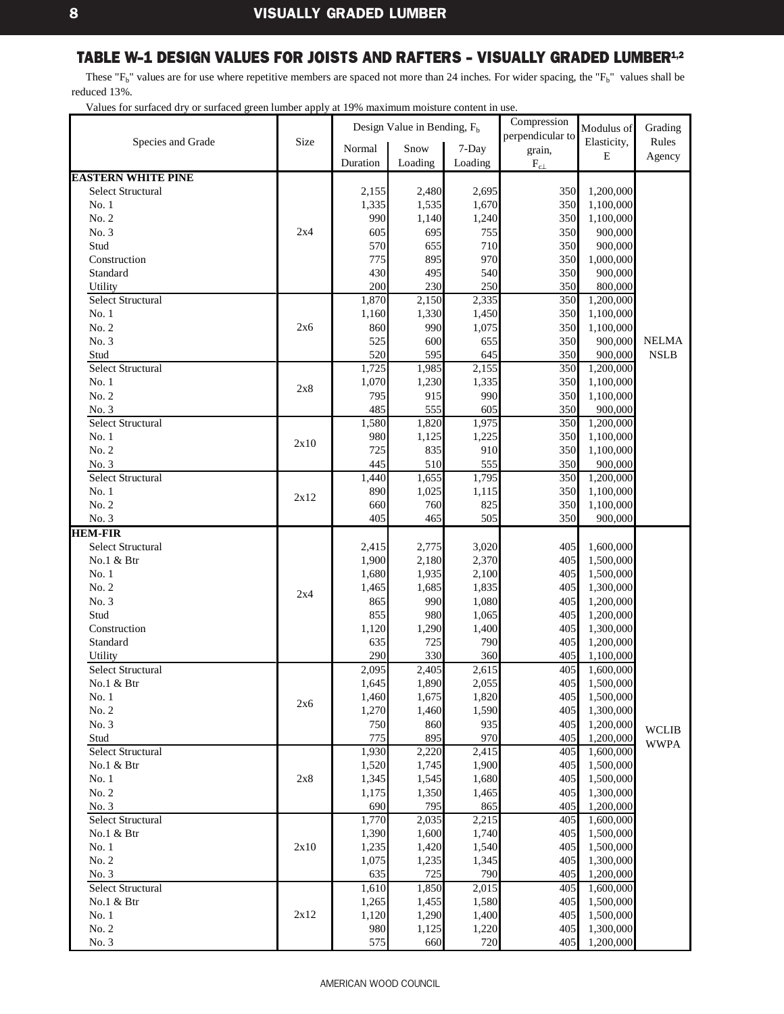<span id="page-10-0"></span>These " $F_b$ " values are for use where repetitive members are spaced not more than 24 inches. For wider spacing, the " $F_b$ " values shall be reduced 13%.

|                           |      |          | Design Value in Bending, $F_b$ |         | Compression      | Modulus of  | Grading      |
|---------------------------|------|----------|--------------------------------|---------|------------------|-------------|--------------|
| Species and Grade         | Size | Normal   | Snow                           | 7-Day   | perpendicular to | Elasticity, | Rules        |
|                           |      | Duration | Loading                        |         | grain,           | $\bf E$     | Agency       |
|                           |      |          |                                | Loading | $F_{c\perp}$     |             |              |
| <b>EASTERN WHITE PINE</b> |      |          |                                |         |                  |             |              |
| <b>Select Structural</b>  |      | 2,155    | 2,480                          | 2,695   | 350              | 1,200,000   |              |
| No.1                      |      | 1,335    | 1,535                          | 1,670   | 350              | 1,100,000   |              |
| No. 2                     |      | 990      | 1,140                          | 1,240   | 350              | 1,100,000   |              |
| No. 3                     | 2x4  | 605      | 695                            | 755     | 350              | 900,000     |              |
| Stud                      |      | 570      | 655                            | 710     | 350              | 900,000     |              |
| Construction              |      | 775      | 895                            | 970     | 350              | 1,000,000   |              |
| Standard                  |      | 430      | 495                            | 540     | 350              | 900,000     |              |
| Utility                   |      | 200      | 230                            | 250     | 350              | 800,000     |              |
| <b>Select Structural</b>  |      | 1,870    | 2,150                          | 2,335   | 350              | 1,200,000   |              |
| No.1                      |      | 1,160    | 1,330                          | 1,450   | 350              | 1,100,000   |              |
| No. 2                     | 2x6  | 860      | 990                            | 1,075   | 350              | 1,100,000   |              |
| No. 3                     |      | 525      | 600                            | 655     | 350              | 900,000     | <b>NELMA</b> |
| Stud                      |      | 520      | 595                            | 645     | 350              | 900,000     | <b>NSLB</b>  |
| <b>Select Structural</b>  |      | 1,725    | 1,985                          | 2,155   | 350              | 1,200,000   |              |
| No.1                      | 2x8  | 1,070    | 1,230                          | 1,335   | 350              | 1,100,000   |              |
| No. 2                     |      | 795      | 915                            | 990     | 350              | 1,100,000   |              |
| No. 3                     |      | 485      | 555                            | 605     | 350              | 900,000     |              |
| Select Structural         |      | 1,580    | 1,820                          | 1,975   | 350              | 1,200,000   |              |
| No.1                      | 2x10 | 980      | 1,125                          | 1,225   | 350              | 1,100,000   |              |
| No. 2                     |      | 725      | 835                            | 910     | 350              | 1,100,000   |              |
| No. 3                     |      | 445      | 510                            | 555     | 350              | 900,000     |              |
| <b>Select Structural</b>  |      | 1,440    | 1,655                          | 1,795   | 350              | 1,200,000   |              |
| No.1                      | 2x12 | 890      | 1,025                          | 1,115   | 350              | 1,100,000   |              |
| No. 2                     |      | 660      | 760                            | 825     | 350              | 1,100,000   |              |
| No. 3                     |      | 405      | 465                            | 505     | 350              | 900,000     |              |
| <b>HEM-FIR</b>            |      |          |                                |         |                  |             |              |
| <b>Select Structural</b>  |      | 2,415    | 2,775                          | 3,020   | 405              | 1,600,000   |              |
| No.1 & Btr                |      | 1,900    | 2,180                          | 2,370   | 405              | 1,500,000   |              |
| No.1                      |      | 1,680    | 1,935                          | 2,100   | 405              | 1,500,000   |              |
| No. 2                     |      | 1,465    | 1,685                          | 1,835   | 405              | 1,300,000   |              |
| No. 3                     | 2x4  | 865      | 990                            | 1,080   | 405              | 1,200,000   |              |
| Stud                      |      | 855      | 980                            | 1,065   | 405              | 1,200,000   |              |
| Construction              |      | 1,120    | 1,290                          | 1,400   | 405              | 1,300,000   |              |
| Standard                  |      | 635      | 725                            | 790     | 405              | 1,200,000   |              |
| Utility                   |      | 290      | 330                            | 360     | 405              | 1,100,000   |              |
| <b>Select Structural</b>  |      | 2,095    | 2,405                          | 2,615   | 405              | 1,600,000   |              |
| No.1 & Btr                |      | 1,645    | 1,890                          | 2,055   | 405              | 1,500,000   |              |
| No.1                      |      | 1,460    | 1,675                          | 1,820   | 405              | 1,500,000   |              |
| No. 2                     | 2x6  | 1,270    | 1,460                          | 1,590   | 405              | 1,300,000   |              |
| No. 3                     |      | 750      | 860                            | 935     | 405              | 1,200,000   |              |
| Stud                      |      | 775      | 895                            | 970     | 405              | 1,200,000   | <b>WCLIB</b> |
| Select Structural         |      | 1,930    | 2,220                          | 2,415   | 405              | 1,600,000   | <b>WWPA</b>  |
| No.1 & Btr                |      | 1,520    | 1,745                          | 1,900   | 405              | 1,500,000   |              |
| No.1                      | 2x8  | 1,345    | 1,545                          | 1,680   | 405              | 1,500,000   |              |
| No. 2                     |      | 1,175    | 1,350                          | 1,465   | 405              | 1,300,000   |              |
| No. 3                     |      | 690      | 795                            | 865     | 405              | 1,200,000   |              |
| Select Structural         |      | 1,770    | 2,035                          | 2,215   | 405              | 1,600,000   |              |
| No.1 & Btr                |      | 1,390    | 1,600                          | 1,740   | 405              | 1,500,000   |              |
| No. 1                     | 2x10 | 1,235    | 1,420                          | 1,540   | 405              | 1,500,000   |              |
| No. 2                     |      | 1,075    | 1,235                          | 1,345   | 405              | 1,300,000   |              |
| No. 3                     |      | 635      | 725                            | 790     | 405              | 1,200,000   |              |
| <b>Select Structural</b>  |      | 1,610    | 1,850                          | 2,015   | 405              | 1,600,000   |              |
| No.1 & Btr                |      | 1,265    | 1,455                          | 1,580   | 405              | 1,500,000   |              |
| No. 1                     | 2x12 | 1,120    | 1,290                          | 1,400   | 405              | 1,500,000   |              |
| No. 2                     |      | 980      | 1,125                          | 1,220   | 405              | 1,300,000   |              |
| No. 3                     |      | 575      | 660                            | 720     | 405              | 1,200,000   |              |
|                           |      |          |                                |         |                  |             |              |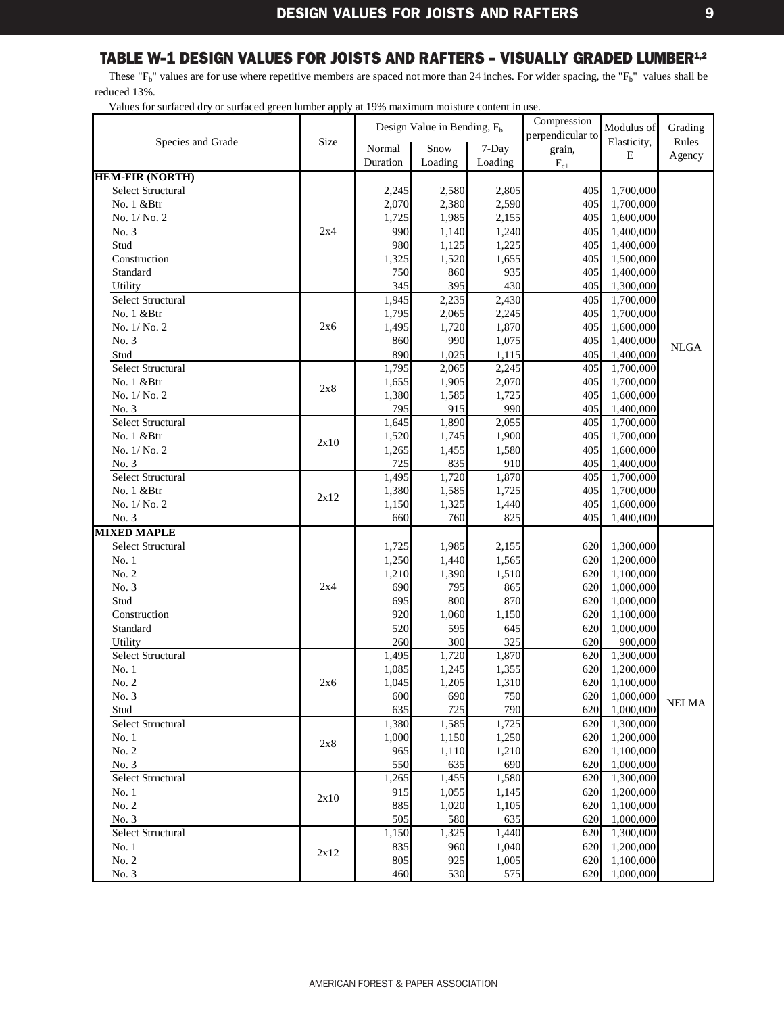<span id="page-11-0"></span>These " $F_b$ " values are for use where repetitive members are spaced not more than 24 inches. For wider spacing, the " $F_b$ " values shall be reduced 13%.

|                           |      |              | Design Value in Bending, F <sub>b</sub> |                | Compression      | Modulus of             | Grading      |
|---------------------------|------|--------------|-----------------------------------------|----------------|------------------|------------------------|--------------|
| Species and Grade         | Size |              |                                         |                | perpendicular to | Elasticity,            | Rules        |
|                           |      | Normal       | Snow                                    | 7-Day          | grain,           | E                      | Agency       |
|                           |      | Duration     | Loading                                 | Loading        | $\rm F_{c\perp}$ |                        |              |
| <b>HEM-FIR (NORTH)</b>    |      |              |                                         |                |                  |                        |              |
| <b>Select Structural</b>  |      | 2,245        | 2,580                                   | 2,805          | 405              | 1,700,000              |              |
| No. 1 &Btr                |      | 2,070        | 2,380                                   | 2,590          | 405              | 1,700,000              |              |
| No. 1/No. 2               |      | 1,725        | 1,985                                   | 2,155          | 405              | 1,600,000              |              |
| No. 3                     | 2x4  | 990          | 1,140                                   | 1,240          | 405              | 1,400,000              |              |
| Stud                      |      | 980          | 1,125                                   | 1,225          | 405              | 1,400,000              |              |
| Construction<br>Standard  |      | 1,325        | 1,520<br>860                            | 1,655          | 405<br>405       | 1,500,000<br>1,400,000 |              |
| Utility                   |      | 750          | 395                                     | 935            | 405              |                        |              |
| Select Structural         |      | 345<br>1,945 | 2,235                                   | 430<br>2,430   | 405              | 1,300,000<br>1,700,000 |              |
| No. 1 &Btr                |      | 1,795        | 2,065                                   | 2,245          | 405              | 1,700,000              |              |
| No. 1/No. 2               | 2x6  | 1,495        | 1,720                                   | 1,870          | 405              | 1,600,000              |              |
| No. 3                     |      | 860          | 990                                     | 1,075          | 405              | 1,400,000              |              |
| Stud                      |      | 890          | 1,025                                   | 1,115          | 405              | 1,400,000              | <b>NLGA</b>  |
| <b>Select Structural</b>  |      | 1,795        | 2,065                                   | 2,245          | 405              | 1,700,000              |              |
| No. 1 &Btr                |      | 1,655        | 1,905                                   | 2,070          | 405              | 1,700,000              |              |
| No. 1/No. 2               | 2x8  | 1,380        | 1,585                                   | 1,725          | 405              | 1,600,000              |              |
| No. 3                     |      | 795          | 915                                     | 990            | 405              | 1,400,000              |              |
| <b>Select Structural</b>  |      | 1,645        | 1,890                                   | 2,055          | 405              | 1,700,000              |              |
| No. 1 &Btr                |      | 1,520        | 1,745                                   | 1,900          | 405              | 1,700,000              |              |
| No. 1/No. 2               | 2x10 | 1,265        | 1,455                                   | 1,580          | 405              | 1,600,000              |              |
| No. 3                     |      | 725          | 835                                     | 910            | 405              | 1,400,000              |              |
| Select Structural         |      | 1,495        | 1,720                                   | 1,870          | 405              | 1,700,000              |              |
| No. 1 & Btr               |      | 1,380        | 1,585                                   | 1,725          | 405              | 1,700,000              |              |
| No. 1/No. 2               | 2x12 | 1,150        | 1,325                                   | 1,440          | 405              | 1,600,000              |              |
| No. 3                     |      | 660          | 760                                     | 825            | 405              | 1,400,000              |              |
| <b>MIXED MAPLE</b>        |      |              |                                         |                |                  |                        |              |
| <b>Select Structural</b>  |      | 1,725        | 1,985                                   | 2,155          | 620              | 1,300,000              |              |
| No.1                      |      | 1,250        | 1,440                                   | 1,565          | 620              | 1,200,000              |              |
| No. 2                     |      | 1,210        | 1,390                                   | 1,510          | 620              | 1,100,000              |              |
| No. 3                     | 2x4  | 690          | 795                                     | 865            | 620              | 1,000,000              |              |
| Stud                      |      | 695          | 800                                     | 870            | 620              | 1,000,000              |              |
| Construction              |      | 920          | 1,060                                   | 1,150          | 620              | 1,100,000              |              |
| Standard                  |      | 520          | 595                                     | 645            | 620              | 1,000,000              |              |
| Utility                   |      | 260          | 300                                     | 325            | 620              | 900,000                |              |
| <b>Select Structural</b>  |      | 1,495        | 1,720                                   | 1,870          | 620              | 1,300,000              |              |
| No.1                      |      | 1,085        | 1,245                                   | 1,355<br>1,310 | 620              | 1,200,000              |              |
| No. 2<br>No. 3            | 2x6  | 1,045        | 1,205<br>690                            |                | 620              | 1,100,000<br>1,000,000 |              |
|                           |      | 600<br>635   | 725                                     | 750<br>790     | 620<br>620       | 1,000,000              | <b>NELMA</b> |
| Stud<br>Select Structural |      | 1,380        | 1,585                                   | 1,725          | 620              | 1,300,000              |              |
| No.1                      |      | 1,000        | 1,150                                   | 1,250          | 620              | 1,200,000              |              |
| No. 2                     | 2x8  | 965          | 1,110                                   | 1,210          | 620              | 1,100,000              |              |
| No. 3                     |      | 550          | 635                                     | 690            | 620              | 1,000,000              |              |
| Select Structural         |      | 1,265        | 1,455                                   | 1,580          | 620              | 1,300,000              |              |
| No.1                      |      | 915          | 1,055                                   | 1,145          | 620              | 1,200,000              |              |
| No. 2                     | 2x10 | 885          | 1,020                                   | 1,105          | 620              | 1,100,000              |              |
| No. 3                     |      | 505          | 580                                     | 635            | 620              | 1,000,000              |              |
| Select Structural         |      | 1,150        | 1,325                                   | 1,440          | 620              | 1,300,000              |              |
| No. 1                     |      | 835          | 960                                     | 1,040          | 620              | 1,200,000              |              |
| No. 2                     | 2x12 | 805          | 925                                     | 1,005          | 620              | 1,100,000              |              |
| No. 3                     |      | 460          | 530                                     | 575            | 620              | 1,000,000              |              |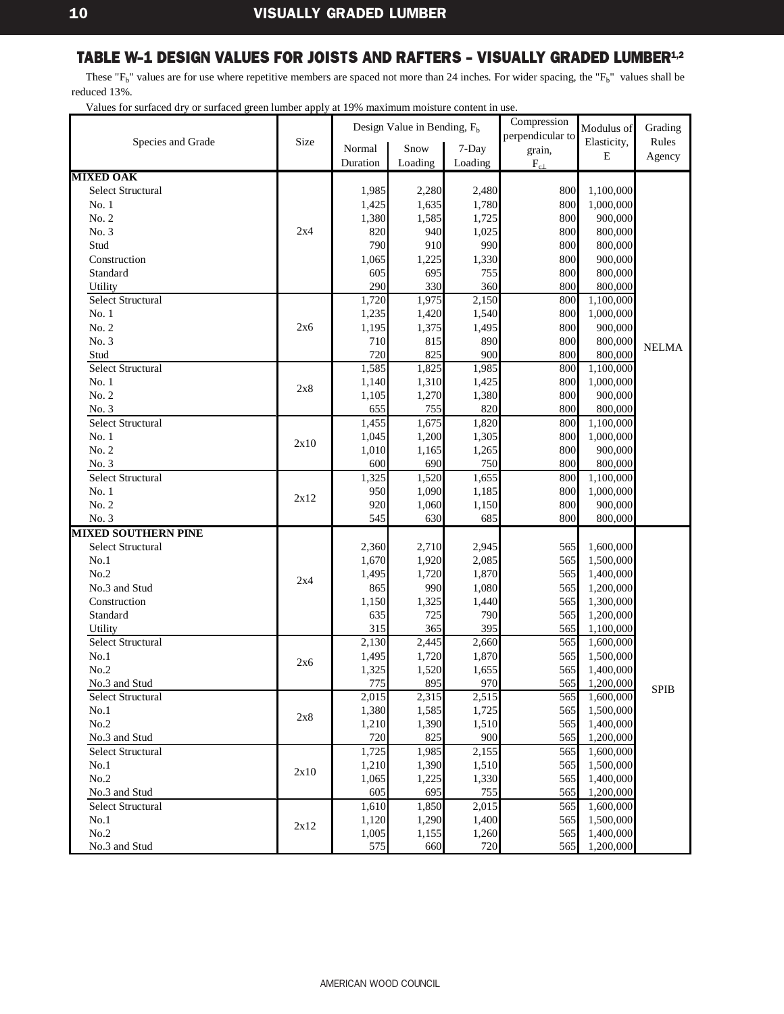<span id="page-12-0"></span>These " $F_b$ " values are for use where repetitive members are spaced not more than 24 inches. For wider spacing, the " $F_b$ " values shall be reduced 13%.

|                            |      |          | Design Value in Bending, $F_b$ |         | Compression      | Modulus of  | Grading      |
|----------------------------|------|----------|--------------------------------|---------|------------------|-------------|--------------|
| Species and Grade          | Size |          |                                |         | perpendicular to | Elasticity, | Rules        |
|                            |      | Normal   | Snow                           | 7-Day   | grain,           | E           | Agency       |
|                            |      | Duration | Loading                        | Loading | $\rm F_{c\perp}$ |             |              |
| <b>MIXED OAK</b>           |      |          |                                |         |                  |             |              |
| <b>Select Structural</b>   |      | 1,985    | 2,280                          | 2,480   | 800              | 1,100,000   |              |
| No.1                       |      | 1,425    | 1,635                          | 1,780   | 800              | 1,000,000   |              |
| No. 2                      |      | 1,380    | 1,585                          | 1,725   | 800              | 900,000     |              |
| No. 3                      | 2x4  | 820      | 940                            | 1,025   | 800              | 800,000     |              |
| Stud                       |      | 790      | 910                            | 990     | 800              | 800,000     |              |
| Construction               |      | 1,065    | 1,225                          | 1,330   | 800              | 900,000     |              |
| Standard                   |      | 605      | 695                            | 755     | 800              | 800,000     |              |
| Utility                    |      | 290      | 330                            | 360     | 800              | 800,000     |              |
| <b>Select Structural</b>   |      | 1,720    | 1,975                          | 2,150   | 800              | 1,100,000   |              |
| No.1                       |      | 1,235    | 1,420                          | 1,540   | 800              | 1,000,000   |              |
| No. 2                      | 2x6  | 1,195    | 1,375                          | 1,495   | 800              | 900,000     |              |
| No. 3                      |      | 710      | 815                            | 890     | 800              | 800,000     | <b>NELMA</b> |
| Stud                       |      | 720      | 825                            | 900     | 800              | 800,000     |              |
| <b>Select Structural</b>   |      | 1,585    | 1,825                          | 1,985   | 800              | 1,100,000   |              |
| No.1                       | 2x8  | 1,140    | 1,310                          | 1,425   | 800              | 1,000,000   |              |
| No. 2                      |      | 1,105    | 1,270                          | 1,380   | 800              | 900,000     |              |
| No. 3                      |      | 655      | 755                            | 820     | 800              | 800,000     |              |
| <b>Select Structural</b>   |      | 1,455    | 1,675                          | 1,820   | 800              | 1,100,000   |              |
| No.1                       | 2x10 | 1,045    | 1,200                          | 1,305   | 800              | 1,000,000   |              |
| No. 2                      |      | 1,010    | 1,165                          | 1,265   | 800              | 900,000     |              |
| No. 3                      |      | 600      | 690                            | 750     | 800              | 800,000     |              |
| Select Structural          |      | 1,325    | 1,520                          | 1,655   | 800              | 1,100,000   |              |
| No.1                       | 2x12 | 950      | 1,090                          | 1,185   | 800              | 1,000,000   |              |
| No. 2                      |      | 920      | 1,060                          | 1,150   | 800              | 900,000     |              |
| No. 3                      |      | 545      | 630                            | 685     | 800              | 800,000     |              |
| <b>MIXED SOUTHERN PINE</b> |      |          |                                |         |                  |             |              |
| <b>Select Structural</b>   |      | 2,360    | 2,710                          | 2,945   | 565              | 1,600,000   |              |
| No.1                       |      | 1,670    | 1,920                          | 2,085   | 565              | 1,500,000   |              |
| No.2                       | 2x4  | 1,495    | 1,720                          | 1,870   | 565              | 1,400,000   |              |
| No.3 and Stud              |      | 865      | 990                            | 1,080   | 565              | 1,200,000   |              |
| Construction               |      | 1,150    | 1,325                          | 1,440   | 565              | 1,300,000   |              |
| Standard                   |      | 635      | 725                            | 790     | 565              | 1,200,000   |              |
| Utility                    |      | 315      | 365                            | 395     | 565              | 1,100,000   |              |
| <b>Select Structural</b>   |      | 2,130    | 2,445                          | 2,660   | 565              | 1,600,000   |              |
| No.1                       | 2x6  | 1,495    | 1,720                          | 1,870   | 565              | 1,500,000   |              |
| No.2                       |      | 1,325    | 1,520                          | 1,655   | 565              | 1,400,000   |              |
| No.3 and Stud              |      | 775      | 895                            | 970     | 565              | 1,200,000   | <b>SPIB</b>  |
| Select Structural          |      | 2,015    | 2,315                          | 2,515   | 565              | 1,600,000   |              |
| No.1                       |      | 1,380    | 1,585                          | 1,725   | 565              | 1,500,000   |              |
| No.2                       | 2x8  | 1,210    | 1,390                          | 1,510   | 565              | 1,400,000   |              |
| No.3 and Stud              |      | 720      | 825                            | 900     | 565              | 1,200,000   |              |
| Select Structural          |      | 1,725    | 1,985                          | 2,155   | 565              | 1,600,000   |              |
| No.1                       |      | 1,210    | 1,390                          | 1,510   | 565              | 1,500,000   |              |
| No.2                       | 2x10 | 1,065    | 1,225                          | 1,330   | 565              | 1,400,000   |              |
| No.3 and Stud              |      | 605      | 695                            | 755     | 565              | 1,200,000   |              |
| Select Structural          |      | 1,610    | 1,850                          | 2,015   | 565              | 1,600,000   |              |
| No.1                       |      | 1,120    | 1,290                          | 1,400   | 565              | 1,500,000   |              |
| No.2                       | 2x12 | 1,005    | 1,155                          | 1,260   | 565              | 1,400,000   |              |
| No.3 and Stud              |      | 575      | 660                            | 720     | 565              | 1,200,000   |              |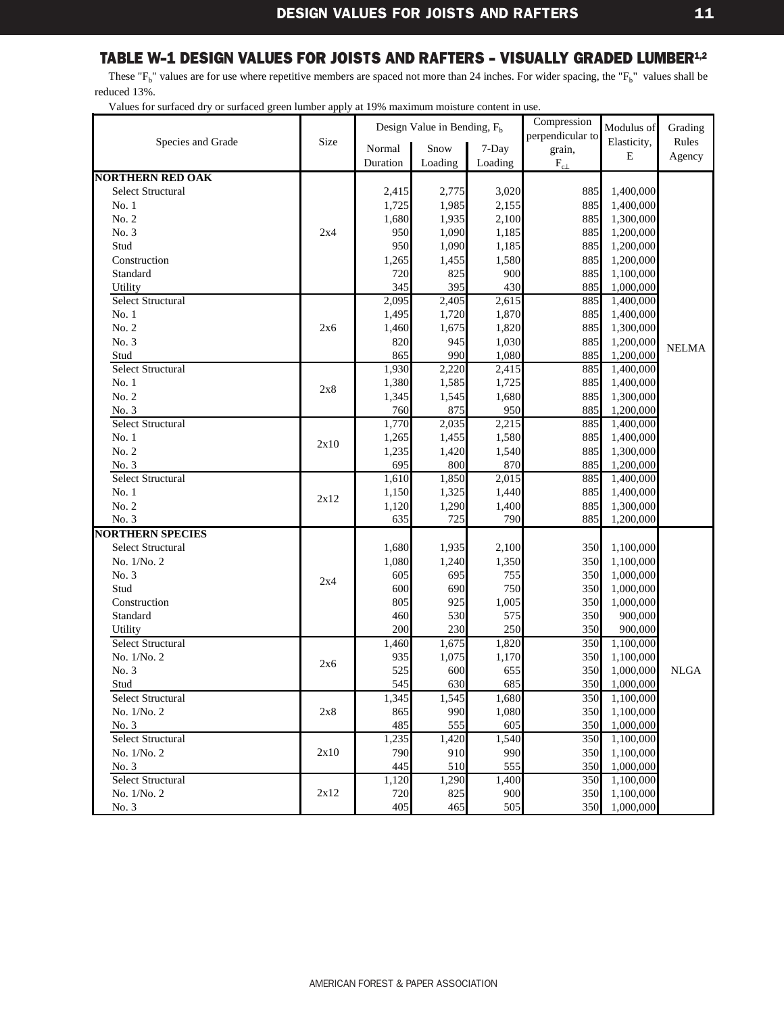<span id="page-13-0"></span>These " $F_b$ " values are for use where repetitive members are spaced not more than 24 inches. For wider spacing, the " $F_b$ " values shall be reduced 13%.

|                              |      |            | Design Value in Bending, $F_h$ |              | Compression      | Modulus of             | Grading      |
|------------------------------|------|------------|--------------------------------|--------------|------------------|------------------------|--------------|
| Species and Grade            | Size |            |                                |              | perpendicular to | Elasticity,            | Rules        |
|                              |      | Normal     | Snow                           | 7-Day        | grain,           | $\mathbf E$            | Agency       |
|                              |      | Duration   | Loading                        | Loading      | $\rm F_{c\perp}$ |                        |              |
| <b>NORTHERN RED OAK</b>      |      |            |                                |              |                  |                        |              |
| <b>Select Structural</b>     |      | 2,415      | 2,775                          | 3,020        | 885              | 1,400,000              |              |
| No. 1                        |      | 1,725      | 1,985                          | 2,155        | 885              | 1,400,000              |              |
| No. 2                        |      | 1,680      | 1,935                          | 2,100        | 885              | 1,300,000              |              |
| No. 3                        | 2x4  | 950        | 1,090                          | 1,185        | 885              | 1,200,000              |              |
| Stud                         |      | 950        | 1,090                          | 1,185        | 885              | 1,200,000              |              |
| Construction                 |      | 1,265      | 1,455                          | 1,580        | 885              | 1,200,000              |              |
| Standard                     |      | 720        | 825                            | 900          | 885              | 1,100,000              |              |
| Utility                      |      | 345        | 395                            | 430          | 885              | 1,000,000              |              |
| <b>Select Structural</b>     |      | 2,095      | 2,405                          | 2,615        | 885              | 1,400,000              |              |
| No. 1                        |      | 1,495      | 1,720                          | 1,870        | 885              | 1,400,000              |              |
| No. 2                        | 2x6  | 1,460      | 1,675                          | 1,820        | 885              | 1,300,000              |              |
| No. 3                        |      | 820        | 945                            | 1,030        | 885              | 1,200,000              | <b>NELMA</b> |
| Stud                         |      | 865        | 990                            | 1,080        | 885              | 1,200,000              |              |
| Select Structural            |      | 1,930      | $\overline{2,220}$             | 2,415        | 885              | 1,400,000              |              |
| No.1                         | 2x8  | 1,380      | 1,585                          | 1,725        | 885              | 1,400,000              |              |
| No. 2                        |      | 1,345      | 1,545                          | 1,680        | 885              | 1,300,000              |              |
| No. 3                        |      | 760        | 875                            | 950          | 885              | 1,200,000              |              |
| <b>Select Structural</b>     |      | 1,770      | 2,035                          | 2,215        | 885              | 1,400,000              |              |
| No. 1                        | 2x10 | 1,265      | 1,455                          | 1,580        | 885              | 1,400,000              |              |
| No. 2                        |      | 1,235      | 1,420                          | 1,540        | 885              | 1,300,000              |              |
| No. 3                        |      | 695        | 800                            | 870          | 885              | 1,200,000              |              |
| Select Structural            |      | 1,610      | 1,850                          | 2,015        | 885              | 1,400,000              |              |
| No. 1                        | 2x12 | 1,150      | 1,325                          | 1,440        | 885              | 1,400,000              |              |
| No. 2                        |      | 1,120      | 1,290                          | 1,400        | 885              | 1,300,000              |              |
| No. 3                        |      | 635        | 725                            | 790          | 885              | 1,200,000              |              |
| <b>NORTHERN SPECIES</b>      |      |            |                                |              |                  |                        |              |
| Select Structural            |      | 1,680      | 1,935                          | 2,100        | 350              | 1,100,000              |              |
| No. 1/No. 2                  |      | 1,080      | 1,240                          | 1,350        | 350              | 1,100,000              |              |
| No. 3                        | 2x4  | 605        | 695                            | 755          | 350              | 1,000,000              |              |
| Stud                         |      | 600        | 690                            | 750          | 350              | 1,000,000              |              |
| Construction<br>Standard     |      | 805        | 925<br>530                     | 1,005<br>575 | 350<br>350       | 1,000,000              |              |
|                              |      | 460<br>200 | 230                            | 250          | 350              | 900,000<br>900,000     |              |
| Utility<br>Select Structural |      | 1,460      | 1,675                          | 1,820        | 350              | 1,100,000              |              |
| No. 1/No. 2                  |      | 935        | 1,075                          | 1,170        | 350              | 1,100,000              |              |
| No. 3                        | 2x6  | 525        | 600                            |              | 350              |                        | <b>NLGA</b>  |
| Stud                         |      | 545        | 630                            | 655<br>685   | 350              | 1,000,000<br>1,000,000 |              |
| Select Structural            |      | 1,345      | 1,545                          | 1,680        | 350              | 1,100,000              |              |
| No. 1/No. 2                  | 2x8  | 865        | 990                            | 1,080        | 350              | 1,100,000              |              |
| No. 3                        |      | 485        | 555                            | 605          | 350              | 1,000,000              |              |
| Select Structural            |      | 1,235      | 1,420                          | 1,540        | 350              | 1,100,000              |              |
| No. 1/No. 2                  | 2x10 | 790        | 910                            | 990          | 350              | 1,100,000              |              |
| No. 3                        |      | 445        | 510                            | 555          | 350              | 1,000,000              |              |
| Select Structural            |      | 1,120      | 1,290                          | 1,400        | 350              | 1,100,000              |              |
| No. 1/No. 2                  | 2x12 | 720        | 825                            | 900          | 350              | 1,100,000              |              |
| No. 3                        |      | 405        | 465                            | 505          | 350              | 1,000,000              |              |
|                              |      |            |                                |              |                  |                        |              |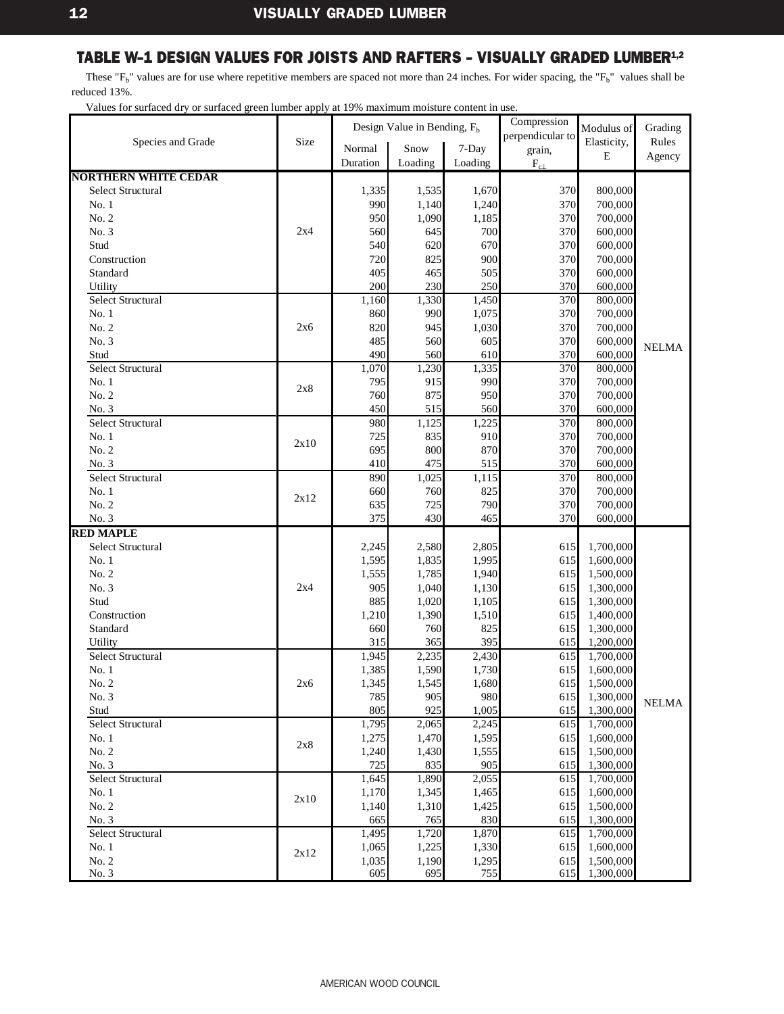<span id="page-14-0"></span>These " $F_b$ " values are for use where repetitive members are spaced not more than 24 inches. For wider spacing, the " $F_b$ " values shall be reduced 13%.

| Design Value in Bending, $F_b$<br>Modulus of<br>perpendicular to<br>Size<br>Elasticity,<br>Species and Grade<br>Normal<br>Snow<br>7-Day<br>grain,<br>Ε<br>Duration<br>Loading<br>Loading<br>$\rm F_{c\perp}$<br><b>NORTHERN WHITE CEDAR</b><br>370<br><b>Select Structural</b><br>1,670<br>800,000<br>1,335<br>1,535<br>370<br>990<br>700,000<br>1,140<br>1,240<br>No.1<br>370<br>No. 2<br>950<br>1,090<br>1,185<br>700,000<br>370<br>700<br>No. 3<br>2x4<br>560<br>645<br>600,000<br>Stud<br>540<br>620<br>370<br>670<br>600,000<br>825<br>370<br>900<br>700,000<br>Construction<br>720<br>465<br>370<br>405<br>505<br>600,000<br>Standard<br>200<br>230<br>370<br>250<br>Utility<br>600,000<br>370<br><b>Select Structural</b><br>1,160<br>1,330<br>1,450<br>800,000<br>990<br>1,075<br>370<br>860<br>700,000<br>No.1<br>370<br>820<br>945<br>1,030<br>No. 2<br>700,000<br>2x6<br>370<br>No. 3<br>485<br>560<br>605<br>600,000<br><b>NELMA</b><br>370<br>490<br>560<br>610<br>600,000<br>Stud | Grading      |
|-------------------------------------------------------------------------------------------------------------------------------------------------------------------------------------------------------------------------------------------------------------------------------------------------------------------------------------------------------------------------------------------------------------------------------------------------------------------------------------------------------------------------------------------------------------------------------------------------------------------------------------------------------------------------------------------------------------------------------------------------------------------------------------------------------------------------------------------------------------------------------------------------------------------------------------------------------------------------------------------------|--------------|
|                                                                                                                                                                                                                                                                                                                                                                                                                                                                                                                                                                                                                                                                                                                                                                                                                                                                                                                                                                                                 | Rules        |
|                                                                                                                                                                                                                                                                                                                                                                                                                                                                                                                                                                                                                                                                                                                                                                                                                                                                                                                                                                                                 | Agency       |
|                                                                                                                                                                                                                                                                                                                                                                                                                                                                                                                                                                                                                                                                                                                                                                                                                                                                                                                                                                                                 |              |
|                                                                                                                                                                                                                                                                                                                                                                                                                                                                                                                                                                                                                                                                                                                                                                                                                                                                                                                                                                                                 |              |
|                                                                                                                                                                                                                                                                                                                                                                                                                                                                                                                                                                                                                                                                                                                                                                                                                                                                                                                                                                                                 |              |
|                                                                                                                                                                                                                                                                                                                                                                                                                                                                                                                                                                                                                                                                                                                                                                                                                                                                                                                                                                                                 |              |
|                                                                                                                                                                                                                                                                                                                                                                                                                                                                                                                                                                                                                                                                                                                                                                                                                                                                                                                                                                                                 |              |
|                                                                                                                                                                                                                                                                                                                                                                                                                                                                                                                                                                                                                                                                                                                                                                                                                                                                                                                                                                                                 |              |
|                                                                                                                                                                                                                                                                                                                                                                                                                                                                                                                                                                                                                                                                                                                                                                                                                                                                                                                                                                                                 |              |
|                                                                                                                                                                                                                                                                                                                                                                                                                                                                                                                                                                                                                                                                                                                                                                                                                                                                                                                                                                                                 |              |
|                                                                                                                                                                                                                                                                                                                                                                                                                                                                                                                                                                                                                                                                                                                                                                                                                                                                                                                                                                                                 |              |
|                                                                                                                                                                                                                                                                                                                                                                                                                                                                                                                                                                                                                                                                                                                                                                                                                                                                                                                                                                                                 |              |
|                                                                                                                                                                                                                                                                                                                                                                                                                                                                                                                                                                                                                                                                                                                                                                                                                                                                                                                                                                                                 |              |
|                                                                                                                                                                                                                                                                                                                                                                                                                                                                                                                                                                                                                                                                                                                                                                                                                                                                                                                                                                                                 |              |
|                                                                                                                                                                                                                                                                                                                                                                                                                                                                                                                                                                                                                                                                                                                                                                                                                                                                                                                                                                                                 |              |
|                                                                                                                                                                                                                                                                                                                                                                                                                                                                                                                                                                                                                                                                                                                                                                                                                                                                                                                                                                                                 |              |
| <b>Select Structural</b><br>1,230<br>370<br>800,000<br>1,070<br>1,335                                                                                                                                                                                                                                                                                                                                                                                                                                                                                                                                                                                                                                                                                                                                                                                                                                                                                                                           |              |
| 915<br>990<br>370<br>700,000<br>No.1<br>795                                                                                                                                                                                                                                                                                                                                                                                                                                                                                                                                                                                                                                                                                                                                                                                                                                                                                                                                                     |              |
| 2x8<br>875<br>370<br>No. 2<br>760<br>950<br>700,000                                                                                                                                                                                                                                                                                                                                                                                                                                                                                                                                                                                                                                                                                                                                                                                                                                                                                                                                             |              |
| 370<br>450<br>515<br>560<br>No. 3<br>600,000                                                                                                                                                                                                                                                                                                                                                                                                                                                                                                                                                                                                                                                                                                                                                                                                                                                                                                                                                    |              |
| 370<br><b>Select Structural</b><br>980<br>1,125<br>1,225<br>800,000                                                                                                                                                                                                                                                                                                                                                                                                                                                                                                                                                                                                                                                                                                                                                                                                                                                                                                                             |              |
| 835<br>370<br>725<br>910<br>700,000<br>No.1                                                                                                                                                                                                                                                                                                                                                                                                                                                                                                                                                                                                                                                                                                                                                                                                                                                                                                                                                     |              |
| 2x10<br>695<br>800<br>870<br>370<br>No. 2<br>700,000                                                                                                                                                                                                                                                                                                                                                                                                                                                                                                                                                                                                                                                                                                                                                                                                                                                                                                                                            |              |
| 370<br>410<br>475<br>No. 3<br>515<br>600,000                                                                                                                                                                                                                                                                                                                                                                                                                                                                                                                                                                                                                                                                                                                                                                                                                                                                                                                                                    |              |
| 370<br><b>Select Structural</b><br>890<br>1,025<br>1,115<br>800,000                                                                                                                                                                                                                                                                                                                                                                                                                                                                                                                                                                                                                                                                                                                                                                                                                                                                                                                             |              |
| 760<br>825<br>370<br>No.1<br>660<br>700,000<br>2x12                                                                                                                                                                                                                                                                                                                                                                                                                                                                                                                                                                                                                                                                                                                                                                                                                                                                                                                                             |              |
| 725<br>790<br>370<br>No. 2<br>635<br>700,000                                                                                                                                                                                                                                                                                                                                                                                                                                                                                                                                                                                                                                                                                                                                                                                                                                                                                                                                                    |              |
| 375<br>430<br>370<br>No. 3<br>465<br>600,000                                                                                                                                                                                                                                                                                                                                                                                                                                                                                                                                                                                                                                                                                                                                                                                                                                                                                                                                                    |              |
| <b>RED MAPLE</b>                                                                                                                                                                                                                                                                                                                                                                                                                                                                                                                                                                                                                                                                                                                                                                                                                                                                                                                                                                                |              |
| <b>Select Structural</b><br>2,245<br>2,580<br>2,805<br>615<br>1,700,000                                                                                                                                                                                                                                                                                                                                                                                                                                                                                                                                                                                                                                                                                                                                                                                                                                                                                                                         |              |
| 1,995<br>No.1<br>1,595<br>1,835<br>615<br>1,600,000                                                                                                                                                                                                                                                                                                                                                                                                                                                                                                                                                                                                                                                                                                                                                                                                                                                                                                                                             |              |
| 1,940<br>No. 2<br>1,555<br>1,785<br>615<br>1,500,000                                                                                                                                                                                                                                                                                                                                                                                                                                                                                                                                                                                                                                                                                                                                                                                                                                                                                                                                            |              |
| 615<br>No. 3<br>2x4<br>905<br>1,040<br>1,130<br>1,300,000                                                                                                                                                                                                                                                                                                                                                                                                                                                                                                                                                                                                                                                                                                                                                                                                                                                                                                                                       |              |
| 885<br>Stud<br>1,020<br>1,105<br>615<br>1,300,000                                                                                                                                                                                                                                                                                                                                                                                                                                                                                                                                                                                                                                                                                                                                                                                                                                                                                                                                               |              |
| 615<br>Construction<br>1,390<br>1,510<br>1,210<br>1,400,000                                                                                                                                                                                                                                                                                                                                                                                                                                                                                                                                                                                                                                                                                                                                                                                                                                                                                                                                     |              |
| 760<br>660<br>825<br>615<br>Standard<br>1,300,000                                                                                                                                                                                                                                                                                                                                                                                                                                                                                                                                                                                                                                                                                                                                                                                                                                                                                                                                               |              |
| 315<br>365<br>395<br>615<br>1,200,000<br>Utility                                                                                                                                                                                                                                                                                                                                                                                                                                                                                                                                                                                                                                                                                                                                                                                                                                                                                                                                                |              |
| <b>Select Structural</b><br>2,235<br>2,430<br>615<br>1,945<br>1,700,000<br>No.1                                                                                                                                                                                                                                                                                                                                                                                                                                                                                                                                                                                                                                                                                                                                                                                                                                                                                                                 |              |
| 1,385<br>1,590<br>1,730<br>615<br>1,600,000<br>No. 2                                                                                                                                                                                                                                                                                                                                                                                                                                                                                                                                                                                                                                                                                                                                                                                                                                                                                                                                            |              |
| 1,680<br>1,345<br>1,545<br>615<br>1,500,000<br>2x6<br>905<br>980<br>1,300,000<br>No. 3<br>615                                                                                                                                                                                                                                                                                                                                                                                                                                                                                                                                                                                                                                                                                                                                                                                                                                                                                                   |              |
| 785<br>925<br>615<br>805<br>1,005<br>1,300,000<br>Stud                                                                                                                                                                                                                                                                                                                                                                                                                                                                                                                                                                                                                                                                                                                                                                                                                                                                                                                                          | <b>NELMA</b> |
| 615<br>Select Structural<br>1,795<br>2,065<br>2,245<br>1,700,000                                                                                                                                                                                                                                                                                                                                                                                                                                                                                                                                                                                                                                                                                                                                                                                                                                                                                                                                |              |
| No. 1<br>1,275<br>1,470<br>1,595<br>615<br>1,600,000                                                                                                                                                                                                                                                                                                                                                                                                                                                                                                                                                                                                                                                                                                                                                                                                                                                                                                                                            |              |
| 2x8<br>No. 2<br>1,240<br>1,430<br>1,555<br>615<br>1,500,000                                                                                                                                                                                                                                                                                                                                                                                                                                                                                                                                                                                                                                                                                                                                                                                                                                                                                                                                     |              |
| 725<br>835<br>905<br>615<br>1,300,000<br>No. 3                                                                                                                                                                                                                                                                                                                                                                                                                                                                                                                                                                                                                                                                                                                                                                                                                                                                                                                                                  |              |
| Select Structural<br>2,055<br>1,645<br>1,890<br>615<br>1,700,000                                                                                                                                                                                                                                                                                                                                                                                                                                                                                                                                                                                                                                                                                                                                                                                                                                                                                                                                |              |
| No. 1<br>1,170<br>1,345<br>1,465<br>615<br>1,600,000                                                                                                                                                                                                                                                                                                                                                                                                                                                                                                                                                                                                                                                                                                                                                                                                                                                                                                                                            |              |
| 2x10<br>1,310<br>No. 2<br>1,140<br>1,425<br>615<br>1,500,000                                                                                                                                                                                                                                                                                                                                                                                                                                                                                                                                                                                                                                                                                                                                                                                                                                                                                                                                    |              |
| No. 3<br>665<br>765<br>830<br>615<br>1,300,000                                                                                                                                                                                                                                                                                                                                                                                                                                                                                                                                                                                                                                                                                                                                                                                                                                                                                                                                                  |              |
| <b>Select Structural</b><br>615<br>1,495<br>1,720<br>1,870<br>1,700,000                                                                                                                                                                                                                                                                                                                                                                                                                                                                                                                                                                                                                                                                                                                                                                                                                                                                                                                         |              |
| 1,225<br>615<br>No. 1<br>1,065<br>1,330<br>1,600,000                                                                                                                                                                                                                                                                                                                                                                                                                                                                                                                                                                                                                                                                                                                                                                                                                                                                                                                                            |              |
| 2x12<br>No. 2<br>615<br>1,035<br>1,190<br>1,295<br>1,500,000                                                                                                                                                                                                                                                                                                                                                                                                                                                                                                                                                                                                                                                                                                                                                                                                                                                                                                                                    |              |
| 605<br>695<br>755<br>615<br>1,300,000<br>No. 3                                                                                                                                                                                                                                                                                                                                                                                                                                                                                                                                                                                                                                                                                                                                                                                                                                                                                                                                                  |              |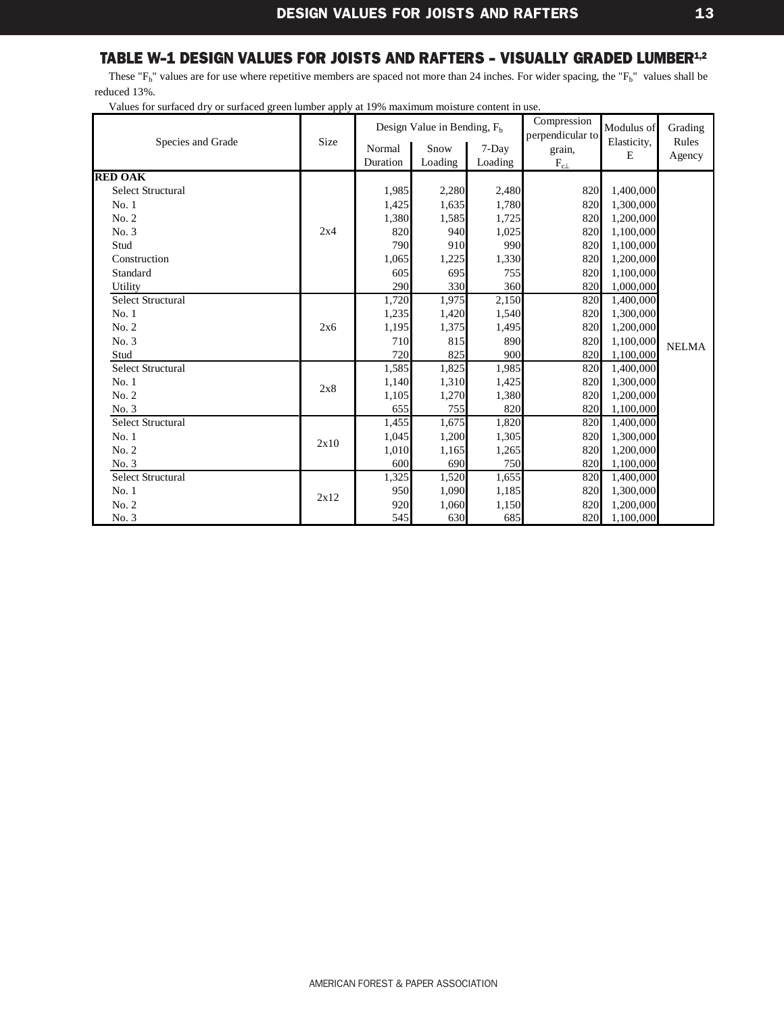<span id="page-15-0"></span>These " $F_b$ " values are for use where repetitive members are spaced not more than 24 inches. For wider spacing, the " $F_b$ " values shall be reduced 13%.

| Species and Grade        | Size | Normal<br>Duration | Design Value in Bending, $F_h$<br>Snow<br>Loading | 7-Day<br>Loading | Compression<br>perpendicular to<br>grain, | Modulus of<br>Elasticity,<br>E | Grading<br>Rules<br>Agency |
|--------------------------|------|--------------------|---------------------------------------------------|------------------|-------------------------------------------|--------------------------------|----------------------------|
|                          |      |                    |                                                   |                  | $\rm F_{c\perp}$                          |                                |                            |
| <b>RED OAK</b>           |      |                    |                                                   |                  |                                           |                                |                            |
| <b>Select Structural</b> |      | 1,985              | 2,280                                             | 2,480            | 820                                       | 1,400,000                      |                            |
| No.1                     |      | 1,425              | 1,635                                             | 1,780            | 820                                       | 1,300,000                      |                            |
| No. 2                    |      | 1,380              | 1,585                                             | 1,725            | 820                                       | 1,200,000                      |                            |
| No. 3                    | 2x4  | 820                | 940                                               | 1,025            | 820                                       | 1,100,000                      |                            |
| Stud                     |      | 790                | 910                                               | 990              | 820                                       | 1,100,000                      |                            |
| Construction             |      | 1,065              | 1,225                                             | 1,330            | 820                                       | 1,200,000                      |                            |
| Standard                 |      | 605                | 695                                               | 755              | 820                                       | 1,100,000                      |                            |
| Utility                  |      | 290                | 330                                               | 360              | 820                                       | 1,000,000                      |                            |
| Select Structural        |      | 1,720              | 1,975                                             | 2,150            | 820                                       | 1,400,000                      |                            |
| No.1                     |      | 1,235              | 1,420                                             | 1,540            | 820                                       | 1,300,000                      |                            |
| No. 2                    | 2x6  | 1,195              | 1,375                                             | 1,495            | 820                                       | 1,200,000                      |                            |
| No. 3                    |      | 710                | 815                                               | 890              | 820                                       | 1,100,000                      | <b>NELMA</b>               |
| Stud                     |      | 720                | 825                                               | 900              | 820                                       | 1,100,000                      |                            |
| <b>Select Structural</b> |      | 1,585              | 1,825                                             | 1,985            | 820                                       | 1,400,000                      |                            |
| No.1                     | 2x8  | 1,140              | 1,310                                             | 1,425            | 820                                       | 1,300,000                      |                            |
| No. 2                    |      | 1,105              | 1,270                                             | 1,380            | 820                                       | 1,200,000                      |                            |
| No. 3                    |      | 655                | 755                                               | 820              | 820                                       | 1,100,000                      |                            |
| <b>Select Structural</b> |      | 1,455              | 1,675                                             | 1,820            | 820                                       | 1,400,000                      |                            |
| No.1                     | 2x10 | 1,045              | 1,200                                             | 1,305            | 820                                       | 1,300,000                      |                            |
| No. 2                    |      | 1,010              | 1,165                                             | 1,265            | 820                                       | 1,200,000                      |                            |
| No. 3                    |      | 600                | 690                                               | 750              | 820                                       | 1,100,000                      |                            |
| <b>Select Structural</b> |      | 1,325              | 1,520                                             | 1,655            | 820                                       | 1,400,000                      |                            |
| No.1                     | 2x12 | 950                | 1,090                                             | 1,185            | 820                                       | 1,300,000                      |                            |
| No. 2                    |      | 920                | 1,060                                             | 1,150            | 820                                       | 1,200,000                      |                            |
| No. 3                    |      | 545                | 630                                               | 685              | 820                                       | 1,100,000                      |                            |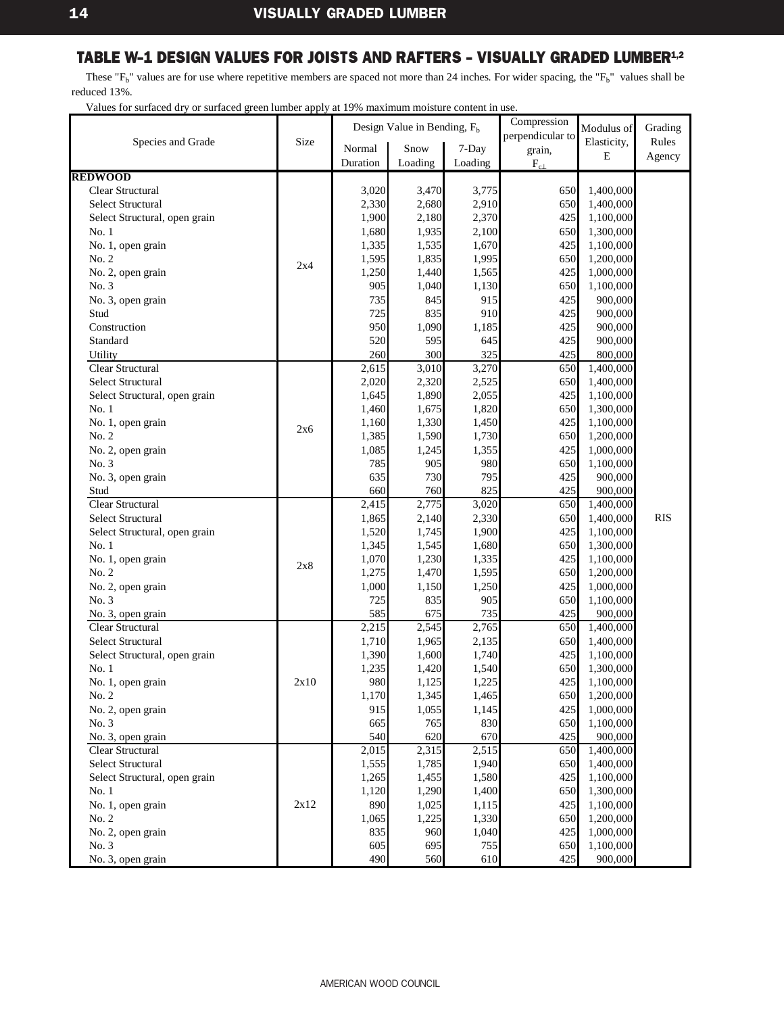<span id="page-16-0"></span>These " $F_b$ " values are for use where repetitive members are spaced not more than 24 inches. For wider spacing, the " $F_b$ " values shall be reduced 13%.

|                               |      |                    | Design Value in Bending, $F_h$ |         | Compression      | Modulus of  | Grading    |
|-------------------------------|------|--------------------|--------------------------------|---------|------------------|-------------|------------|
| Species and Grade             | Size |                    |                                |         | perpendicular to | Elasticity, | Rules      |
|                               |      | Normal             | Snow                           | 7-Day   | grain,           | E           | Agency     |
|                               |      | Duration           | Loading                        | Loading | $F_{c\perp}$     |             |            |
| <b>REDWOOD</b>                |      |                    |                                |         |                  |             |            |
| Clear Structural              |      | 3,020              | 3,470                          | 3,775   | 650              | 1,400,000   |            |
| <b>Select Structural</b>      |      | 2,330              | 2,680                          | 2,910   | 650              | 1,400,000   |            |
| Select Structural, open grain |      | 1,900              | 2,180                          | 2,370   | 425              | 1,100,000   |            |
| No. 1                         |      | 1,680              | 1,935                          | 2,100   | 650              | 1,300,000   |            |
| No. 1, open grain             |      | 1,335              | 1,535                          | 1,670   | 425              | 1,100,000   |            |
| No. 2                         | 2x4  | 1,595              | 1,835                          | 1,995   | 650              | 1,200,000   |            |
| No. 2, open grain             |      | 1,250              | 1,440                          | 1,565   | 425              | 1,000,000   |            |
| No. 3                         |      | 905                | 1,040                          | 1,130   | 650              | 1,100,000   |            |
| No. 3, open grain             |      | 735                | 845                            | 915     | 425              | 900,000     |            |
| Stud                          |      | 725                | 835                            | 910     | 425              | 900,000     |            |
| Construction                  |      | 950                | 1,090                          | 1,185   | 425              | 900,000     |            |
| Standard                      |      | 520                | 595                            | 645     | 425              | 900,000     |            |
| Utility                       |      | 260                | 300                            | 325     | 425              | 800,000     |            |
| Clear Structural              |      | 2,615              | 3,010                          | 3,270   | 650              | 1,400,000   |            |
| Select Structural             |      | 2,020              | 2,320                          | 2,525   | 650              | 1,400,000   |            |
| Select Structural, open grain |      | 1,645              | 1,890                          | 2,055   | 425              | 1,100,000   |            |
| No.1                          |      | 1,460              | 1,675                          | 1,820   | 650              | 1,300,000   |            |
| No. 1, open grain             | 2x6  | 1,160              | 1,330                          | 1,450   | 425              | 1,100,000   |            |
| No. 2                         |      | 1,385              | 1,590                          | 1,730   | 650              | 1,200,000   |            |
| No. 2, open grain             |      | 1,085              | 1,245                          | 1,355   | 425              | 1,000,000   |            |
| No. 3                         |      | 785                | 905                            | 980     | 650              | 1,100,000   |            |
| No. 3, open grain             |      | 635                | 730                            | 795     | 425              | 900,000     |            |
| Stud                          |      | 660                | 760                            | 825     | 425              | 900,000     |            |
| Clear Structural              |      | 2,415              | 2,775                          | 3,020   | 650              | 1,400,000   |            |
| Select Structural             |      | 1,865              | 2,140                          | 2,330   | 650              | 1,400,000   | <b>RIS</b> |
| Select Structural, open grain |      | 1,520              | 1,745                          | 1,900   | 425              | 1,100,000   |            |
| No. 1                         |      | 1,345              | 1,545                          | 1,680   | 650              | 1,300,000   |            |
| No. 1, open grain             | 2x8  | 1,070              | 1,230                          | 1,335   | 425              | 1,100,000   |            |
| No. 2                         |      | 1,275              | 1,470                          | 1,595   | 650              | 1,200,000   |            |
| No. 2, open grain             |      | 1,000              | 1,150                          | 1,250   | 425              | 1,000,000   |            |
| No. 3                         |      | 725                | 835                            | 905     | 650              | 1,100,000   |            |
| No. 3, open grain             |      | 585                | 675                            | 735     | 425              | 900,000     |            |
| Clear Structural              |      | 2,215              | 2,545                          | 2,765   | 650              | 1,400,000   |            |
| Select Structural             |      | 1,710              | 1,965                          | 2,135   | 650              | 1,400,000   |            |
| Select Structural, open grain |      | 1,390              | 1,600                          | 1,740   | 425              | 1,100,000   |            |
| No.1                          |      | 1,235              | 1,420                          | 1,540   | 650              | 1,300,000   |            |
| No. 1, open grain             | 2x10 | 980                | 1,125                          | 1,225   | 425              | 1,100,000   |            |
| No. 2                         |      | 1,170              | 1,345                          | 1,465   | 650              | 1,200,000   |            |
| No. 2, open grain             |      | 915                | 1,055                          | 1,145   | 425              | 1,000,000   |            |
| No. 3                         |      | 665                | 765                            | 830     | 650              | 1,100,000   |            |
| No. 3, open grain             |      | 540                | 620                            | 670     | 425              | 900,000     |            |
| Clear Structural              |      | $\overline{2,015}$ | 2,315                          | 2,515   | 650              | 1,400,000   |            |
| Select Structural             |      | 1,555              | 1,785                          | 1,940   | 650              | 1,400,000   |            |
| Select Structural, open grain |      | 1,265              | 1,455                          | 1,580   | 425              | 1,100,000   |            |
| No. 1                         |      | 1,120              | 1,290                          | 1,400   | 650              | 1,300,000   |            |
| No. 1, open grain             | 2x12 | 890                | 1,025                          | 1,115   | 425              | 1,100,000   |            |
| No. 2                         |      | 1,065              | 1,225                          | 1,330   | 650              | 1,200,000   |            |
| No. 2, open grain             |      | 835                | 960                            | 1,040   | 425              | 1,000,000   |            |
| No. 3                         |      | 605                | 695                            | 755     | 650              | 1,100,000   |            |
| No. 3, open grain             |      | 490                | 560                            | 610     | 425              | 900,000     |            |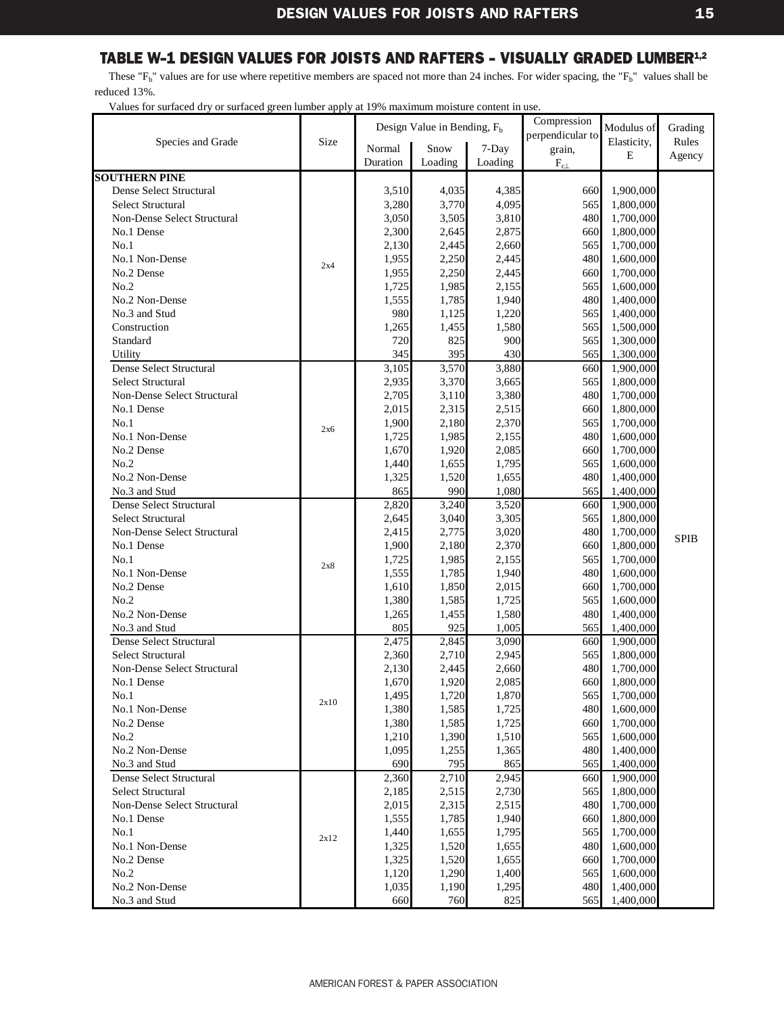<span id="page-17-0"></span>These " $F_b$ " values are for use where repetitive members are spaced not more than 24 inches. For wider spacing, the " $F_b$ " values shall be reduced 13%.

| Size<br>Elasticity,<br>Rules<br>Species and Grade<br>Snow<br>Normal<br>7-Day<br>grain,<br>E<br>Agency<br>Duration<br>Loading<br>Loading<br>$\rm F_{c\perp}$<br><b>SOUTHERN PINE</b><br>Dense Select Structural<br>3,510<br>4,035<br>660<br>1,900,000<br>4,385<br>565<br><b>Select Structural</b><br>3,280<br>3,770<br>4,095<br>1,800,000<br>480<br>3,050<br>3,505<br>3,810<br>Non-Dense Select Structural<br>1,700,000<br>2,300<br>2,875<br>660<br>1,800,000<br>No.1 Dense<br>2,645<br>565<br>No.1<br>2,130<br>2,660<br>1,700,000<br>2,445<br>No.1 Non-Dense<br>1,955<br>2,250<br>2,445<br>480<br>1,600,000<br>2x4<br>660<br>No.2 Dense<br>1,955<br>2,250<br>2,445<br>1,700,000<br>No.2<br>1,725<br>1,985<br>2,155<br>565<br>1,600,000<br>480<br>No.2 Non-Dense<br>1,555<br>1,785<br>1,940<br>1,400,000<br>980<br>565<br>No.3 and Stud<br>1,220<br>1,125<br>1,400,000<br>Construction<br>1,265<br>1,580<br>565<br>1,500,000<br>1,455<br>720<br>825<br>Standard<br>900<br>565<br>1,300,000<br>345<br>395<br>430<br>Utility<br>565<br>1,300,000<br>Dense Select Structural<br>3,105<br>3,570<br>3,880<br>660<br>1,900,000<br>565<br><b>Select Structural</b><br>2,935<br>3,370<br>3,665<br>1,800,000<br>2,705<br>3,380<br>480<br>Non-Dense Select Structural<br>3,110<br>1,700,000<br>2,015<br>2,315<br>2,515<br>660<br>1,800,000<br>No.1 Dense<br>2,370<br>565<br>1,700,000<br>No.1<br>1,900<br>2,180<br>2x6<br>480<br>No.1 Non-Dense<br>1,725<br>1,985<br>2,155<br>1,600,000<br>No.2 Dense<br>1,670<br>1,920<br>2,085<br>660<br>1,700,000<br>No.2<br>1,655<br>1,795<br>565<br>1,600,000<br>1,440<br>1,655<br>480<br>No.2 Non-Dense<br>1,325<br>1,520<br>1,400,000<br>865<br>990<br>1,080<br>565<br>No.3 and Stud<br>1,400,000<br><b>Dense Select Structural</b><br>3,240<br>2,820<br>3,520<br>660<br>1,900,000<br>3,305<br>565<br><b>Select Structural</b><br>2,645<br>3,040<br>1,800,000<br>Non-Dense Select Structural<br>480<br>2,415<br>2,775<br>3,020<br>1,700,000<br><b>SPIB</b><br>No.1 Dense<br>2,370<br>660<br>1,800,000<br>1,900<br>2,180<br>No.1<br>1,725<br>1,985<br>2,155<br>565<br>1,700,000<br>2x8<br>No.1 Non-Dense<br>1,555<br>1,785<br>1,940<br>480<br>1,600,000<br>1,610<br>1,850<br>2,015<br>660<br>1,700,000<br>No.2 Dense<br>No.2<br>565<br>1,380<br>1,585<br>1,725<br>1,600,000<br>1,580<br>480<br>No.2 Non-Dense<br>1,265<br>1,400,000<br>1,455<br>805<br>925<br>1,005<br>565<br>No.3 and Stud<br>1,400,000<br><b>Dense Select Structural</b><br>2,475<br>2,845<br>3,090<br>660<br>1,900,000<br><b>Select Structural</b><br>2,360<br>2,945<br>565<br>1,800,000<br>2,710<br>480<br>Non-Dense Select Structural<br>2,660<br>2,130<br>2,445<br>1,700,000<br>2,085<br>1,670<br>1,920<br>660<br>1,800,000<br>No.1 Dense<br>1,700,000<br>1,495<br>1,870<br>No.1<br>1,720<br>565<br>2x10<br>480<br>1,380<br>1,585<br>1,725<br>1,600,000<br>No.1 Non-Dense<br>660<br>1,700,000<br>No.2 Dense<br>1,380<br>1,585<br>1,725<br>565<br>No.2<br>1,210<br>1,390<br>1,510<br>1,600,000<br>1,095<br>1,255<br>1,365<br>480<br>1,400,000<br>No.2 Non-Dense<br>690<br>795<br>565<br>1,400,000<br>No.3 and Stud<br>865<br>Dense Select Structural<br>2,360<br>2,710<br>2,945<br>660<br>1,900,000<br>Select Structural<br>2,730<br>565<br>2,185<br>2,515<br>1,800,000<br>480<br>Non-Dense Select Structural<br>2,015<br>2,515<br>1,700,000<br>2,315<br>1,555<br>1,940<br>660<br>1,800,000<br>No.1 Dense<br>1,785<br>No.1<br>565<br>1,700,000<br>1,440<br>1,655<br>1,795<br>2x12<br>No.1 Non-Dense<br>480<br>1,325<br>1,520<br>1,655<br>1,600,000<br>No.2 Dense<br>660<br>1,700,000<br>1,325<br>1,520<br>1,655<br>No.2<br>1,120<br>1,290<br>1,400<br>565<br>1,600,000<br>1,035<br>1,190<br>1,295<br>480<br>1,400,000<br>No.2 Non-Dense<br>No.3 and Stud<br>825<br>565<br>660<br>760<br>1,400,000 |  |  |  |  | Design Value in Bending, $Fb$ |  | Compression | Modulus of | Grading |
|---------------------------------------------------------------------------------------------------------------------------------------------------------------------------------------------------------------------------------------------------------------------------------------------------------------------------------------------------------------------------------------------------------------------------------------------------------------------------------------------------------------------------------------------------------------------------------------------------------------------------------------------------------------------------------------------------------------------------------------------------------------------------------------------------------------------------------------------------------------------------------------------------------------------------------------------------------------------------------------------------------------------------------------------------------------------------------------------------------------------------------------------------------------------------------------------------------------------------------------------------------------------------------------------------------------------------------------------------------------------------------------------------------------------------------------------------------------------------------------------------------------------------------------------------------------------------------------------------------------------------------------------------------------------------------------------------------------------------------------------------------------------------------------------------------------------------------------------------------------------------------------------------------------------------------------------------------------------------------------------------------------------------------------------------------------------------------------------------------------------------------------------------------------------------------------------------------------------------------------------------------------------------------------------------------------------------------------------------------------------------------------------------------------------------------------------------------------------------------------------------------------------------------------------------------------------------------------------------------------------------------------------------------------------------------------------------------------------------------------------------------------------------------------------------------------------------------------------------------------------------------------------------------------------------------------------------------------------------------------------------------------------------------------------------------------------------------------------------------------------------------------------------------------------------------------------------------------------------------------------------------------------------------------------------------------------------------------------------------------------------------------------------------------------------------------------------------------------------------------------------------------------------------------------------------------------------------------------------------------------------------------------------------------------------------------------------------------------------------------------------------------------------------------------------|--|--|--|--|-------------------------------|--|-------------|------------|---------|
|                                                                                                                                                                                                                                                                                                                                                                                                                                                                                                                                                                                                                                                                                                                                                                                                                                                                                                                                                                                                                                                                                                                                                                                                                                                                                                                                                                                                                                                                                                                                                                                                                                                                                                                                                                                                                                                                                                                                                                                                                                                                                                                                                                                                                                                                                                                                                                                                                                                                                                                                                                                                                                                                                                                                                                                                                                                                                                                                                                                                                                                                                                                                                                                                                                                                                                                                                                                                                                                                                                                                                                                                                                                                                                                                                                                                   |  |  |  |  | perpendicular to              |  |             |            |         |
|                                                                                                                                                                                                                                                                                                                                                                                                                                                                                                                                                                                                                                                                                                                                                                                                                                                                                                                                                                                                                                                                                                                                                                                                                                                                                                                                                                                                                                                                                                                                                                                                                                                                                                                                                                                                                                                                                                                                                                                                                                                                                                                                                                                                                                                                                                                                                                                                                                                                                                                                                                                                                                                                                                                                                                                                                                                                                                                                                                                                                                                                                                                                                                                                                                                                                                                                                                                                                                                                                                                                                                                                                                                                                                                                                                                                   |  |  |  |  |                               |  |             |            |         |
|                                                                                                                                                                                                                                                                                                                                                                                                                                                                                                                                                                                                                                                                                                                                                                                                                                                                                                                                                                                                                                                                                                                                                                                                                                                                                                                                                                                                                                                                                                                                                                                                                                                                                                                                                                                                                                                                                                                                                                                                                                                                                                                                                                                                                                                                                                                                                                                                                                                                                                                                                                                                                                                                                                                                                                                                                                                                                                                                                                                                                                                                                                                                                                                                                                                                                                                                                                                                                                                                                                                                                                                                                                                                                                                                                                                                   |  |  |  |  |                               |  |             |            |         |
|                                                                                                                                                                                                                                                                                                                                                                                                                                                                                                                                                                                                                                                                                                                                                                                                                                                                                                                                                                                                                                                                                                                                                                                                                                                                                                                                                                                                                                                                                                                                                                                                                                                                                                                                                                                                                                                                                                                                                                                                                                                                                                                                                                                                                                                                                                                                                                                                                                                                                                                                                                                                                                                                                                                                                                                                                                                                                                                                                                                                                                                                                                                                                                                                                                                                                                                                                                                                                                                                                                                                                                                                                                                                                                                                                                                                   |  |  |  |  |                               |  |             |            |         |
|                                                                                                                                                                                                                                                                                                                                                                                                                                                                                                                                                                                                                                                                                                                                                                                                                                                                                                                                                                                                                                                                                                                                                                                                                                                                                                                                                                                                                                                                                                                                                                                                                                                                                                                                                                                                                                                                                                                                                                                                                                                                                                                                                                                                                                                                                                                                                                                                                                                                                                                                                                                                                                                                                                                                                                                                                                                                                                                                                                                                                                                                                                                                                                                                                                                                                                                                                                                                                                                                                                                                                                                                                                                                                                                                                                                                   |  |  |  |  |                               |  |             |            |         |
|                                                                                                                                                                                                                                                                                                                                                                                                                                                                                                                                                                                                                                                                                                                                                                                                                                                                                                                                                                                                                                                                                                                                                                                                                                                                                                                                                                                                                                                                                                                                                                                                                                                                                                                                                                                                                                                                                                                                                                                                                                                                                                                                                                                                                                                                                                                                                                                                                                                                                                                                                                                                                                                                                                                                                                                                                                                                                                                                                                                                                                                                                                                                                                                                                                                                                                                                                                                                                                                                                                                                                                                                                                                                                                                                                                                                   |  |  |  |  |                               |  |             |            |         |
|                                                                                                                                                                                                                                                                                                                                                                                                                                                                                                                                                                                                                                                                                                                                                                                                                                                                                                                                                                                                                                                                                                                                                                                                                                                                                                                                                                                                                                                                                                                                                                                                                                                                                                                                                                                                                                                                                                                                                                                                                                                                                                                                                                                                                                                                                                                                                                                                                                                                                                                                                                                                                                                                                                                                                                                                                                                                                                                                                                                                                                                                                                                                                                                                                                                                                                                                                                                                                                                                                                                                                                                                                                                                                                                                                                                                   |  |  |  |  |                               |  |             |            |         |
|                                                                                                                                                                                                                                                                                                                                                                                                                                                                                                                                                                                                                                                                                                                                                                                                                                                                                                                                                                                                                                                                                                                                                                                                                                                                                                                                                                                                                                                                                                                                                                                                                                                                                                                                                                                                                                                                                                                                                                                                                                                                                                                                                                                                                                                                                                                                                                                                                                                                                                                                                                                                                                                                                                                                                                                                                                                                                                                                                                                                                                                                                                                                                                                                                                                                                                                                                                                                                                                                                                                                                                                                                                                                                                                                                                                                   |  |  |  |  |                               |  |             |            |         |
|                                                                                                                                                                                                                                                                                                                                                                                                                                                                                                                                                                                                                                                                                                                                                                                                                                                                                                                                                                                                                                                                                                                                                                                                                                                                                                                                                                                                                                                                                                                                                                                                                                                                                                                                                                                                                                                                                                                                                                                                                                                                                                                                                                                                                                                                                                                                                                                                                                                                                                                                                                                                                                                                                                                                                                                                                                                                                                                                                                                                                                                                                                                                                                                                                                                                                                                                                                                                                                                                                                                                                                                                                                                                                                                                                                                                   |  |  |  |  |                               |  |             |            |         |
|                                                                                                                                                                                                                                                                                                                                                                                                                                                                                                                                                                                                                                                                                                                                                                                                                                                                                                                                                                                                                                                                                                                                                                                                                                                                                                                                                                                                                                                                                                                                                                                                                                                                                                                                                                                                                                                                                                                                                                                                                                                                                                                                                                                                                                                                                                                                                                                                                                                                                                                                                                                                                                                                                                                                                                                                                                                                                                                                                                                                                                                                                                                                                                                                                                                                                                                                                                                                                                                                                                                                                                                                                                                                                                                                                                                                   |  |  |  |  |                               |  |             |            |         |
|                                                                                                                                                                                                                                                                                                                                                                                                                                                                                                                                                                                                                                                                                                                                                                                                                                                                                                                                                                                                                                                                                                                                                                                                                                                                                                                                                                                                                                                                                                                                                                                                                                                                                                                                                                                                                                                                                                                                                                                                                                                                                                                                                                                                                                                                                                                                                                                                                                                                                                                                                                                                                                                                                                                                                                                                                                                                                                                                                                                                                                                                                                                                                                                                                                                                                                                                                                                                                                                                                                                                                                                                                                                                                                                                                                                                   |  |  |  |  |                               |  |             |            |         |
|                                                                                                                                                                                                                                                                                                                                                                                                                                                                                                                                                                                                                                                                                                                                                                                                                                                                                                                                                                                                                                                                                                                                                                                                                                                                                                                                                                                                                                                                                                                                                                                                                                                                                                                                                                                                                                                                                                                                                                                                                                                                                                                                                                                                                                                                                                                                                                                                                                                                                                                                                                                                                                                                                                                                                                                                                                                                                                                                                                                                                                                                                                                                                                                                                                                                                                                                                                                                                                                                                                                                                                                                                                                                                                                                                                                                   |  |  |  |  |                               |  |             |            |         |
|                                                                                                                                                                                                                                                                                                                                                                                                                                                                                                                                                                                                                                                                                                                                                                                                                                                                                                                                                                                                                                                                                                                                                                                                                                                                                                                                                                                                                                                                                                                                                                                                                                                                                                                                                                                                                                                                                                                                                                                                                                                                                                                                                                                                                                                                                                                                                                                                                                                                                                                                                                                                                                                                                                                                                                                                                                                                                                                                                                                                                                                                                                                                                                                                                                                                                                                                                                                                                                                                                                                                                                                                                                                                                                                                                                                                   |  |  |  |  |                               |  |             |            |         |
|                                                                                                                                                                                                                                                                                                                                                                                                                                                                                                                                                                                                                                                                                                                                                                                                                                                                                                                                                                                                                                                                                                                                                                                                                                                                                                                                                                                                                                                                                                                                                                                                                                                                                                                                                                                                                                                                                                                                                                                                                                                                                                                                                                                                                                                                                                                                                                                                                                                                                                                                                                                                                                                                                                                                                                                                                                                                                                                                                                                                                                                                                                                                                                                                                                                                                                                                                                                                                                                                                                                                                                                                                                                                                                                                                                                                   |  |  |  |  |                               |  |             |            |         |
|                                                                                                                                                                                                                                                                                                                                                                                                                                                                                                                                                                                                                                                                                                                                                                                                                                                                                                                                                                                                                                                                                                                                                                                                                                                                                                                                                                                                                                                                                                                                                                                                                                                                                                                                                                                                                                                                                                                                                                                                                                                                                                                                                                                                                                                                                                                                                                                                                                                                                                                                                                                                                                                                                                                                                                                                                                                                                                                                                                                                                                                                                                                                                                                                                                                                                                                                                                                                                                                                                                                                                                                                                                                                                                                                                                                                   |  |  |  |  |                               |  |             |            |         |
|                                                                                                                                                                                                                                                                                                                                                                                                                                                                                                                                                                                                                                                                                                                                                                                                                                                                                                                                                                                                                                                                                                                                                                                                                                                                                                                                                                                                                                                                                                                                                                                                                                                                                                                                                                                                                                                                                                                                                                                                                                                                                                                                                                                                                                                                                                                                                                                                                                                                                                                                                                                                                                                                                                                                                                                                                                                                                                                                                                                                                                                                                                                                                                                                                                                                                                                                                                                                                                                                                                                                                                                                                                                                                                                                                                                                   |  |  |  |  |                               |  |             |            |         |
|                                                                                                                                                                                                                                                                                                                                                                                                                                                                                                                                                                                                                                                                                                                                                                                                                                                                                                                                                                                                                                                                                                                                                                                                                                                                                                                                                                                                                                                                                                                                                                                                                                                                                                                                                                                                                                                                                                                                                                                                                                                                                                                                                                                                                                                                                                                                                                                                                                                                                                                                                                                                                                                                                                                                                                                                                                                                                                                                                                                                                                                                                                                                                                                                                                                                                                                                                                                                                                                                                                                                                                                                                                                                                                                                                                                                   |  |  |  |  |                               |  |             |            |         |
|                                                                                                                                                                                                                                                                                                                                                                                                                                                                                                                                                                                                                                                                                                                                                                                                                                                                                                                                                                                                                                                                                                                                                                                                                                                                                                                                                                                                                                                                                                                                                                                                                                                                                                                                                                                                                                                                                                                                                                                                                                                                                                                                                                                                                                                                                                                                                                                                                                                                                                                                                                                                                                                                                                                                                                                                                                                                                                                                                                                                                                                                                                                                                                                                                                                                                                                                                                                                                                                                                                                                                                                                                                                                                                                                                                                                   |  |  |  |  |                               |  |             |            |         |
|                                                                                                                                                                                                                                                                                                                                                                                                                                                                                                                                                                                                                                                                                                                                                                                                                                                                                                                                                                                                                                                                                                                                                                                                                                                                                                                                                                                                                                                                                                                                                                                                                                                                                                                                                                                                                                                                                                                                                                                                                                                                                                                                                                                                                                                                                                                                                                                                                                                                                                                                                                                                                                                                                                                                                                                                                                                                                                                                                                                                                                                                                                                                                                                                                                                                                                                                                                                                                                                                                                                                                                                                                                                                                                                                                                                                   |  |  |  |  |                               |  |             |            |         |
|                                                                                                                                                                                                                                                                                                                                                                                                                                                                                                                                                                                                                                                                                                                                                                                                                                                                                                                                                                                                                                                                                                                                                                                                                                                                                                                                                                                                                                                                                                                                                                                                                                                                                                                                                                                                                                                                                                                                                                                                                                                                                                                                                                                                                                                                                                                                                                                                                                                                                                                                                                                                                                                                                                                                                                                                                                                                                                                                                                                                                                                                                                                                                                                                                                                                                                                                                                                                                                                                                                                                                                                                                                                                                                                                                                                                   |  |  |  |  |                               |  |             |            |         |
|                                                                                                                                                                                                                                                                                                                                                                                                                                                                                                                                                                                                                                                                                                                                                                                                                                                                                                                                                                                                                                                                                                                                                                                                                                                                                                                                                                                                                                                                                                                                                                                                                                                                                                                                                                                                                                                                                                                                                                                                                                                                                                                                                                                                                                                                                                                                                                                                                                                                                                                                                                                                                                                                                                                                                                                                                                                                                                                                                                                                                                                                                                                                                                                                                                                                                                                                                                                                                                                                                                                                                                                                                                                                                                                                                                                                   |  |  |  |  |                               |  |             |            |         |
|                                                                                                                                                                                                                                                                                                                                                                                                                                                                                                                                                                                                                                                                                                                                                                                                                                                                                                                                                                                                                                                                                                                                                                                                                                                                                                                                                                                                                                                                                                                                                                                                                                                                                                                                                                                                                                                                                                                                                                                                                                                                                                                                                                                                                                                                                                                                                                                                                                                                                                                                                                                                                                                                                                                                                                                                                                                                                                                                                                                                                                                                                                                                                                                                                                                                                                                                                                                                                                                                                                                                                                                                                                                                                                                                                                                                   |  |  |  |  |                               |  |             |            |         |
|                                                                                                                                                                                                                                                                                                                                                                                                                                                                                                                                                                                                                                                                                                                                                                                                                                                                                                                                                                                                                                                                                                                                                                                                                                                                                                                                                                                                                                                                                                                                                                                                                                                                                                                                                                                                                                                                                                                                                                                                                                                                                                                                                                                                                                                                                                                                                                                                                                                                                                                                                                                                                                                                                                                                                                                                                                                                                                                                                                                                                                                                                                                                                                                                                                                                                                                                                                                                                                                                                                                                                                                                                                                                                                                                                                                                   |  |  |  |  |                               |  |             |            |         |
|                                                                                                                                                                                                                                                                                                                                                                                                                                                                                                                                                                                                                                                                                                                                                                                                                                                                                                                                                                                                                                                                                                                                                                                                                                                                                                                                                                                                                                                                                                                                                                                                                                                                                                                                                                                                                                                                                                                                                                                                                                                                                                                                                                                                                                                                                                                                                                                                                                                                                                                                                                                                                                                                                                                                                                                                                                                                                                                                                                                                                                                                                                                                                                                                                                                                                                                                                                                                                                                                                                                                                                                                                                                                                                                                                                                                   |  |  |  |  |                               |  |             |            |         |
|                                                                                                                                                                                                                                                                                                                                                                                                                                                                                                                                                                                                                                                                                                                                                                                                                                                                                                                                                                                                                                                                                                                                                                                                                                                                                                                                                                                                                                                                                                                                                                                                                                                                                                                                                                                                                                                                                                                                                                                                                                                                                                                                                                                                                                                                                                                                                                                                                                                                                                                                                                                                                                                                                                                                                                                                                                                                                                                                                                                                                                                                                                                                                                                                                                                                                                                                                                                                                                                                                                                                                                                                                                                                                                                                                                                                   |  |  |  |  |                               |  |             |            |         |
|                                                                                                                                                                                                                                                                                                                                                                                                                                                                                                                                                                                                                                                                                                                                                                                                                                                                                                                                                                                                                                                                                                                                                                                                                                                                                                                                                                                                                                                                                                                                                                                                                                                                                                                                                                                                                                                                                                                                                                                                                                                                                                                                                                                                                                                                                                                                                                                                                                                                                                                                                                                                                                                                                                                                                                                                                                                                                                                                                                                                                                                                                                                                                                                                                                                                                                                                                                                                                                                                                                                                                                                                                                                                                                                                                                                                   |  |  |  |  |                               |  |             |            |         |
|                                                                                                                                                                                                                                                                                                                                                                                                                                                                                                                                                                                                                                                                                                                                                                                                                                                                                                                                                                                                                                                                                                                                                                                                                                                                                                                                                                                                                                                                                                                                                                                                                                                                                                                                                                                                                                                                                                                                                                                                                                                                                                                                                                                                                                                                                                                                                                                                                                                                                                                                                                                                                                                                                                                                                                                                                                                                                                                                                                                                                                                                                                                                                                                                                                                                                                                                                                                                                                                                                                                                                                                                                                                                                                                                                                                                   |  |  |  |  |                               |  |             |            |         |
|                                                                                                                                                                                                                                                                                                                                                                                                                                                                                                                                                                                                                                                                                                                                                                                                                                                                                                                                                                                                                                                                                                                                                                                                                                                                                                                                                                                                                                                                                                                                                                                                                                                                                                                                                                                                                                                                                                                                                                                                                                                                                                                                                                                                                                                                                                                                                                                                                                                                                                                                                                                                                                                                                                                                                                                                                                                                                                                                                                                                                                                                                                                                                                                                                                                                                                                                                                                                                                                                                                                                                                                                                                                                                                                                                                                                   |  |  |  |  |                               |  |             |            |         |
|                                                                                                                                                                                                                                                                                                                                                                                                                                                                                                                                                                                                                                                                                                                                                                                                                                                                                                                                                                                                                                                                                                                                                                                                                                                                                                                                                                                                                                                                                                                                                                                                                                                                                                                                                                                                                                                                                                                                                                                                                                                                                                                                                                                                                                                                                                                                                                                                                                                                                                                                                                                                                                                                                                                                                                                                                                                                                                                                                                                                                                                                                                                                                                                                                                                                                                                                                                                                                                                                                                                                                                                                                                                                                                                                                                                                   |  |  |  |  |                               |  |             |            |         |
|                                                                                                                                                                                                                                                                                                                                                                                                                                                                                                                                                                                                                                                                                                                                                                                                                                                                                                                                                                                                                                                                                                                                                                                                                                                                                                                                                                                                                                                                                                                                                                                                                                                                                                                                                                                                                                                                                                                                                                                                                                                                                                                                                                                                                                                                                                                                                                                                                                                                                                                                                                                                                                                                                                                                                                                                                                                                                                                                                                                                                                                                                                                                                                                                                                                                                                                                                                                                                                                                                                                                                                                                                                                                                                                                                                                                   |  |  |  |  |                               |  |             |            |         |
|                                                                                                                                                                                                                                                                                                                                                                                                                                                                                                                                                                                                                                                                                                                                                                                                                                                                                                                                                                                                                                                                                                                                                                                                                                                                                                                                                                                                                                                                                                                                                                                                                                                                                                                                                                                                                                                                                                                                                                                                                                                                                                                                                                                                                                                                                                                                                                                                                                                                                                                                                                                                                                                                                                                                                                                                                                                                                                                                                                                                                                                                                                                                                                                                                                                                                                                                                                                                                                                                                                                                                                                                                                                                                                                                                                                                   |  |  |  |  |                               |  |             |            |         |
|                                                                                                                                                                                                                                                                                                                                                                                                                                                                                                                                                                                                                                                                                                                                                                                                                                                                                                                                                                                                                                                                                                                                                                                                                                                                                                                                                                                                                                                                                                                                                                                                                                                                                                                                                                                                                                                                                                                                                                                                                                                                                                                                                                                                                                                                                                                                                                                                                                                                                                                                                                                                                                                                                                                                                                                                                                                                                                                                                                                                                                                                                                                                                                                                                                                                                                                                                                                                                                                                                                                                                                                                                                                                                                                                                                                                   |  |  |  |  |                               |  |             |            |         |
|                                                                                                                                                                                                                                                                                                                                                                                                                                                                                                                                                                                                                                                                                                                                                                                                                                                                                                                                                                                                                                                                                                                                                                                                                                                                                                                                                                                                                                                                                                                                                                                                                                                                                                                                                                                                                                                                                                                                                                                                                                                                                                                                                                                                                                                                                                                                                                                                                                                                                                                                                                                                                                                                                                                                                                                                                                                                                                                                                                                                                                                                                                                                                                                                                                                                                                                                                                                                                                                                                                                                                                                                                                                                                                                                                                                                   |  |  |  |  |                               |  |             |            |         |
|                                                                                                                                                                                                                                                                                                                                                                                                                                                                                                                                                                                                                                                                                                                                                                                                                                                                                                                                                                                                                                                                                                                                                                                                                                                                                                                                                                                                                                                                                                                                                                                                                                                                                                                                                                                                                                                                                                                                                                                                                                                                                                                                                                                                                                                                                                                                                                                                                                                                                                                                                                                                                                                                                                                                                                                                                                                                                                                                                                                                                                                                                                                                                                                                                                                                                                                                                                                                                                                                                                                                                                                                                                                                                                                                                                                                   |  |  |  |  |                               |  |             |            |         |
|                                                                                                                                                                                                                                                                                                                                                                                                                                                                                                                                                                                                                                                                                                                                                                                                                                                                                                                                                                                                                                                                                                                                                                                                                                                                                                                                                                                                                                                                                                                                                                                                                                                                                                                                                                                                                                                                                                                                                                                                                                                                                                                                                                                                                                                                                                                                                                                                                                                                                                                                                                                                                                                                                                                                                                                                                                                                                                                                                                                                                                                                                                                                                                                                                                                                                                                                                                                                                                                                                                                                                                                                                                                                                                                                                                                                   |  |  |  |  |                               |  |             |            |         |
|                                                                                                                                                                                                                                                                                                                                                                                                                                                                                                                                                                                                                                                                                                                                                                                                                                                                                                                                                                                                                                                                                                                                                                                                                                                                                                                                                                                                                                                                                                                                                                                                                                                                                                                                                                                                                                                                                                                                                                                                                                                                                                                                                                                                                                                                                                                                                                                                                                                                                                                                                                                                                                                                                                                                                                                                                                                                                                                                                                                                                                                                                                                                                                                                                                                                                                                                                                                                                                                                                                                                                                                                                                                                                                                                                                                                   |  |  |  |  |                               |  |             |            |         |
|                                                                                                                                                                                                                                                                                                                                                                                                                                                                                                                                                                                                                                                                                                                                                                                                                                                                                                                                                                                                                                                                                                                                                                                                                                                                                                                                                                                                                                                                                                                                                                                                                                                                                                                                                                                                                                                                                                                                                                                                                                                                                                                                                                                                                                                                                                                                                                                                                                                                                                                                                                                                                                                                                                                                                                                                                                                                                                                                                                                                                                                                                                                                                                                                                                                                                                                                                                                                                                                                                                                                                                                                                                                                                                                                                                                                   |  |  |  |  |                               |  |             |            |         |
|                                                                                                                                                                                                                                                                                                                                                                                                                                                                                                                                                                                                                                                                                                                                                                                                                                                                                                                                                                                                                                                                                                                                                                                                                                                                                                                                                                                                                                                                                                                                                                                                                                                                                                                                                                                                                                                                                                                                                                                                                                                                                                                                                                                                                                                                                                                                                                                                                                                                                                                                                                                                                                                                                                                                                                                                                                                                                                                                                                                                                                                                                                                                                                                                                                                                                                                                                                                                                                                                                                                                                                                                                                                                                                                                                                                                   |  |  |  |  |                               |  |             |            |         |
|                                                                                                                                                                                                                                                                                                                                                                                                                                                                                                                                                                                                                                                                                                                                                                                                                                                                                                                                                                                                                                                                                                                                                                                                                                                                                                                                                                                                                                                                                                                                                                                                                                                                                                                                                                                                                                                                                                                                                                                                                                                                                                                                                                                                                                                                                                                                                                                                                                                                                                                                                                                                                                                                                                                                                                                                                                                                                                                                                                                                                                                                                                                                                                                                                                                                                                                                                                                                                                                                                                                                                                                                                                                                                                                                                                                                   |  |  |  |  |                               |  |             |            |         |
|                                                                                                                                                                                                                                                                                                                                                                                                                                                                                                                                                                                                                                                                                                                                                                                                                                                                                                                                                                                                                                                                                                                                                                                                                                                                                                                                                                                                                                                                                                                                                                                                                                                                                                                                                                                                                                                                                                                                                                                                                                                                                                                                                                                                                                                                                                                                                                                                                                                                                                                                                                                                                                                                                                                                                                                                                                                                                                                                                                                                                                                                                                                                                                                                                                                                                                                                                                                                                                                                                                                                                                                                                                                                                                                                                                                                   |  |  |  |  |                               |  |             |            |         |
|                                                                                                                                                                                                                                                                                                                                                                                                                                                                                                                                                                                                                                                                                                                                                                                                                                                                                                                                                                                                                                                                                                                                                                                                                                                                                                                                                                                                                                                                                                                                                                                                                                                                                                                                                                                                                                                                                                                                                                                                                                                                                                                                                                                                                                                                                                                                                                                                                                                                                                                                                                                                                                                                                                                                                                                                                                                                                                                                                                                                                                                                                                                                                                                                                                                                                                                                                                                                                                                                                                                                                                                                                                                                                                                                                                                                   |  |  |  |  |                               |  |             |            |         |
|                                                                                                                                                                                                                                                                                                                                                                                                                                                                                                                                                                                                                                                                                                                                                                                                                                                                                                                                                                                                                                                                                                                                                                                                                                                                                                                                                                                                                                                                                                                                                                                                                                                                                                                                                                                                                                                                                                                                                                                                                                                                                                                                                                                                                                                                                                                                                                                                                                                                                                                                                                                                                                                                                                                                                                                                                                                                                                                                                                                                                                                                                                                                                                                                                                                                                                                                                                                                                                                                                                                                                                                                                                                                                                                                                                                                   |  |  |  |  |                               |  |             |            |         |
|                                                                                                                                                                                                                                                                                                                                                                                                                                                                                                                                                                                                                                                                                                                                                                                                                                                                                                                                                                                                                                                                                                                                                                                                                                                                                                                                                                                                                                                                                                                                                                                                                                                                                                                                                                                                                                                                                                                                                                                                                                                                                                                                                                                                                                                                                                                                                                                                                                                                                                                                                                                                                                                                                                                                                                                                                                                                                                                                                                                                                                                                                                                                                                                                                                                                                                                                                                                                                                                                                                                                                                                                                                                                                                                                                                                                   |  |  |  |  |                               |  |             |            |         |
|                                                                                                                                                                                                                                                                                                                                                                                                                                                                                                                                                                                                                                                                                                                                                                                                                                                                                                                                                                                                                                                                                                                                                                                                                                                                                                                                                                                                                                                                                                                                                                                                                                                                                                                                                                                                                                                                                                                                                                                                                                                                                                                                                                                                                                                                                                                                                                                                                                                                                                                                                                                                                                                                                                                                                                                                                                                                                                                                                                                                                                                                                                                                                                                                                                                                                                                                                                                                                                                                                                                                                                                                                                                                                                                                                                                                   |  |  |  |  |                               |  |             |            |         |
|                                                                                                                                                                                                                                                                                                                                                                                                                                                                                                                                                                                                                                                                                                                                                                                                                                                                                                                                                                                                                                                                                                                                                                                                                                                                                                                                                                                                                                                                                                                                                                                                                                                                                                                                                                                                                                                                                                                                                                                                                                                                                                                                                                                                                                                                                                                                                                                                                                                                                                                                                                                                                                                                                                                                                                                                                                                                                                                                                                                                                                                                                                                                                                                                                                                                                                                                                                                                                                                                                                                                                                                                                                                                                                                                                                                                   |  |  |  |  |                               |  |             |            |         |
|                                                                                                                                                                                                                                                                                                                                                                                                                                                                                                                                                                                                                                                                                                                                                                                                                                                                                                                                                                                                                                                                                                                                                                                                                                                                                                                                                                                                                                                                                                                                                                                                                                                                                                                                                                                                                                                                                                                                                                                                                                                                                                                                                                                                                                                                                                                                                                                                                                                                                                                                                                                                                                                                                                                                                                                                                                                                                                                                                                                                                                                                                                                                                                                                                                                                                                                                                                                                                                                                                                                                                                                                                                                                                                                                                                                                   |  |  |  |  |                               |  |             |            |         |
|                                                                                                                                                                                                                                                                                                                                                                                                                                                                                                                                                                                                                                                                                                                                                                                                                                                                                                                                                                                                                                                                                                                                                                                                                                                                                                                                                                                                                                                                                                                                                                                                                                                                                                                                                                                                                                                                                                                                                                                                                                                                                                                                                                                                                                                                                                                                                                                                                                                                                                                                                                                                                                                                                                                                                                                                                                                                                                                                                                                                                                                                                                                                                                                                                                                                                                                                                                                                                                                                                                                                                                                                                                                                                                                                                                                                   |  |  |  |  |                               |  |             |            |         |
|                                                                                                                                                                                                                                                                                                                                                                                                                                                                                                                                                                                                                                                                                                                                                                                                                                                                                                                                                                                                                                                                                                                                                                                                                                                                                                                                                                                                                                                                                                                                                                                                                                                                                                                                                                                                                                                                                                                                                                                                                                                                                                                                                                                                                                                                                                                                                                                                                                                                                                                                                                                                                                                                                                                                                                                                                                                                                                                                                                                                                                                                                                                                                                                                                                                                                                                                                                                                                                                                                                                                                                                                                                                                                                                                                                                                   |  |  |  |  |                               |  |             |            |         |
|                                                                                                                                                                                                                                                                                                                                                                                                                                                                                                                                                                                                                                                                                                                                                                                                                                                                                                                                                                                                                                                                                                                                                                                                                                                                                                                                                                                                                                                                                                                                                                                                                                                                                                                                                                                                                                                                                                                                                                                                                                                                                                                                                                                                                                                                                                                                                                                                                                                                                                                                                                                                                                                                                                                                                                                                                                                                                                                                                                                                                                                                                                                                                                                                                                                                                                                                                                                                                                                                                                                                                                                                                                                                                                                                                                                                   |  |  |  |  |                               |  |             |            |         |
|                                                                                                                                                                                                                                                                                                                                                                                                                                                                                                                                                                                                                                                                                                                                                                                                                                                                                                                                                                                                                                                                                                                                                                                                                                                                                                                                                                                                                                                                                                                                                                                                                                                                                                                                                                                                                                                                                                                                                                                                                                                                                                                                                                                                                                                                                                                                                                                                                                                                                                                                                                                                                                                                                                                                                                                                                                                                                                                                                                                                                                                                                                                                                                                                                                                                                                                                                                                                                                                                                                                                                                                                                                                                                                                                                                                                   |  |  |  |  |                               |  |             |            |         |
|                                                                                                                                                                                                                                                                                                                                                                                                                                                                                                                                                                                                                                                                                                                                                                                                                                                                                                                                                                                                                                                                                                                                                                                                                                                                                                                                                                                                                                                                                                                                                                                                                                                                                                                                                                                                                                                                                                                                                                                                                                                                                                                                                                                                                                                                                                                                                                                                                                                                                                                                                                                                                                                                                                                                                                                                                                                                                                                                                                                                                                                                                                                                                                                                                                                                                                                                                                                                                                                                                                                                                                                                                                                                                                                                                                                                   |  |  |  |  |                               |  |             |            |         |
|                                                                                                                                                                                                                                                                                                                                                                                                                                                                                                                                                                                                                                                                                                                                                                                                                                                                                                                                                                                                                                                                                                                                                                                                                                                                                                                                                                                                                                                                                                                                                                                                                                                                                                                                                                                                                                                                                                                                                                                                                                                                                                                                                                                                                                                                                                                                                                                                                                                                                                                                                                                                                                                                                                                                                                                                                                                                                                                                                                                                                                                                                                                                                                                                                                                                                                                                                                                                                                                                                                                                                                                                                                                                                                                                                                                                   |  |  |  |  |                               |  |             |            |         |
|                                                                                                                                                                                                                                                                                                                                                                                                                                                                                                                                                                                                                                                                                                                                                                                                                                                                                                                                                                                                                                                                                                                                                                                                                                                                                                                                                                                                                                                                                                                                                                                                                                                                                                                                                                                                                                                                                                                                                                                                                                                                                                                                                                                                                                                                                                                                                                                                                                                                                                                                                                                                                                                                                                                                                                                                                                                                                                                                                                                                                                                                                                                                                                                                                                                                                                                                                                                                                                                                                                                                                                                                                                                                                                                                                                                                   |  |  |  |  |                               |  |             |            |         |
|                                                                                                                                                                                                                                                                                                                                                                                                                                                                                                                                                                                                                                                                                                                                                                                                                                                                                                                                                                                                                                                                                                                                                                                                                                                                                                                                                                                                                                                                                                                                                                                                                                                                                                                                                                                                                                                                                                                                                                                                                                                                                                                                                                                                                                                                                                                                                                                                                                                                                                                                                                                                                                                                                                                                                                                                                                                                                                                                                                                                                                                                                                                                                                                                                                                                                                                                                                                                                                                                                                                                                                                                                                                                                                                                                                                                   |  |  |  |  |                               |  |             |            |         |
|                                                                                                                                                                                                                                                                                                                                                                                                                                                                                                                                                                                                                                                                                                                                                                                                                                                                                                                                                                                                                                                                                                                                                                                                                                                                                                                                                                                                                                                                                                                                                                                                                                                                                                                                                                                                                                                                                                                                                                                                                                                                                                                                                                                                                                                                                                                                                                                                                                                                                                                                                                                                                                                                                                                                                                                                                                                                                                                                                                                                                                                                                                                                                                                                                                                                                                                                                                                                                                                                                                                                                                                                                                                                                                                                                                                                   |  |  |  |  |                               |  |             |            |         |
|                                                                                                                                                                                                                                                                                                                                                                                                                                                                                                                                                                                                                                                                                                                                                                                                                                                                                                                                                                                                                                                                                                                                                                                                                                                                                                                                                                                                                                                                                                                                                                                                                                                                                                                                                                                                                                                                                                                                                                                                                                                                                                                                                                                                                                                                                                                                                                                                                                                                                                                                                                                                                                                                                                                                                                                                                                                                                                                                                                                                                                                                                                                                                                                                                                                                                                                                                                                                                                                                                                                                                                                                                                                                                                                                                                                                   |  |  |  |  |                               |  |             |            |         |
|                                                                                                                                                                                                                                                                                                                                                                                                                                                                                                                                                                                                                                                                                                                                                                                                                                                                                                                                                                                                                                                                                                                                                                                                                                                                                                                                                                                                                                                                                                                                                                                                                                                                                                                                                                                                                                                                                                                                                                                                                                                                                                                                                                                                                                                                                                                                                                                                                                                                                                                                                                                                                                                                                                                                                                                                                                                                                                                                                                                                                                                                                                                                                                                                                                                                                                                                                                                                                                                                                                                                                                                                                                                                                                                                                                                                   |  |  |  |  |                               |  |             |            |         |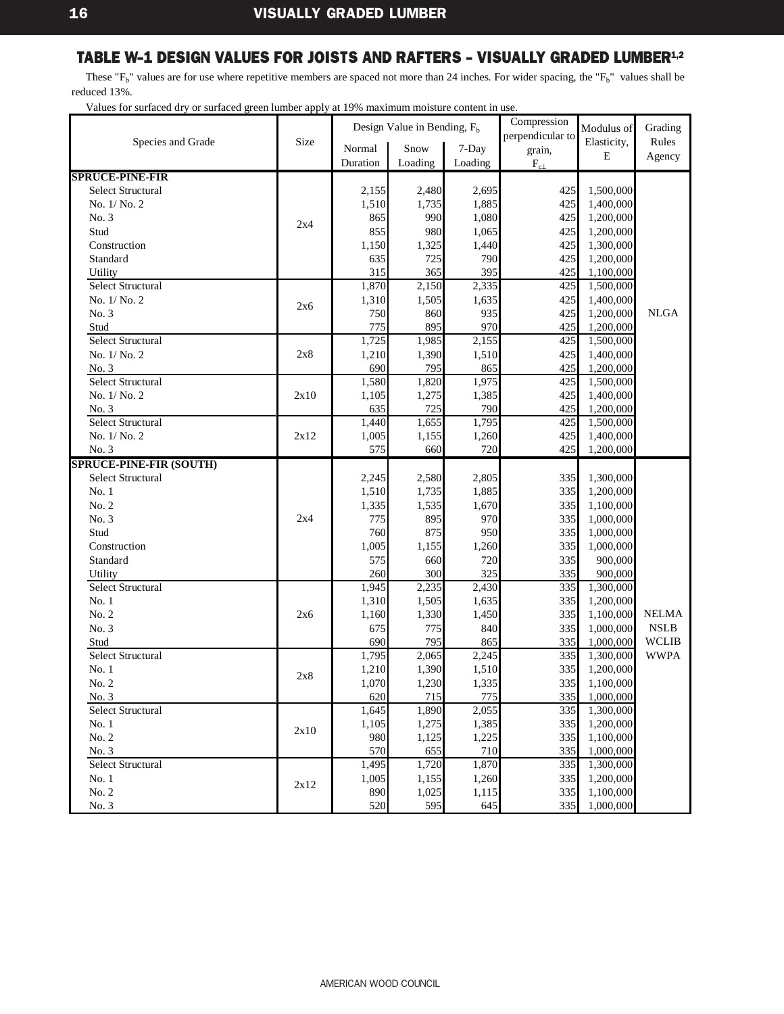<span id="page-18-0"></span>These " $F_b$ " values are for use where repetitive members are spaced not more than 24 inches. For wider spacing, the " $F_b$ " values shall be reduced 13%.

|                                |      |          | Design Value in Bending, $F_h$ |         | Compression      | Modulus of  | Grading      |
|--------------------------------|------|----------|--------------------------------|---------|------------------|-------------|--------------|
| Species and Grade              | Size |          |                                |         | perpendicular to | Elasticity, | Rules        |
|                                |      | Normal   | Snow                           | 7-Day   | grain,           | Ε           | Agency       |
|                                |      | Duration | Loading                        | Loading | $\rm F_{c\perp}$ |             |              |
| <b>SPRUCE-PINE-FIR</b>         |      |          |                                |         |                  |             |              |
| <b>Select Structural</b>       |      | 2,155    | 2,480                          | 2,695   | 425              | 1,500,000   |              |
| No. 1/No. 2                    |      | 1,510    | 1,735                          | 1,885   | 425              | 1,400,000   |              |
| No. 3                          | 2x4  | 865      | 990                            | 1,080   | 425              | 1,200,000   |              |
| Stud                           |      | 855      | 980                            | 1,065   | 425              | 1,200,000   |              |
| Construction                   |      | 1,150    | 1,325                          | 1,440   | 425              | 1,300,000   |              |
| Standard                       |      | 635      | 725                            | 790     | 425              | 1,200,000   |              |
| Utility                        |      | 315      | 365                            | 395     | 425              | 1,100,000   |              |
| <b>Select Structural</b>       |      | 1,870    | 2,150                          | 2,335   | 425              | 1,500,000   |              |
| No. 1/ No. 2                   | 2x6  | 1,310    | 1,505                          | 1,635   | 425              | 1,400,000   |              |
| No. 3                          |      | 750      | 860                            | 935     | 425              | 1,200,000   | <b>NLGA</b>  |
| Stud                           |      | 775      | 895                            | 970     | 425              | 1,200,000   |              |
| Select Structural              |      | 1,725    | 1,985                          | 2,155   | 425              | 1,500,000   |              |
| No. 1/ No. 2                   | 2x8  | 1,210    | 1,390                          | 1,510   | 425              | 1,400,000   |              |
| No. 3                          |      | 690      | 795                            | 865     | 425              | 1,200,000   |              |
| Select Structural              |      | 1,580    | 1,820                          | 1,975   | 425              | 1,500,000   |              |
| No. 1/No. 2                    | 2x10 | 1,105    | 1,275                          | 1,385   | 425              | 1,400,000   |              |
| No. 3                          |      | 635      | 725                            | 790     | 425              | 1,200,000   |              |
| Select Structural              |      | 1,440    | 1,655                          | 1,795   | 425              | 1,500,000   |              |
| No. 1/No. 2                    | 2x12 | 1,005    | 1,155                          | 1,260   | 425              | 1,400,000   |              |
| No. 3                          |      | 575      | 660                            | 720     | 425              | 1,200,000   |              |
| <b>SPRUCE-PINE-FIR (SOUTH)</b> |      |          |                                |         |                  |             |              |
| <b>Select Structural</b>       |      | 2,245    | 2,580                          | 2,805   | 335              | 1,300,000   |              |
| No.1                           |      | 1,510    | 1,735                          | 1,885   | 335              | 1,200,000   |              |
| No. 2                          |      | 1,335    | 1,535                          | 1,670   | 335              | 1,100,000   |              |
| No. 3                          | 2x4  | 775      | 895                            | 970     | 335              | 1,000,000   |              |
| Stud                           |      | 760      | 875                            | 950     | 335              | 1,000,000   |              |
| Construction                   |      | 1,005    | 1,155                          | 1,260   | 335              | 1,000,000   |              |
| Standard                       |      | 575      | 660                            | 720     | 335              | 900,000     |              |
| Utility                        |      | 260      | 300                            | 325     | 335              | 900,000     |              |
| <b>Select Structural</b>       |      | 1,945    | 2,235                          | 2,430   | 335              | 1,300,000   |              |
| No.1                           |      | 1,310    | 1,505                          | 1,635   | 335              | 1,200,000   |              |
| No. 2                          | 2x6  | 1,160    | 1,330                          | 1,450   | 335              | 1,100,000   | <b>NELMA</b> |
| No. 3                          |      | 675      | 775                            | 840     | 335              | 1,000,000   | <b>NSLB</b>  |
| Stud                           |      | 690      | 795                            | 865     | 335              | 1,000,000   | <b>WCLIB</b> |
| Select Structural              |      | 1,795    | 2,065                          | 2,245   | 335              | 1,300,000   | <b>WWPA</b>  |
| No.1                           | 2x8  | 1,210    | 1,390                          | 1,510   | 335              | 1,200,000   |              |
| No. 2                          |      | 1,070    | 1,230                          | 1,335   | 335              | 1,100,000   |              |
| No. 3                          |      | 620      | 715                            | 775     | 335              | 1,000,000   |              |
| <b>Select Structural</b>       |      | 1,645    | 1,890                          | 2,055   | 335              | 1,300,000   |              |
| No.1                           | 2x10 | 1,105    | 1,275                          | 1,385   | 335              | 1,200,000   |              |
| No. 2                          |      | 980      | 1,125                          | 1,225   | 335              | 1,100,000   |              |
| No. 3                          |      | 570      | 655                            | 710     | 335              | 1,000,000   |              |
| Select Structural              |      | 1,495    | 1,720                          | 1,870   | 335              | 1,300,000   |              |
| No.1                           | 2x12 | 1,005    | 1,155                          | 1,260   | 335              | 1,200,000   |              |
| No. 2                          |      | 890      | 1,025                          | 1,115   | 335              | 1,100,000   |              |
| No. 3                          |      | 520      | 595                            | 645     | 335              | 1,000,000   |              |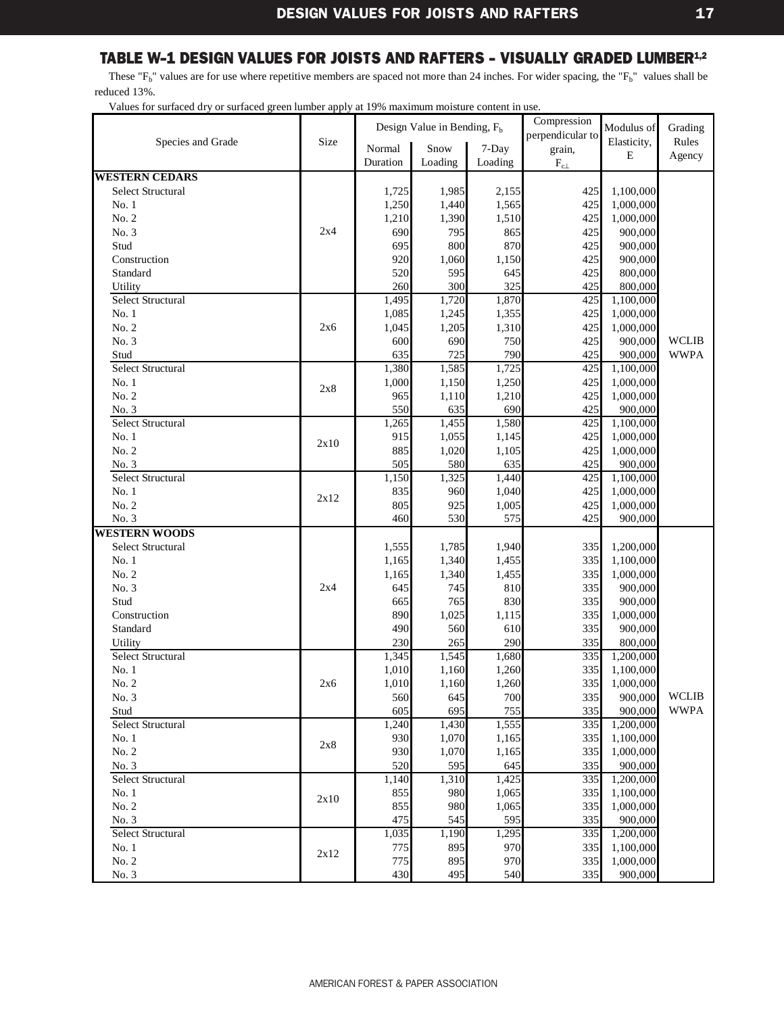<span id="page-19-0"></span>These " $F_b$ " values are for use where repetitive members are spaced not more than 24 inches. For wider spacing, the " $F_b$ " values shall be reduced 13%.

|                          |      | Design Value in Bending, F <sub>b</sub> |         |         | Compression      | Modulus of  | Grading      |
|--------------------------|------|-----------------------------------------|---------|---------|------------------|-------------|--------------|
| Species and Grade        |      | Size                                    |         |         | perpendicular to | Elasticity, | Rules        |
|                          |      | Normal                                  | Snow    | 7-Day   | grain,           | E           | Agency       |
|                          |      | Duration                                | Loading | Loading | $\rm F_{c\perp}$ |             |              |
| <b>WESTERN CEDARS</b>    |      |                                         |         |         |                  |             |              |
| <b>Select Structural</b> |      | 1,725                                   | 1,985   | 2,155   | 425              | 1,100,000   |              |
| No.1                     |      | 1,250                                   | 1,440   | 1,565   | 425              | 1,000,000   |              |
| No. 2                    |      | 1,210                                   | 1,390   | 1,510   | 425              | 1,000,000   |              |
| No. 3                    | 2x4  | 690                                     | 795     | 865     | 425              | 900,000     |              |
| Stud                     |      | 695                                     | 800     | 870     | 425              | 900,000     |              |
| Construction             |      | 920                                     | 1,060   | 1,150   | 425              | 900,000     |              |
| Standard                 |      | 520                                     | 595     | 645     | 425              | 800,000     |              |
| Utility                  |      | 260                                     | 300     | 325     | 425              | 800,000     |              |
| Select Structural        |      | 1,495                                   | 1,720   | 1,870   | 425              | 1,100,000   |              |
| No. 1                    |      | 1,085                                   | 1,245   | 1,355   | 425              | 1,000,000   |              |
| No. 2                    | 2х6  | 1,045                                   | 1,205   | 1,310   | 425              | 1,000,000   |              |
| No. 3                    |      | 600                                     | 690     | 750     | 425              | 900,000     | <b>WCLIB</b> |
| Stud                     |      | 635                                     | 725     | 790     | 425              | 900,000     | <b>WWPA</b>  |
| <b>Select Structural</b> |      | 1,380                                   | 1,585   | 1,725   | 425              | 1,100,000   |              |
| No.1                     | 2x8  | 1,000                                   | 1,150   | 1,250   | 425              | 1,000,000   |              |
| No. 2                    |      | 965                                     | 1,110   | 1,210   | 425              | 1,000,000   |              |
| No. 3                    |      | 550                                     | 635     | 690     | 425              | 900,000     |              |
| Select Structural        |      | 1,265                                   | 1,455   | 1,580   | 425              | 1,100,000   |              |
| No.1                     | 2x10 | 915                                     | 1,055   | 1,145   | 425              | 1,000,000   |              |
| No. 2                    |      | 885                                     | 1,020   | 1,105   | 425              | 1,000,000   |              |
| No. 3                    |      | 505                                     | 580     | 635     | 425              | 900,000     |              |
| Select Structural        |      | 1,150                                   | 1,325   | 1.440   | 425              | 1,100,000   |              |
| No. 1                    | 2x12 | 835                                     | 960     | 1,040   | 425              | 1,000,000   |              |
| No. 2                    |      | 805                                     | 925     | 1,005   | 425              | 1,000,000   |              |
| No. 3                    |      | 460                                     | 530     | 575     | 425              | 900,000     |              |
| <b>WESTERN WOODS</b>     |      |                                         |         |         |                  |             |              |
| <b>Select Structural</b> |      | 1,555                                   | 1,785   | 1,940   | 335              | 1,200,000   |              |
| No.1                     |      | 1,165                                   | 1,340   | 1,455   | 335              | 1,100,000   |              |
| No. 2                    |      | 1,165                                   | 1,340   | 1,455   | 335              | 1,000,000   |              |
| No. 3                    | 2x4  | 645                                     | 745     | 810     | 335              | 900,000     |              |
| Stud                     |      | 665                                     | 765     | 830     | 335              | 900,000     |              |
| Construction             |      | 890                                     | 1,025   | 1,115   | 335              | 1,000,000   |              |
| Standard                 |      | 490                                     | 560     | 610     | 335              | 900,000     |              |
| Utility                  |      | 230                                     | 265     | 290     | 335              | 800,000     |              |
| Select Structural        |      | 1,345                                   | 1,545   | 1,680   | 335              | 1,200,000   |              |
| No. 1                    |      | 1,010                                   | 1,160   | 1,260   | 335              | 1,100,000   |              |
| No. 2                    | 2х6  | 1,010                                   | 1,160   | 1,260   | 335              | 1,000,000   |              |
| No. 3                    |      | 560                                     | 645     | 700     | 335              | 900,000     | <b>WCLIB</b> |
| Stud                     |      | 605                                     | 695     | 755     | 335              | 900,000     | <b>WWPA</b>  |
| Select Structural        |      | 1,240                                   | 1,430   | 1,555   | 335              | 1,200,000   |              |
| No. 1                    | 2x8  | 930                                     | 1,070   | 1,165   | 335              | 1,100,000   |              |
| No. 2                    |      | 930                                     | 1,070   | 1,165   | 335              | 1,000,000   |              |
| No. 3                    |      | 520                                     | 595     | 645     | 335              | 900,000     |              |
| Select Structural        |      | 1,140                                   | 1,310   | 1,425   | 335              | 1,200,000   |              |
| No. 1                    | 2x10 | 855                                     | 980     | 1,065   | 335              | 1,100,000   |              |
| No. 2                    |      | 855                                     | 980     | 1,065   | 335              | 1,000,000   |              |
| No. 3                    |      | 475                                     | 545     | 595     | 335              | 900,000     |              |
| <b>Select Structural</b> |      | 1,035                                   | 1,190   | 1,295   | 335              | 1,200,000   |              |
| No. 1                    | 2x12 | 775                                     | 895     | 970     | 335              | 1,100,000   |              |
| No. 2                    |      | 775                                     | 895     | 970     | 335              | 1,000,000   |              |
| No. 3                    |      | 430                                     | 495     | 540     | 335              | 900,000     |              |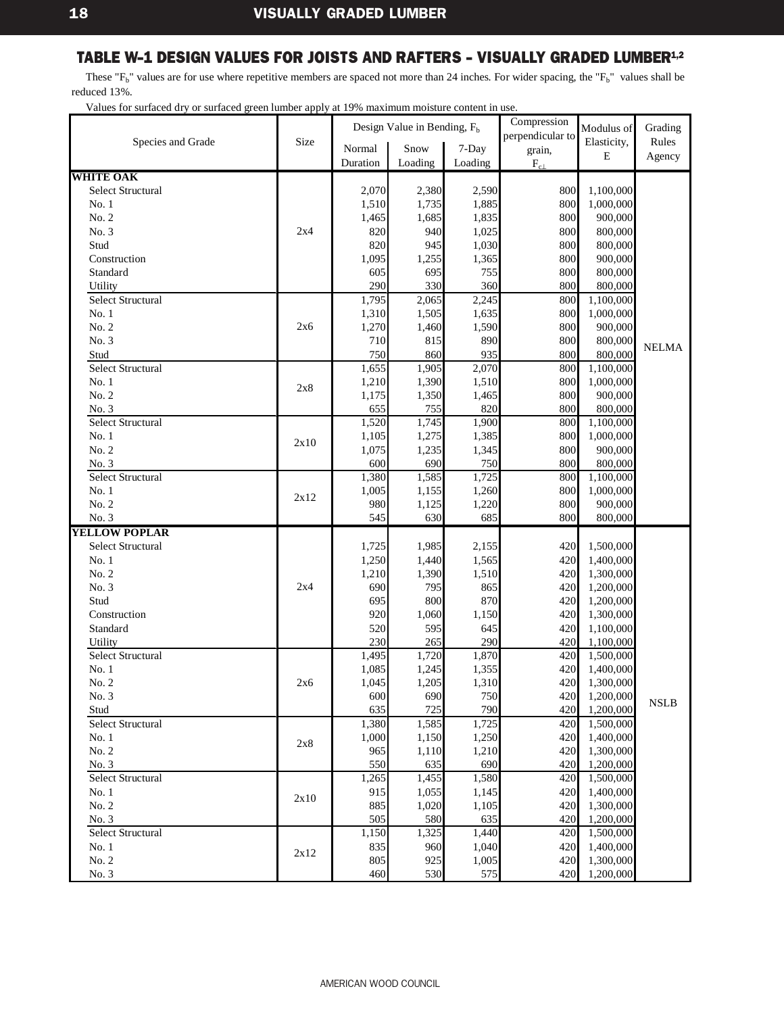<span id="page-20-0"></span>These " $F_b$ " values are for use where repetitive members are spaced not more than 24 inches. For wider spacing, the " $F_b$ " values shall be reduced 13%.

|                                              |      |              | Design Value in Bending, $F_b$ |                | Compression      | Modulus of         | Grading      |
|----------------------------------------------|------|--------------|--------------------------------|----------------|------------------|--------------------|--------------|
| Species and Grade                            | Size |              |                                |                | perpendicular to | Elasticity,        | Rules        |
|                                              |      | Normal       | Snow                           | 7-Day          | grain,           | E                  | Agency       |
|                                              |      | Duration     | Loading                        | Loading        | $F_{c\perp}$     |                    |              |
| <b>WHITE OAK</b><br><b>Select Structural</b> |      |              |                                |                |                  |                    |              |
|                                              |      | 2,070        | 2,380                          | 2,590          | 800<br>800       | 1,100,000          |              |
| No.1<br>No. 2                                |      | 1,510        | 1,735                          | 1,885          | 800              | 1,000,000          |              |
| No. 3                                        | 2x4  | 1,465        | 1,685<br>940                   | 1,835          | 800              | 900,000            |              |
| Stud                                         |      | 820<br>820   |                                | 1,025<br>1,030 | 800              | 800,000<br>800,000 |              |
| Construction                                 |      |              | 945                            |                | 800              |                    |              |
| Standard                                     |      | 1,095<br>605 | 1,255<br>695                   | 1,365<br>755   | 800              | 900,000<br>800,000 |              |
| Utility                                      |      | 290          | 330                            | 360            | 800              | 800,000            |              |
| <b>Select Structural</b>                     |      | 1,795        | 2,065                          | 2,245          | 800              | 1,100,000          |              |
| No.1                                         |      | 1,310        | 1,505                          | 1,635          | 800              | 1,000,000          |              |
| No. 2                                        | 2x6  | 1,270        | 1,460                          | 1,590          | 800              | 900,000            |              |
| No. 3                                        |      | 710          | 815                            | 890            | 800              | 800,000            |              |
| Stud                                         |      | 750          | 860                            | 935            | 800              | 800,000            | <b>NELMA</b> |
| <b>Select Structural</b>                     |      | 1,655        | 1,905                          | 2,070          | 800              | 1,100,000          |              |
| No.1                                         |      | 1,210        | 1,390                          | 1,510          | 800              | 1,000,000          |              |
| No. 2                                        | 2x8  | 1,175        | 1,350                          | 1,465          | 800              | 900,000            |              |
| No. 3                                        |      | 655          | 755                            | 820            | 800              | 800,000            |              |
| Select Structural                            |      | 1,520        | 1,745                          | 1,900          | 800              | 1,100,000          |              |
| No.1                                         |      | 1,105        | 1,275                          | 1,385          | 800              | 1,000,000          |              |
| No. 2                                        | 2x10 | 1,075        | 1,235                          | 1,345          | 800              | 900,000            |              |
| No. 3                                        |      | 600          | 690                            | 750            | 800              | 800,000            |              |
| <b>Select Structural</b>                     |      | 1,380        | 1,585                          | 1,725          | 800              | 1,100,000          |              |
| No.1                                         |      | 1,005        | 1,155                          | 1,260          | 800              | 1,000,000          |              |
| No. 2                                        | 2x12 | 980          | 1,125                          | 1,220          | 800              | 900,000            |              |
| No. 3                                        |      | 545          | 630                            | 685            | 800              | 800,000            |              |
| <b>YELLOW POPLAR</b>                         |      |              |                                |                |                  |                    |              |
| <b>Select Structural</b>                     |      | 1,725        | 1,985                          | 2,155          | 420              | 1,500,000          |              |
| No. 1                                        |      | 1,250        | 1,440                          | 1,565          | 420              | 1,400,000          |              |
| No. 2                                        |      | 1,210        | 1,390                          | 1,510          | 420              | 1,300,000          |              |
| No. 3                                        | 2x4  | 690          | 795                            | 865            | 420              | 1,200,000          |              |
| Stud                                         |      | 695          | 800                            | 870            | 420              | 1,200,000          |              |
| Construction                                 |      | 920          | 1,060                          | 1,150          | 420              | 1,300,000          |              |
| Standard                                     |      | 520          | 595                            | 645            | 420              | 1,100,000          |              |
| Utility                                      |      | 230          | 265                            | 290            | 420              | 1,100,000          |              |
| <b>Select Structural</b>                     |      | 1,495        | 1,720                          | 1,870          | 420              | 1,500,000          |              |
| No. 1                                        |      | 1,085        | 1,245                          | 1,355          | 420              | 1,400,000          |              |
| No. 2                                        | 2x6  | 1,045        | 1,205                          | 1,310          | 420              | 1,300,000          |              |
| No. 3                                        |      | 600          | 690                            | 750            | 420              | 1,200,000          | <b>NSLB</b>  |
| Stud                                         |      | 635          | 725                            | 790            | 420              | 1,200,000          |              |
| Select Structural                            |      | 1,380        | 1,585                          | 1,725          | 420              | 1,500,000          |              |
| No. 1                                        | 2x8  | 1,000        | 1,150                          | 1,250          | 420              | 1,400,000          |              |
| No. 2                                        |      | 965          | 1,110                          | 1,210          | 420              | 1,300,000          |              |
| No. 3                                        |      | 550          | 635                            | 690            | 420              | 1,200,000          |              |
| Select Structural                            |      | 1,265        | 1,455                          | 1,580          | 420              | 1,500,000          |              |
| No. 1                                        | 2x10 | 915          | 1,055                          | 1,145          | 420              | 1,400,000          |              |
| No. 2                                        |      | 885          | 1,020                          | 1,105          | 420              | 1,300,000          |              |
| No. 3                                        |      | 505          | 580                            | 635            | 420              | 1,200,000          |              |
| Select Structural                            |      | 1,150        | 1,325                          | 1,440          | 420              | 1,500,000          |              |
| No.1                                         | 2x12 | 835          | 960                            | 1.040          | 420              | 1,400,000          |              |
| No. 2                                        |      | 805          | 925                            | 1,005          | 420              | 1,300,000          |              |
| No. 3                                        |      | 460          | 530                            | 575            | 420              | 1,200,000          |              |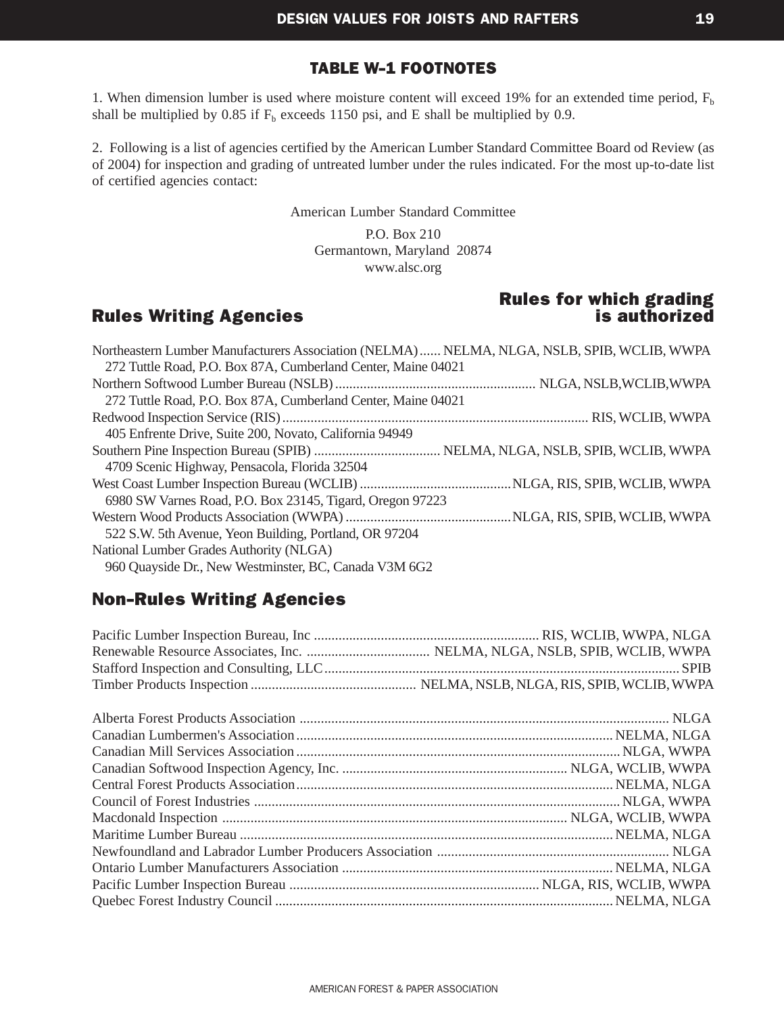#### [TABLE W-1](#page-3-0) FOOTNOTES

<span id="page-21-0"></span>1. When dimension lumber is used where moisture content will exceed 19% for an extended time period,  $F_b$ shall be multiplied by 0.85 if  $F_b$  exceeds 1150 psi, and E shall be multiplied by 0.9.

2. Following is a list of agencies certified by the American Lumber Standard Committee Board od Review (as of 2004) for inspection and grading of untreated lumber under the rules indicated. For the most up-to-date list of certified agencies contact:

American Lumber Standard Committee

P.O. Box 210 Germantown, Maryland 20874 www.alsc.org

#### Rules Writing Agencies is authorized

### Rules for which grading

| Northeastern Lumber Manufacturers Association (NELMA)  NELMA, NLGA, NSLB, SPIB, WCLIB, WWPA |  |
|---------------------------------------------------------------------------------------------|--|
| 272 Tuttle Road, P.O. Box 87A, Cumberland Center, Maine 04021                               |  |
|                                                                                             |  |
| 272 Tuttle Road, P.O. Box 87A, Cumberland Center, Maine 04021                               |  |
|                                                                                             |  |
| 405 Enfrente Drive, Suite 200, Novato, California 94949                                     |  |
|                                                                                             |  |
| 4709 Scenic Highway, Pensacola, Florida 32504                                               |  |
|                                                                                             |  |
| 6980 SW Varnes Road, P.O. Box 23145, Tigard, Oregon 97223                                   |  |
|                                                                                             |  |
| 522 S.W. 5th Avenue, Yeon Building, Portland, OR 97204                                      |  |
| National Lumber Grades Authority (NLGA)                                                     |  |
| 960 Quayside Dr., New Westminster, BC, Canada V3M 6G2                                       |  |

#### Non-Rules Writing Agencies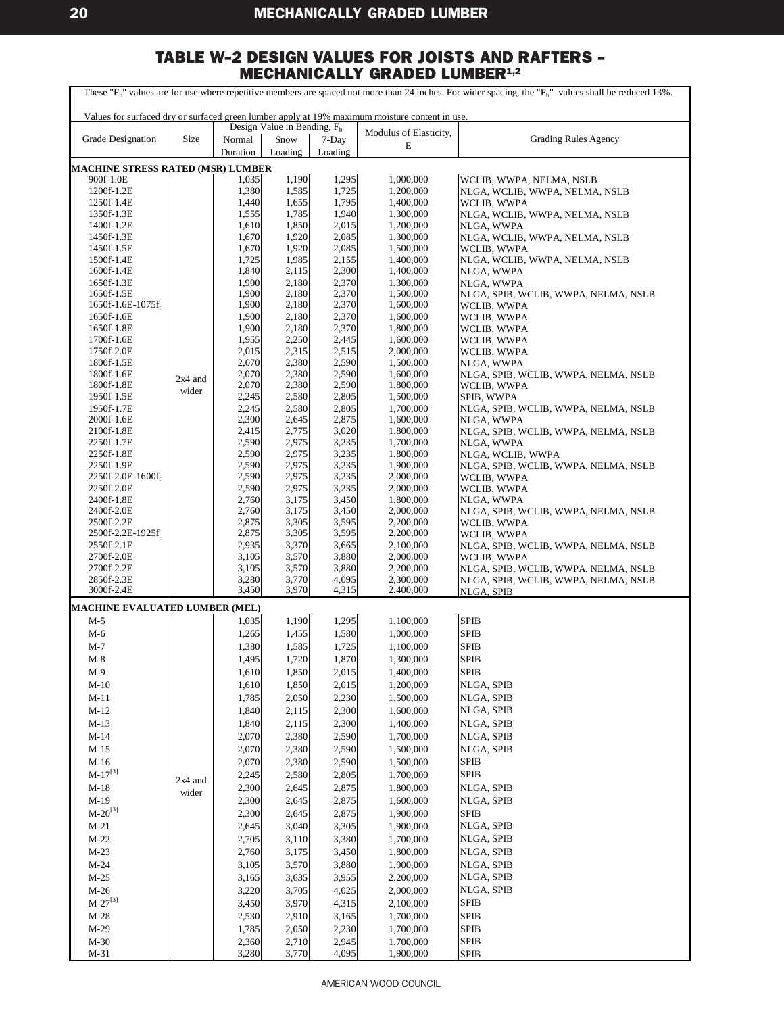<span id="page-22-0"></span>

| These "F <sub>b</sub> " values are for use where repetitive members are spaced not more than 24 inches. For wider spacing, the "F <sub>b</sub> " values shall be reduced 13%. |                    |                    |                                |                  |                                                                                                |                                                     |  |  |
|-------------------------------------------------------------------------------------------------------------------------------------------------------------------------------|--------------------|--------------------|--------------------------------|------------------|------------------------------------------------------------------------------------------------|-----------------------------------------------------|--|--|
|                                                                                                                                                                               |                    |                    |                                |                  | Values for surfaced dry or surfaced green lumber apply at 19% maximum moisture content in use. |                                                     |  |  |
| Grade Designation                                                                                                                                                             |                    |                    | Design Value in Bending, $F_h$ |                  | Modulus of Elasticity,                                                                         | <b>Grading Rules Agency</b>                         |  |  |
|                                                                                                                                                                               | Size               | Normal<br>Duration | Snow<br>Loading                | 7-Day<br>Loading | E                                                                                              |                                                     |  |  |
| <b>MACHINE STRESS RATED (MSR) LUMBER</b>                                                                                                                                      |                    |                    |                                |                  |                                                                                                |                                                     |  |  |
| 900f-1.0E                                                                                                                                                                     |                    | 1,035              | 1,190                          | 1,295            | 1,000,000                                                                                      | WCLIB, WWPA, NELMA, NSLB                            |  |  |
| 1200f-1.2E                                                                                                                                                                    |                    | 1,380              | 1,585                          | 1,725            | 1,200,000                                                                                      | NLGA, WCLIB, WWPA, NELMA, NSLB                      |  |  |
| 1250f-1.4E                                                                                                                                                                    |                    | 1,440              | 1,655                          | 1,795            | 1,400,000                                                                                      | WCLIB, WWPA                                         |  |  |
| 1350f-1.3E<br>1400f-1.2E                                                                                                                                                      |                    | 1,555<br>1,610     | 1,785<br>1,850                 | 1,940<br>2,015   | 1,300,000<br>1,200,000                                                                         | NLGA, WCLIB, WWPA, NELMA, NSLB<br>NLGA, WWPA        |  |  |
| 1450f-1.3E                                                                                                                                                                    |                    | 1,670              | 1,920                          | 2,085            | 1,300,000                                                                                      | NLGA, WCLIB, WWPA, NELMA, NSLB                      |  |  |
| 1450f-1.5E                                                                                                                                                                    |                    | 1,670              | 1,920                          | 2,085            | 1,500,000                                                                                      | WCLIB, WWPA                                         |  |  |
| 1500f-1.4E                                                                                                                                                                    |                    | 1,725              | 1,985                          | 2,155            | 1,400,000                                                                                      | NLGA, WCLIB, WWPA, NELMA, NSLB                      |  |  |
| 1600f-1.4E                                                                                                                                                                    |                    | 1,840              | 2,115                          | 2,300            | 1,400,000                                                                                      | NLGA, WWPA                                          |  |  |
| 1650f-1.3E<br>1650f-1.5E                                                                                                                                                      |                    | 1,900<br>1,900     | 2,180<br>2,180                 | 2,370<br>2,370   | 1,300,000<br>1,500,000                                                                         | NLGA, WWPA                                          |  |  |
| 1650f-1.6E-1075f <sub>t</sub>                                                                                                                                                 |                    | 1,900              | 2,180                          | 2,370            | 1,600,000                                                                                      | NLGA, SPIB, WCLIB, WWPA, NELMA, NSLB<br>WCLIB, WWPA |  |  |
| 1650f-1.6E                                                                                                                                                                    |                    | 1,900              | 2,180                          | 2,370            | 1,600,000                                                                                      | WCLIB, WWPA                                         |  |  |
| 1650f-1.8E                                                                                                                                                                    |                    | 1,900              | 2,180                          | 2,370            | 1,800,000                                                                                      | WCLIB, WWPA                                         |  |  |
| 1700f-1.6E                                                                                                                                                                    |                    | 1,955              | 2,250                          | 2,445            | 1,600,000                                                                                      | WCLIB, WWPA                                         |  |  |
| 1750f-2.0E<br>1800f-1.5E                                                                                                                                                      |                    | 2,015<br>2,070     | 2,315<br>2,380                 | 2,515<br>2,590   | 2,000,000<br>1,500,000                                                                         | WCLIB, WWPA                                         |  |  |
| 1800f-1.6E                                                                                                                                                                    |                    | 2,070              | 2,380                          | 2,590            | 1,600,000                                                                                      | NLGA, WWPA<br>NLGA, SPIB, WCLIB, WWPA, NELMA, NSLB  |  |  |
| 1800f-1.8E                                                                                                                                                                    | $2x4$ and          | 2,070              | 2,380                          | 2,590            | 1,800,000                                                                                      | WCLIB, WWPA                                         |  |  |
| 1950f-1.5E                                                                                                                                                                    | wider              | 2,245              | 2,580                          | 2,805            | 1,500,000                                                                                      | SPIB, WWPA                                          |  |  |
| 1950f-1.7E                                                                                                                                                                    |                    | 2,245              | 2,580                          | 2,805            | 1,700,000                                                                                      | NLGA, SPIB, WCLIB, WWPA, NELMA, NSLB                |  |  |
| 2000f-1.6E<br>2100f-1.8E                                                                                                                                                      |                    | 2,300<br>2,415     | 2,645<br>2,775                 | 2,875<br>3,020   | 1,600,000<br>1,800,000                                                                         | NLGA, WWPA<br>NLGA, SPIB, WCLIB, WWPA, NELMA, NSLB  |  |  |
| 2250f-1.7E                                                                                                                                                                    |                    | 2,590              | 2,975                          | 3,235            | 1,700,000                                                                                      | NLGA, WWPA                                          |  |  |
| 2250f-1.8E                                                                                                                                                                    |                    | 2,590              | 2,975                          | 3,235            | 1,800,000                                                                                      | NLGA, WCLIB, WWPA                                   |  |  |
| 2250f-1.9E                                                                                                                                                                    |                    | 2,590              | 2,975                          | 3,235            | 1,900,000                                                                                      | NLGA, SPIB, WCLIB, WWPA, NELMA, NSLB                |  |  |
| $2250f - 2.0E - 1600f$                                                                                                                                                        |                    | 2,590              | 2,975                          | 3,235            | 2,000,000                                                                                      | WCLIB, WWPA                                         |  |  |
| 2250f-2.0E<br>2400f-1.8E                                                                                                                                                      |                    | 2,590<br>2,760     | 2,975<br>3,175                 | 3,235<br>3,450   | 2,000,000<br>1,800,000                                                                         | WCLIB, WWPA                                         |  |  |
| 2400f-2.0E                                                                                                                                                                    |                    | 2,760              | 3,175                          | 3,450            | 2,000,000                                                                                      | NLGA, WWPA<br>NLGA, SPIB, WCLIB, WWPA, NELMA, NSLB  |  |  |
| 2500f-2.2E                                                                                                                                                                    |                    | 2,875              | 3,305                          | 3,595            | 2,200,000                                                                                      | WCLIB, WWPA                                         |  |  |
| $2500f - 2.2E - 1925f_t$                                                                                                                                                      |                    | 2,875              | 3,305                          | 3,595            | 2,200,000                                                                                      | WCLIB, WWPA                                         |  |  |
| 2550f-2.1E                                                                                                                                                                    |                    | 2,935              | 3,370                          | 3,665            | 2,100,000                                                                                      | NLGA, SPIB, WCLIB, WWPA, NELMA, NSLB                |  |  |
| 2700f-2.0E<br>2700f-2.2E                                                                                                                                                      |                    | 3,105<br>3,105     | 3,570<br>3,570                 | 3,880<br>3,880   | 2,000,000<br>2,200,000                                                                         | WCLIB, WWPA<br>NLGA, SPIB, WCLIB, WWPA, NELMA, NSLB |  |  |
| 2850f-2.3E                                                                                                                                                                    |                    | 3,280              | 3,770                          | 4,095            | 2,300,000                                                                                      | NLGA, SPIB, WCLIB, WWPA, NELMA, NSLB                |  |  |
| 3000f-2.4E                                                                                                                                                                    |                    | 3,450              | 3,970                          | 4,315            | 2,400,000                                                                                      | NLGA, SPIB                                          |  |  |
| MACHINE EVALUATED LUMBER (MEL)                                                                                                                                                |                    |                    |                                |                  |                                                                                                |                                                     |  |  |
| $M-5$                                                                                                                                                                         |                    | 1,035              | 1,190                          | 1,295            | 1,100,000                                                                                      | <b>SPIB</b>                                         |  |  |
| M-6                                                                                                                                                                           |                    | 1,265              | 1,455                          | 1,580            | 1,000,000                                                                                      | <b>SPIB</b>                                         |  |  |
| $M-7$                                                                                                                                                                         |                    | 1,380              | 1,585                          | 1,725            | 1,100,000                                                                                      | <b>SPIB</b>                                         |  |  |
| $M-8$                                                                                                                                                                         |                    | 1.495              | 1,720                          | 1.870            | 1,300,000                                                                                      | <b>SPIB</b>                                         |  |  |
| M-9                                                                                                                                                                           |                    | 1,610              | 1,850                          | 2,015            | 1,400,000                                                                                      | <b>SPIB</b>                                         |  |  |
| $M-10$                                                                                                                                                                        |                    | 1,610              | 1,850                          | 2,015            | 1,200,000                                                                                      | NLGA, SPIB                                          |  |  |
| $M-11$                                                                                                                                                                        |                    | 1,785              | 2,050                          | 2,230            | 1,500,000                                                                                      | NLGA, SPIB                                          |  |  |
| $M-12$<br>$M-13$                                                                                                                                                              |                    | 1,840<br>1,840     | 2,115<br>2,115                 | 2,300<br>2,300   | 1,600,000<br>1,400,000                                                                         | NLGA, SPIB<br>NLGA, SPIB                            |  |  |
| $M-14$                                                                                                                                                                        |                    | 2,070              | 2,380                          | 2,590            | 1,700,000                                                                                      | NLGA, SPIB                                          |  |  |
| $M-15$                                                                                                                                                                        |                    | 2,070              | 2,380                          | 2,590            | 1,500,000                                                                                      | NLGA, SPIB                                          |  |  |
| $M-16$                                                                                                                                                                        |                    | 2,070              | 2,380                          | 2,590            | 1,500,000                                                                                      | <b>SPIB</b>                                         |  |  |
| $M-17^{[3]}$                                                                                                                                                                  |                    | 2,245              | 2,580                          | 2,805            | 1,700,000                                                                                      | <b>SPIB</b>                                         |  |  |
| $M-18$                                                                                                                                                                        | $2x4$ and<br>wider | 2,300              | 2,645                          | 2,875            | 1,800,000                                                                                      | NLGA, SPIB                                          |  |  |
| $M-19$                                                                                                                                                                        |                    | 2,300              | 2,645                          | 2,875            | 1,600,000                                                                                      | NLGA, SPIB                                          |  |  |
| $M-20^{[3]}$                                                                                                                                                                  |                    | 2,300              | 2,645                          | 2,875            | 1,900,000                                                                                      | <b>SPIB</b>                                         |  |  |
| $M-21$                                                                                                                                                                        |                    | 2,645              | 3,040                          | 3,305            | 1,900,000                                                                                      | NLGA, SPIB                                          |  |  |
| $M-22$                                                                                                                                                                        |                    | 2,705              | 3,110                          | 3,380            | 1,700,000                                                                                      | NLGA, SPIB                                          |  |  |
| $M-23$                                                                                                                                                                        |                    | 2,760              | 3,175                          | 3,450            | 1,800,000                                                                                      | NLGA, SPIB                                          |  |  |
| $M-24$                                                                                                                                                                        |                    | 3,105              | 3,570                          | 3,880            | 1,900,000                                                                                      | NLGA, SPIB                                          |  |  |
| $M-25$                                                                                                                                                                        |                    | 3,165              | 3,635                          | 3,955            | 2,200,000                                                                                      | NLGA, SPIB                                          |  |  |
| $M-26$<br>$M-27^{[3]}$                                                                                                                                                        |                    | 3,220              | 3,705                          | 4,025            | 2,000,000                                                                                      | NLGA, SPIB<br><b>SPIB</b>                           |  |  |
| $M-28$                                                                                                                                                                        |                    | 3,450<br>2,530     | 3,970<br>2,910                 | 4,315<br>3,165   | 2,100,000<br>1,700,000                                                                         | <b>SPIB</b>                                         |  |  |
| $M-29$                                                                                                                                                                        |                    | 1,785              | 2,050                          | 2,230            | 1,700,000                                                                                      | <b>SPIB</b>                                         |  |  |
| $M-30$                                                                                                                                                                        |                    | 2,360              | 2,710                          | 2,945            | 1,700,000                                                                                      | <b>SPIB</b>                                         |  |  |
| $M-31$                                                                                                                                                                        |                    | 3,280              | 3,770                          | 4,095            | 1,900,000                                                                                      | SPIB                                                |  |  |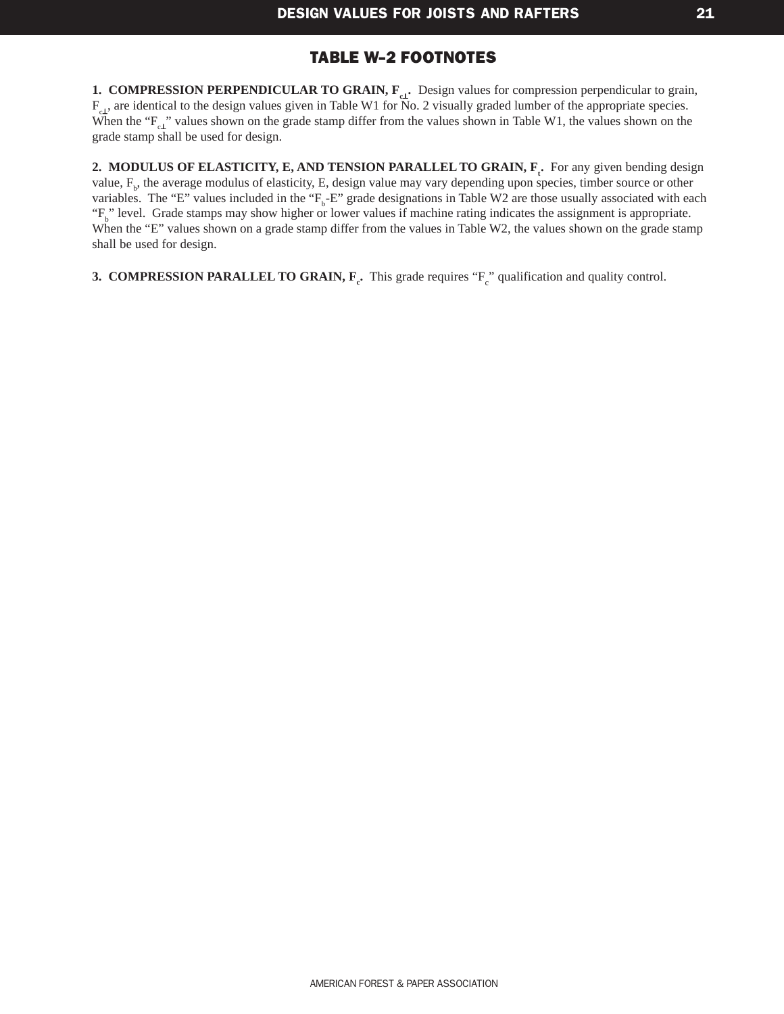#### [TABLE W-2](#page-22-0) FOOTNOTES

<span id="page-23-0"></span>**1. COMPRESSION PERPENDICULAR TO GRAIN, F<sub>c⊥</sub>.** Design values for compression perpendicular to grain,  $F_{c1}$ , are identical to the design values given in Table W1 for No. 2 visually graded lumber of the appropriate species. When the " $F_c$ <sub>L"</sub>" values shown on the grade stamp differ from the values shown in Table W1, the values shown on the grade stamp shall be used for design.

**2. MODULUS OF ELASTICITY, E, AND TENSION PARALLEL TO GRAIN,**  $\mathbf{F}_t$ **.** For any given bending design value, F<sub>b</sub>, the average modulus of elasticity, E, design value may vary depending upon species, timber source or other variables. The "E" values included in the " $F_b$ -E" grade designations in Table W2 are those usually associated with each "F<sub>b</sub>" level. Grade stamps may show higher or lower values if machine rating indicates the assignment is appropriate. When the "E" values shown on a grade stamp differ from the values in Table W2, the values shown on the grade stamp shall be used for design.

**3. COMPRESSION PARALLEL TO GRAIN, F<sub>c</sub>.** This grade requires "F<sub>c</sub>" qualification and quality control.